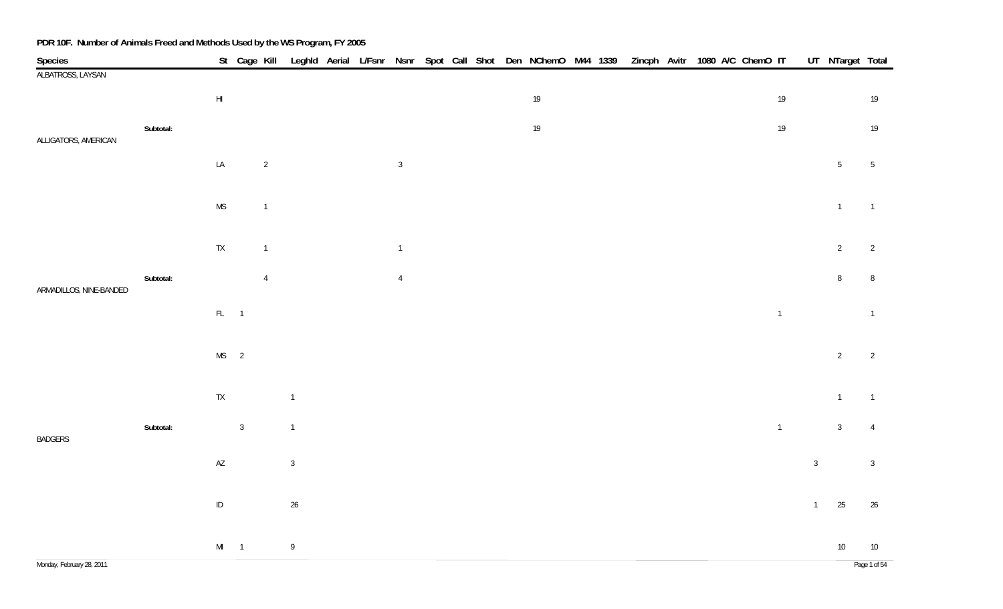| Species                   |           |                        | St Cage Kill   |                |                |  |                |  |  | Leghld Aerial L/Fsnr Nsnr Spot Call Shot Den NChemO M44 1339 |  | Zincph Avitr 1080 A/C ChemO IT |  |  |                |                | UT_NTarget Total |                 |
|---------------------------|-----------|------------------------|----------------|----------------|----------------|--|----------------|--|--|--------------------------------------------------------------|--|--------------------------------|--|--|----------------|----------------|------------------|-----------------|
| ALBATROSS, LAYSAN         |           |                        |                |                |                |  |                |  |  |                                                              |  |                                |  |  |                |                |                  |                 |
|                           |           | $\mathsf{H}\mathsf{I}$ |                |                |                |  |                |  |  | $19\,$                                                       |  |                                |  |  | 19             |                |                  | 19              |
|                           | Subtotal: |                        |                |                |                |  |                |  |  | $19\,$                                                       |  |                                |  |  | 19             |                |                  | 19              |
| ALLIGATORS, AMERICAN      |           | $\mathsf{L}\mathsf{A}$ |                | $\overline{c}$ |                |  | $\overline{3}$ |  |  |                                                              |  |                                |  |  |                |                | 5 <sub>5</sub>   | $5\phantom{.0}$ |
|                           |           |                        |                |                |                |  |                |  |  |                                                              |  |                                |  |  |                |                |                  |                 |
|                           |           | $\mathsf{MS}$          |                | $\mathbf{1}$   |                |  |                |  |  |                                                              |  |                                |  |  |                |                | $\mathbf{1}$     | $\overline{1}$  |
|                           |           | ${\sf TX}$             |                | $\overline{1}$ |                |  | $\overline{1}$ |  |  |                                                              |  |                                |  |  |                |                | $\overline{2}$   | $\overline{2}$  |
|                           | Subtotal: |                        |                | $\overline{4}$ |                |  | $\overline{4}$ |  |  |                                                              |  |                                |  |  |                |                | $\, 8$           | 8               |
| ARMADILLOS, NINE-BANDED   |           | $FL = 1$               |                |                |                |  |                |  |  |                                                              |  |                                |  |  | $\overline{1}$ |                |                  | $\overline{1}$  |
|                           |           |                        |                |                |                |  |                |  |  |                                                              |  |                                |  |  |                |                |                  |                 |
|                           |           | $MS$ 2                 |                |                |                |  |                |  |  |                                                              |  |                                |  |  |                |                | $\overline{2}$   | $\overline{2}$  |
|                           |           | $\mathsf{TX}$          |                |                | $\overline{1}$ |  |                |  |  |                                                              |  |                                |  |  |                |                | $\mathbf{1}$     | $\overline{1}$  |
| <b>BADGERS</b>            | Subtotal: |                        | $\overline{3}$ |                | $\mathbf{1}$   |  |                |  |  |                                                              |  |                                |  |  | $\overline{1}$ |                | $\mathbf{3}$     | $\overline{4}$  |
|                           |           | $\mathsf{A}\mathsf{Z}$ |                |                | $\sqrt{3}$     |  |                |  |  |                                                              |  |                                |  |  |                | $\sqrt{3}$     |                  | $\overline{3}$  |
|                           |           | $\sf ID$               |                |                | $26\,$         |  |                |  |  |                                                              |  |                                |  |  |                | $\overline{1}$ | 25               | 26              |
|                           |           |                        |                |                |                |  |                |  |  |                                                              |  |                                |  |  |                |                |                  |                 |
|                           |           | $MI$ 1                 |                |                | $\overline{9}$ |  |                |  |  |                                                              |  |                                |  |  |                |                | $10\,$           | $10\,$          |
| Monday, February 28, 2011 |           |                        |                |                |                |  |                |  |  |                                                              |  |                                |  |  |                |                |                  | Page 1 of 54    |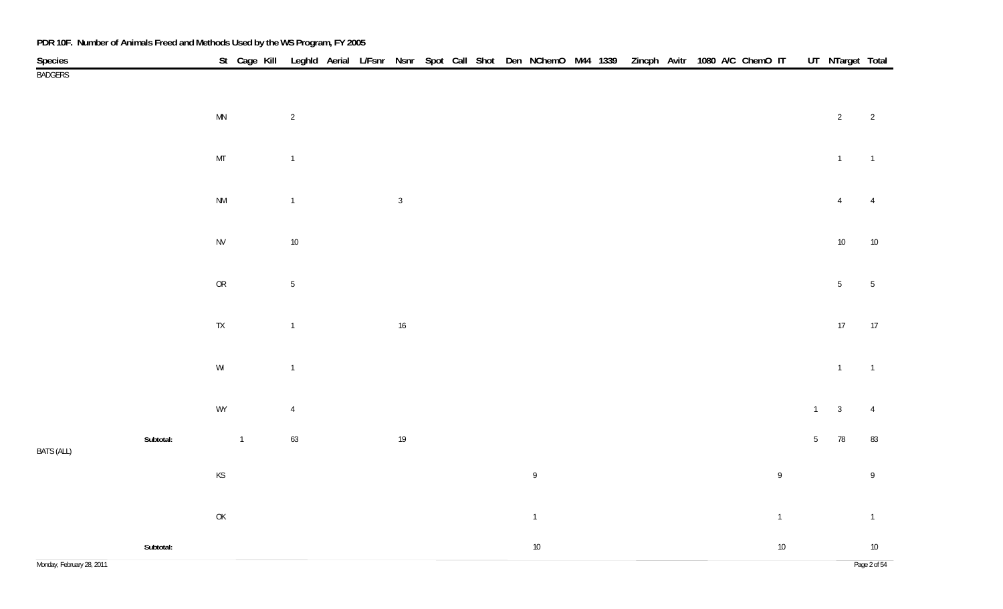| Species           |                                                                                         | St Cage Kill Leghld Aerial L/Fsnr Nsnr Spot Call Shot Den NChemO M44 1339 Zincph Avitr 1080 A/C ChemO IT |                |  |              |  |  |                |  |  |  |              |                 | UT NTarget Total |                 |
|-------------------|-----------------------------------------------------------------------------------------|----------------------------------------------------------------------------------------------------------|----------------|--|--------------|--|--|----------------|--|--|--|--------------|-----------------|------------------|-----------------|
| <b>BADGERS</b>    |                                                                                         |                                                                                                          |                |  |              |  |  |                |  |  |  |              |                 |                  |                 |
|                   | $\ensuremath{\mathsf{MN}}$                                                              |                                                                                                          | $\overline{2}$ |  |              |  |  |                |  |  |  |              |                 | $\overline{2}$   | $\overline{2}$  |
|                   | $\mathsf{MT}$                                                                           |                                                                                                          | $\overline{1}$ |  |              |  |  |                |  |  |  |              |                 | $\overline{1}$   | $\overline{1}$  |
|                   | $\mathsf{N}\mathsf{M}$                                                                  |                                                                                                          | $\overline{1}$ |  | $\mathbf{3}$ |  |  |                |  |  |  |              |                 | $\overline{4}$   | $\overline{4}$  |
|                   | ${\sf NV}$                                                                              |                                                                                                          | $10\,$         |  |              |  |  |                |  |  |  |              |                 | $10\,$           | $10\,$          |
|                   | ${\sf OR}$                                                                              |                                                                                                          | $5\,$          |  |              |  |  |                |  |  |  |              |                 | $\sqrt{5}$       | $5\phantom{.0}$ |
|                   | ${\sf TX}$                                                                              |                                                                                                          | $\mathbf{1}$   |  | $16\,$       |  |  |                |  |  |  |              |                 | $17\,$           | 17              |
|                   | $\mathsf{W}\mathsf{I}$                                                                  |                                                                                                          | $\overline{1}$ |  |              |  |  |                |  |  |  |              |                 | $\overline{1}$   | $\overline{1}$  |
|                   | WY                                                                                      |                                                                                                          | $\overline{4}$ |  |              |  |  |                |  |  |  |              | $\overline{1}$  | $\mathbf{3}$     | $\overline{4}$  |
| <b>BATS (ALL)</b> | Subtotal:                                                                               | $\mathbf{1}$                                                                                             | 63             |  | $19$         |  |  |                |  |  |  |              | $5\phantom{.0}$ | $78\,$           | 83              |
|                   | $\mathsf{KS}% _{\mathsf{K}}^{\mathsf{K}}\left( \mathsf{K}\right)$                       |                                                                                                          |                |  |              |  |  | $\mathsf{g}$   |  |  |  | $\mathsf{9}$ |                 |                  | 9               |
|                   | $\mathsf{OK}% \left( \mathcal{M}\right) \equiv\mathsf{OK}^{3}\left( \mathcal{M}\right)$ |                                                                                                          |                |  |              |  |  | $\overline{1}$ |  |  |  | $\mathbf{1}$ |                 |                  | $\overline{1}$  |
|                   | Subtotal:                                                                               |                                                                                                          |                |  |              |  |  | $10\,$         |  |  |  | $10\,$       |                 |                  | $10\,$          |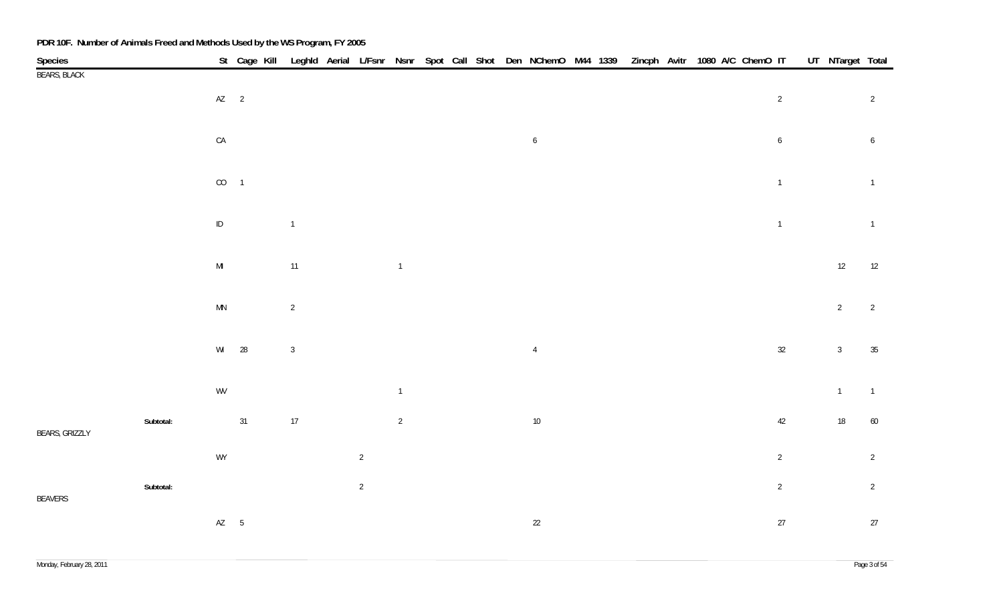| <b>Species</b>        |           |                        |        |                |                |                |  |  | St Cage Kill Leghld Aerial L/Fsnr Nsnr Spot Call Shot Den NChemO M44 1339 Zincph Avitr 1080 A/C ChemO IT |  |  |  |                  | UT_NTarget Total |                 |
|-----------------------|-----------|------------------------|--------|----------------|----------------|----------------|--|--|----------------------------------------------------------------------------------------------------------|--|--|--|------------------|------------------|-----------------|
| <b>BEARS, BLACK</b>   |           |                        |        |                |                |                |  |  |                                                                                                          |  |  |  |                  |                  |                 |
|                       |           |                        | $AZ$ 2 |                |                |                |  |  |                                                                                                          |  |  |  | $\overline{2}$   |                  | $\overline{2}$  |
|                       |           |                        |        |                |                |                |  |  |                                                                                                          |  |  |  |                  |                  |                 |
|                       |           | ${\sf CA}$             |        |                |                |                |  |  | $\boldsymbol{6}$                                                                                         |  |  |  | $\boldsymbol{6}$ |                  | $6\phantom{.0}$ |
|                       |           |                        |        |                |                |                |  |  |                                                                                                          |  |  |  |                  |                  |                 |
|                       |           | $CO$ 1                 |        |                |                |                |  |  |                                                                                                          |  |  |  |                  |                  |                 |
|                       |           |                        |        |                |                |                |  |  |                                                                                                          |  |  |  | $\overline{1}$   |                  | $\mathbf{1}$    |
|                       |           |                        |        |                |                |                |  |  |                                                                                                          |  |  |  |                  |                  |                 |
|                       |           | $\sf ID$               |        | $\overline{1}$ |                |                |  |  |                                                                                                          |  |  |  | $\overline{1}$   |                  | $\overline{1}$  |
|                       |           |                        |        |                |                |                |  |  |                                                                                                          |  |  |  |                  |                  |                 |
|                       |           | $\mathsf{MI}$          |        | $11$           |                | $\overline{1}$ |  |  |                                                                                                          |  |  |  |                  | 12               | 12              |
|                       |           |                        |        |                |                |                |  |  |                                                                                                          |  |  |  |                  |                  |                 |
|                       |           | $\mathsf{M}\mathsf{N}$ |        | $\overline{2}$ |                |                |  |  |                                                                                                          |  |  |  |                  | $\overline{2}$   | $\overline{2}$  |
|                       |           |                        |        |                |                |                |  |  |                                                                                                          |  |  |  |                  |                  |                 |
|                       |           |                        | WI 28  | $\mathbf{3}$   |                |                |  |  | $\overline{4}$                                                                                           |  |  |  | $32\,$           | $\mathbf{3}$     | $35\,$          |
|                       |           |                        |        |                |                |                |  |  |                                                                                                          |  |  |  |                  |                  |                 |
|                       |           | WV                     |        |                |                | $\mathbf{1}$   |  |  |                                                                                                          |  |  |  |                  | $\overline{1}$   | $\overline{1}$  |
|                       |           |                        |        |                |                |                |  |  |                                                                                                          |  |  |  |                  |                  |                 |
| <b>BEARS, GRIZZLY</b> | Subtotal: |                        | 31     | $17$           |                | $\overline{2}$ |  |  | $10\,$                                                                                                   |  |  |  | 42               | $18\,$           | $60\,$          |
|                       |           |                        |        |                |                |                |  |  |                                                                                                          |  |  |  |                  |                  |                 |
|                       |           | WY                     |        |                | $\overline{2}$ |                |  |  |                                                                                                          |  |  |  | $\overline{2}$   |                  | $\overline{2}$  |
|                       | Subtotal: |                        |        |                | $\overline{2}$ |                |  |  |                                                                                                          |  |  |  | $\overline{2}$   |                  | $\overline{2}$  |
| <b>BEAVERS</b>        |           |                        |        |                |                |                |  |  |                                                                                                          |  |  |  |                  |                  |                 |
|                       |           | $AZ$ 5                 |        |                |                |                |  |  | 22                                                                                                       |  |  |  | 27               |                  | 27              |
|                       |           |                        |        |                |                |                |  |  |                                                                                                          |  |  |  |                  |                  |                 |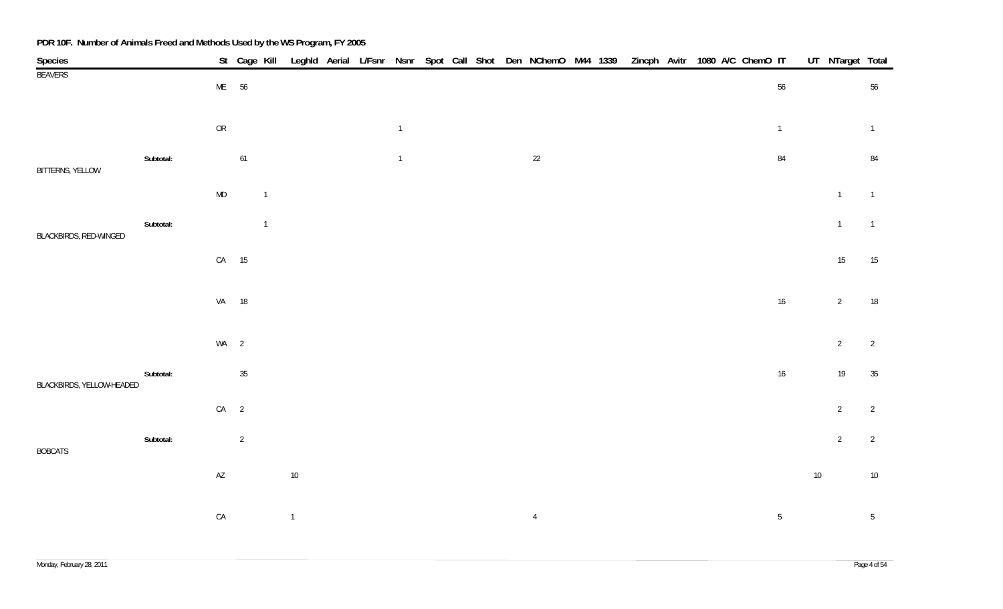| Species                   |           |                        | St Cage Kill   |                |              |  |                |  |  | Leghld Aerial L/Fsnr Nsnr Spot Call Shot Den NChemO M44 1339 Zincph Avitr 1080 A/C ChemO IT |  |  |  |                |        | UT NTarget Total |                 |
|---------------------------|-----------|------------------------|----------------|----------------|--------------|--|----------------|--|--|---------------------------------------------------------------------------------------------|--|--|--|----------------|--------|------------------|-----------------|
| <b>BEAVERS</b>            |           | ME 56                  |                |                |              |  |                |  |  |                                                                                             |  |  |  | $56\,$         |        |                  | 56              |
|                           |           | ${\sf OR}$             |                |                |              |  | $\overline{1}$ |  |  |                                                                                             |  |  |  | $\overline{1}$ |        |                  | $\overline{1}$  |
| BITTERNS, YELLOW          | Subtotal: |                        | $61$           |                |              |  | $\overline{1}$ |  |  | $22\,$                                                                                      |  |  |  | 84             |        |                  | 84              |
|                           |           | MD                     |                | $\overline{1}$ |              |  |                |  |  |                                                                                             |  |  |  |                |        | $\overline{1}$   | $\overline{1}$  |
| BLACKBIRDS, RED-WINGED    | Subtotal: |                        |                | $\overline{1}$ |              |  |                |  |  |                                                                                             |  |  |  |                |        | $\mathbf{1}$     | $\overline{1}$  |
|                           |           | CA 15                  |                |                |              |  |                |  |  |                                                                                             |  |  |  |                |        | 15               | 15              |
|                           |           | VA 18                  |                |                |              |  |                |  |  |                                                                                             |  |  |  | $16\,$         |        | $\overline{2}$   | 18              |
|                           |           | $WA$ 2                 |                |                |              |  |                |  |  |                                                                                             |  |  |  |                |        | $\overline{2}$   | $\overline{2}$  |
| BLACKBIRDS, YELLOW-HEADED | Subtotal: |                        | 35             |                |              |  |                |  |  |                                                                                             |  |  |  | 16             |        | 19               | 35              |
|                           |           | $CA$ 2                 |                |                |              |  |                |  |  |                                                                                             |  |  |  |                |        | $\overline{2}$   | $\overline{2}$  |
| <b>BOBCATS</b>            | Subtotal: |                        | $\overline{2}$ |                |              |  |                |  |  |                                                                                             |  |  |  |                |        | $\overline{2}$   | $\overline{2}$  |
|                           |           | $\mathsf{A}\mathsf{Z}$ |                |                | $10\,$       |  |                |  |  |                                                                                             |  |  |  |                | $10\,$ |                  | $10\,$          |
|                           |           | ${\sf CA}$             |                |                | $\mathbf{1}$ |  |                |  |  | $\overline{4}$                                                                              |  |  |  | $\sqrt{5}$     |        |                  | $5\phantom{.0}$ |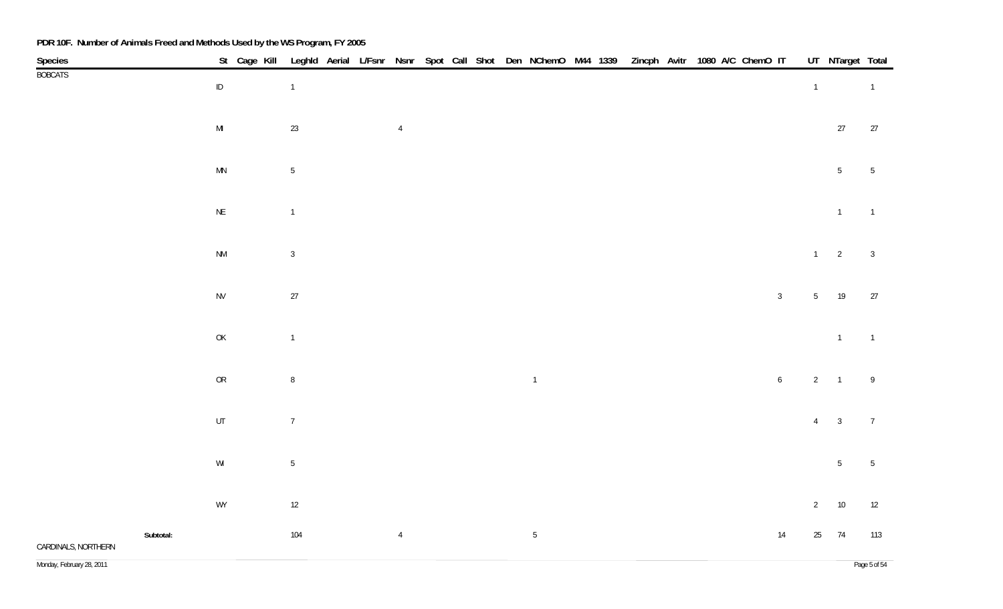| Species             |                                                                                       | St Cage Kill |                |  |                |  |  | Leghld Aerial L/Fsnr Nsnr Spot Call Shot Den NChemO M44 1339 Zincph Avitr 1080 A/C ChemO IT |  |  |  |                |                 | UT NTarget Total |                 |
|---------------------|---------------------------------------------------------------------------------------|--------------|----------------|--|----------------|--|--|---------------------------------------------------------------------------------------------|--|--|--|----------------|-----------------|------------------|-----------------|
| <b>BOBCATS</b>      | $\sf ID$                                                                              |              | $\overline{1}$ |  |                |  |  |                                                                                             |  |  |  |                | $\overline{1}$  |                  | $\overline{1}$  |
|                     | $\mathsf{MI}$                                                                         |              | 23             |  | $\overline{4}$ |  |  |                                                                                             |  |  |  |                |                 | 27               | 27              |
|                     | $\mathsf{M}\mathsf{N}$                                                                |              | $\sqrt{5}$     |  |                |  |  |                                                                                             |  |  |  |                |                 | $5\phantom{.0}$  | $\overline{5}$  |
|                     | $\mathsf{NE}\xspace$                                                                  |              | $\overline{1}$ |  |                |  |  |                                                                                             |  |  |  |                |                 | $\overline{1}$   | $\overline{1}$  |
|                     | $\mathsf{N}\mathsf{M}$                                                                |              | $\mathbf{3}$   |  |                |  |  |                                                                                             |  |  |  |                | $1 \qquad 2$    |                  | $\overline{3}$  |
|                     | ${\sf NV}$                                                                            |              | 27             |  |                |  |  |                                                                                             |  |  |  | $\overline{3}$ | 5 <sub>5</sub>  | 19               | 27              |
|                     | $\mathsf{OK}% \left( \mathcal{M}\right) \equiv\mathsf{OK}(\mathcal{M}_{\mathrm{CL}})$ |              | $\overline{1}$ |  |                |  |  |                                                                                             |  |  |  |                |                 | $\overline{1}$   | $\overline{1}$  |
|                     | OR                                                                                    |              | $\, 8$         |  |                |  |  | $\overline{1}$                                                                              |  |  |  | $\sqrt{6}$     | $2 \qquad 1$    |                  | $\overline{9}$  |
|                     | $\sf{UT}$                                                                             |              | $\overline{7}$ |  |                |  |  |                                                                                             |  |  |  |                | $4 \qquad 3$    |                  | $\overline{7}$  |
|                     | $\ensuremath{\mathsf{W}}\xspace\ensuremath{\mathsf{I}}$                               |              | $5\,$          |  |                |  |  |                                                                                             |  |  |  |                |                 | $5\phantom{.0}$  | $5\phantom{.0}$ |
|                     | WY                                                                                    |              | $12$           |  |                |  |  |                                                                                             |  |  |  |                | $2\overline{ }$ | 10               | 12              |
| CARDINALS, NORTHERN | Subtotal:                                                                             |              | 104            |  | $\overline{4}$ |  |  | $5\,$                                                                                       |  |  |  | 14             | $25\,$          | 74               | 113             |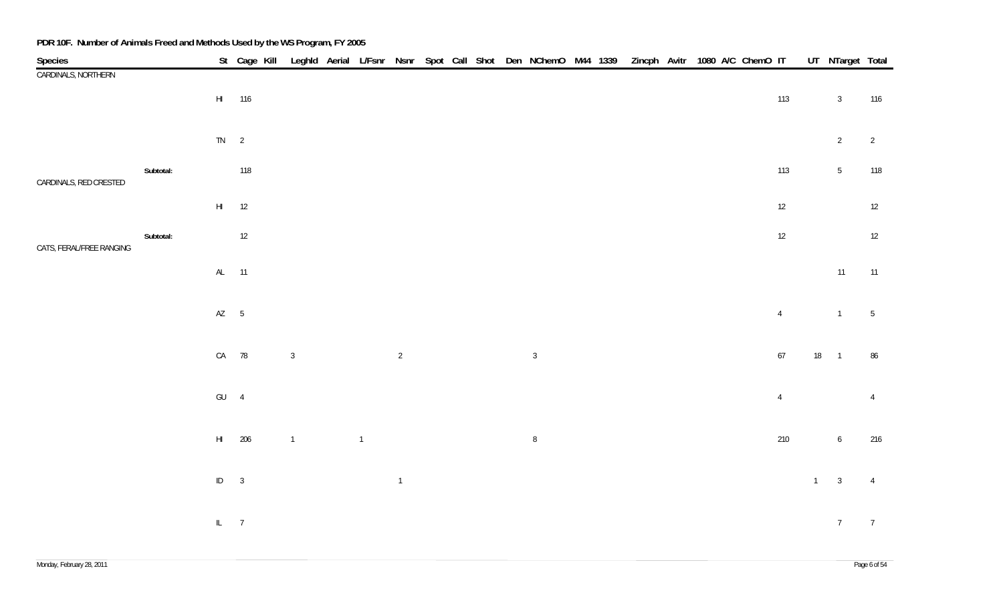| Species                  |           |               | St Cage Kill Leghld Aerial L/Fsnr Nsnr Spot Call Shot Den NChemO M44 1339 Zincph Avitr 1080 A/C ChemO IT UT NTarget Total |                |                |                |  |  |                |  |  |  |                |                |                 |                 |
|--------------------------|-----------|---------------|---------------------------------------------------------------------------------------------------------------------------|----------------|----------------|----------------|--|--|----------------|--|--|--|----------------|----------------|-----------------|-----------------|
| CARDINALS, NORTHERN      |           |               |                                                                                                                           |                |                |                |  |  |                |  |  |  |                |                |                 |                 |
|                          |           |               | HI 116                                                                                                                    |                |                |                |  |  |                |  |  |  | 113            |                | $\overline{3}$  | 116             |
|                          |           |               |                                                                                                                           |                |                |                |  |  |                |  |  |  |                |                |                 |                 |
|                          |           | $TN \qquad 2$ |                                                                                                                           |                |                |                |  |  |                |  |  |  |                |                | $2\overline{ }$ | $\overline{2}$  |
|                          | Subtotal: |               | 118                                                                                                                       |                |                |                |  |  |                |  |  |  | 113            |                | 5 <sub>5</sub>  | 118             |
| CARDINALS, RED CRESTED   |           |               |                                                                                                                           |                |                |                |  |  |                |  |  |  |                |                |                 |                 |
|                          |           |               | $HI$ 12                                                                                                                   |                |                |                |  |  |                |  |  |  | 12             |                |                 | 12              |
|                          | Subtotal: |               | 12                                                                                                                        |                |                |                |  |  |                |  |  |  | 12             |                |                 | 12              |
| CATS, FERAL/FREE RANGING |           |               |                                                                                                                           |                |                |                |  |  |                |  |  |  |                |                |                 |                 |
|                          |           |               | AL 11                                                                                                                     |                |                |                |  |  |                |  |  |  |                |                | 11              | 11              |
|                          |           |               |                                                                                                                           |                |                |                |  |  |                |  |  |  |                |                |                 |                 |
|                          |           | $AZ$ 5        |                                                                                                                           |                |                |                |  |  |                |  |  |  | $\overline{4}$ |                | $\overline{1}$  | $5\phantom{.0}$ |
|                          |           |               | CA 78                                                                                                                     | $\sqrt{3}$     |                | $\overline{2}$ |  |  | $\overline{3}$ |  |  |  | $67$           |                | 18 1            | 86              |
|                          |           |               |                                                                                                                           |                |                |                |  |  |                |  |  |  |                |                |                 |                 |
|                          |           | $GU$ 4        |                                                                                                                           |                |                |                |  |  |                |  |  |  | $\overline{4}$ |                |                 | $\overline{4}$  |
|                          |           |               |                                                                                                                           |                |                |                |  |  |                |  |  |  |                |                |                 |                 |
|                          |           |               | HI 206                                                                                                                    | $\overline{1}$ | $\overline{1}$ |                |  |  | $\, 8$         |  |  |  | $210\,$        |                | $6\overline{6}$ | 216             |
|                          |           |               |                                                                                                                           |                |                |                |  |  |                |  |  |  |                |                |                 |                 |
|                          |           | $ID \t 3$     |                                                                                                                           |                |                | $\mathbf{1}$   |  |  |                |  |  |  |                | $\overline{1}$ | $\overline{3}$  | $\overline{4}$  |
|                          |           |               |                                                                                                                           |                |                |                |  |  |                |  |  |  |                |                |                 |                 |
|                          |           | $IL$ 7        |                                                                                                                           |                |                |                |  |  |                |  |  |  |                |                | $7\overline{ }$ | $\overline{7}$  |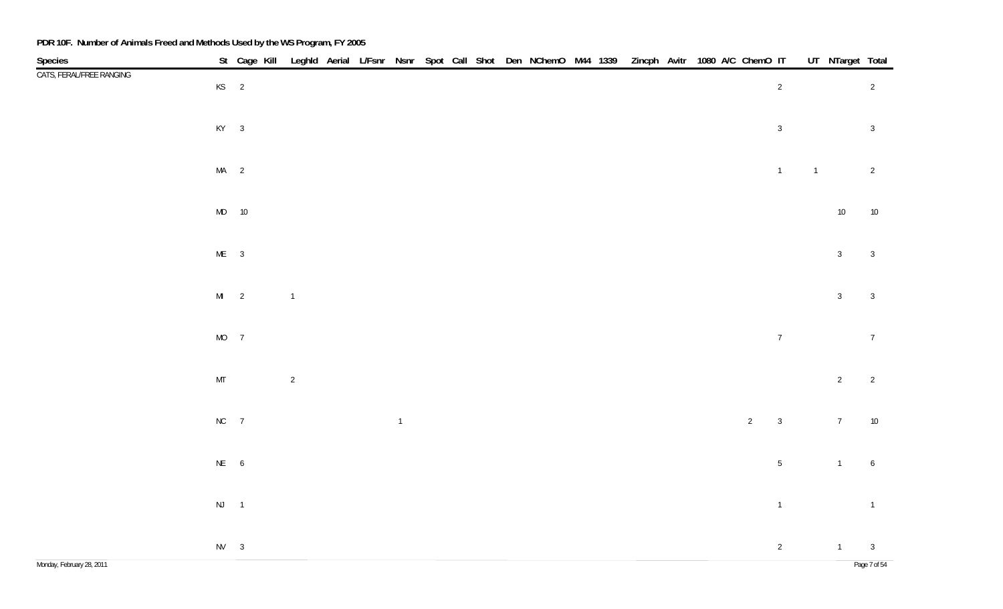| Species<br>CATS, FERAL/FREE RANGING |               | St Cage Kill Leghld Aerial L/Fsnr Nsnr Spot Call Shot Den NChemO M44 1339 Zincph Avitr 1080 A/C ChemO IT UT NTarget Total |                |  |               |  |  |  |  |  |                |                |                |                 |                                |
|-------------------------------------|---------------|---------------------------------------------------------------------------------------------------------------------------|----------------|--|---------------|--|--|--|--|--|----------------|----------------|----------------|-----------------|--------------------------------|
|                                     | $KS$ 2        |                                                                                                                           |                |  |               |  |  |  |  |  |                | $\overline{2}$ |                |                 | $\overline{2}$                 |
|                                     | $KY$ 3        |                                                                                                                           |                |  |               |  |  |  |  |  |                | $\mathbf{3}$   |                |                 | $\overline{3}$                 |
|                                     | $MA$ 2        |                                                                                                                           |                |  |               |  |  |  |  |  |                | $\overline{1}$ | $\overline{1}$ |                 | $\overline{2}$                 |
|                                     |               | $MD$ 10                                                                                                                   |                |  |               |  |  |  |  |  |                |                |                | $10\,$          | $10\,$                         |
|                                     | $ME$ 3        |                                                                                                                           |                |  |               |  |  |  |  |  |                |                |                | $\overline{3}$  | $\mathbf{3}$                   |
|                                     | $MI$ 2        |                                                                                                                           | $\overline{1}$ |  |               |  |  |  |  |  |                |                |                | $\mathbf{3}$    | $\mathbf{3}$                   |
|                                     | $MO$ 7        |                                                                                                                           |                |  |               |  |  |  |  |  |                | $\sqrt{7}$     |                |                 | $7\,$                          |
|                                     | $\mathsf{MT}$ |                                                                                                                           | $\overline{c}$ |  |               |  |  |  |  |  |                |                |                | $\overline{2}$  | $\overline{2}$                 |
|                                     | $NC$ 7        |                                                                                                                           |                |  | $\mathbbm{1}$ |  |  |  |  |  | $\overline{2}$ | $\mathbf{3}$   |                | $7\overline{ }$ | $10\,$                         |
|                                     | NE 6          |                                                                                                                           |                |  |               |  |  |  |  |  |                | $\sqrt{5}$     |                | $\overline{1}$  | $\boldsymbol{6}$               |
|                                     | $NJ$ 1        |                                                                                                                           |                |  |               |  |  |  |  |  |                | $\mathbf 1$    |                |                 | $\overline{1}$                 |
| Monday, February 28, 2011           | $NV$ 3        |                                                                                                                           |                |  |               |  |  |  |  |  |                | $\overline{2}$ |                | 1               | $\overline{3}$<br>Page 7 of 54 |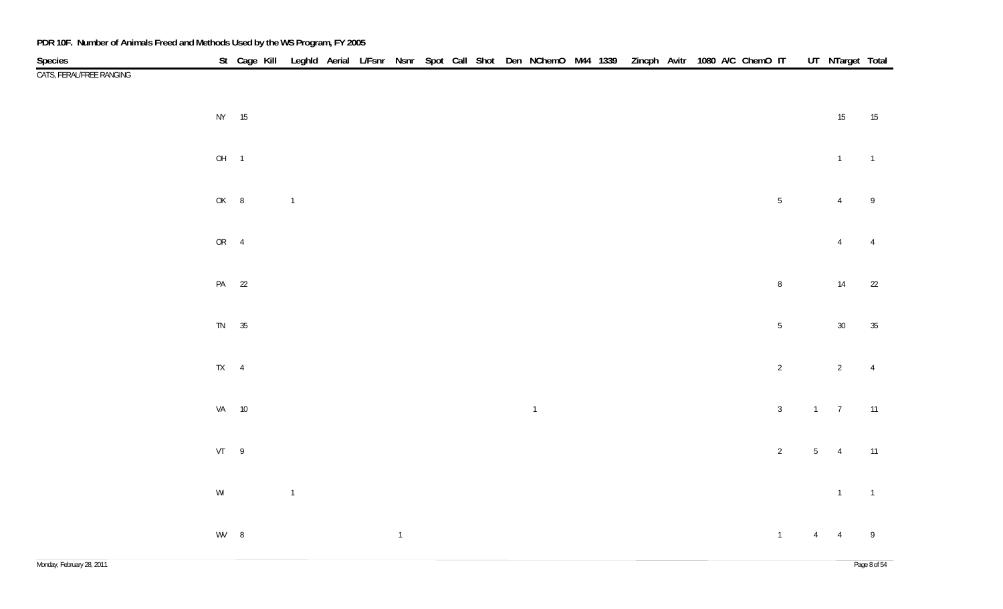| Species                  |                                                         | St Cage Kill Leghld Aerial L/Fsnr Nsnr Spot Call Shot Den NChemO M44 1339 Zincph Avitr 1080 A/C ChemO IT |                |  |                |  |  |                |  |  |  |                |                | UT NTarget Total |                |
|--------------------------|---------------------------------------------------------|----------------------------------------------------------------------------------------------------------|----------------|--|----------------|--|--|----------------|--|--|--|----------------|----------------|------------------|----------------|
| CATS, FERAL/FREE RANGING |                                                         |                                                                                                          |                |  |                |  |  |                |  |  |  |                |                |                  |                |
|                          | NY 15                                                   |                                                                                                          |                |  |                |  |  |                |  |  |  |                |                | $15\,$           | 15             |
|                          | OH <sub>1</sub>                                         |                                                                                                          |                |  |                |  |  |                |  |  |  |                |                | $\overline{1}$   | $\overline{1}$ |
|                          | OK 8                                                    |                                                                                                          | $\overline{1}$ |  |                |  |  |                |  |  |  | $\sqrt{5}$     |                | $\overline{4}$   | $\,9$          |
|                          | OR 4                                                    |                                                                                                          |                |  |                |  |  |                |  |  |  |                |                | $\overline{4}$   | $\overline{4}$ |
|                          | PA 22                                                   |                                                                                                          |                |  |                |  |  |                |  |  |  | $\, 8$         |                | $14\,$           | 22             |
|                          | TN 35                                                   |                                                                                                          |                |  |                |  |  |                |  |  |  | $\sqrt{5}$     |                | $30\,$           | $35\,$         |
|                          | $TX \qquad 4$                                           |                                                                                                          |                |  |                |  |  |                |  |  |  | $\sqrt{2}$     |                | $\overline{2}$   | $\overline{4}$ |
|                          | VA 10                                                   |                                                                                                          |                |  |                |  |  | $\overline{1}$ |  |  |  | $\sqrt{3}$     |                | $1 \qquad 7$     | 11             |
|                          | VT 9                                                    |                                                                                                          |                |  |                |  |  |                |  |  |  | $\sqrt{2}$     | 5 <sub>5</sub> | $\overline{4}$   | 11             |
|                          | $\ensuremath{\mathsf{W}}\xspace\ensuremath{\mathsf{I}}$ |                                                                                                          | $\mathbbm{1}$  |  |                |  |  |                |  |  |  |                |                | $\overline{1}$   | $\overline{1}$ |
|                          | WV 8                                                    |                                                                                                          |                |  | $\overline{1}$ |  |  |                |  |  |  | $\overline{1}$ | $\overline{4}$ | $\overline{4}$   | $\overline{9}$ |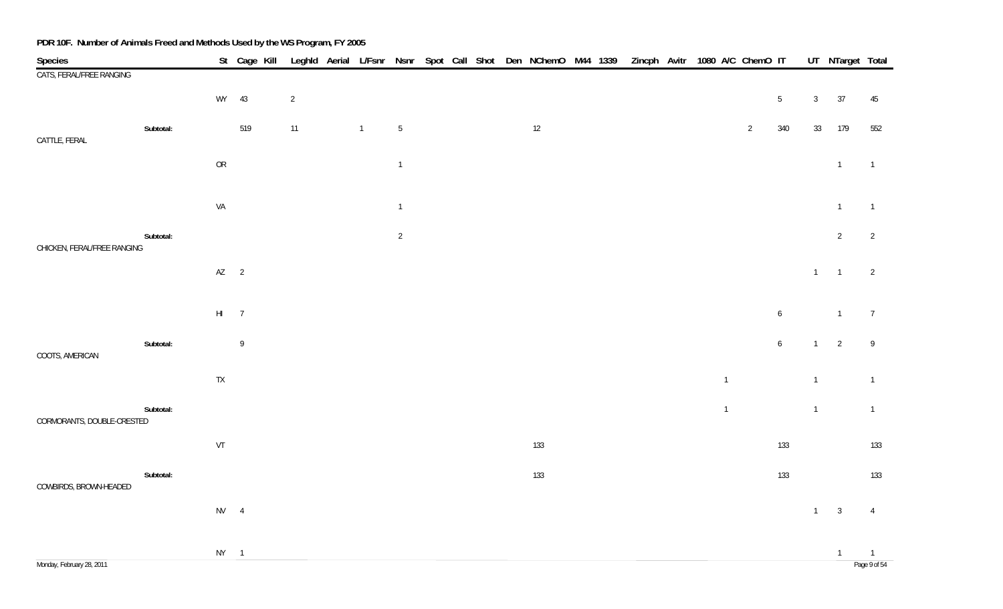| Species                     |           |        |             |                |                |                 |  |  | St Cage Kill Leghld Aerial L/Fsnr Nsnr Spot Call Shot Den NChemO M44 1339 Zincph Avitr 1080 A/C ChemO IT |  |  |                |                |                  |                | UT NTarget Total        |                |
|-----------------------------|-----------|--------|-------------|----------------|----------------|-----------------|--|--|----------------------------------------------------------------------------------------------------------|--|--|----------------|----------------|------------------|----------------|-------------------------|----------------|
| CATS, FERAL/FREE RANGING    |           |        |             |                |                |                 |  |  |                                                                                                          |  |  |                |                |                  |                |                         |                |
|                             |           | WY     | 43          | $\overline{2}$ |                |                 |  |  |                                                                                                          |  |  |                |                | $5\phantom{.0}$  | $\mathbf{3}$   | 37                      | 45             |
|                             | Subtotal: |        | 519         | 11             | $\overline{1}$ | $5\phantom{.0}$ |  |  | $12$                                                                                                     |  |  |                | $\overline{2}$ | 340              | 33             | 179                     | 552            |
| CATTLE, FERAL               |           | OR     |             |                |                | $\overline{1}$  |  |  |                                                                                                          |  |  |                |                |                  |                | $\overline{1}$          | $\overline{1}$ |
|                             |           |        |             |                |                |                 |  |  |                                                                                                          |  |  |                |                |                  |                |                         |                |
|                             |           | VA     |             |                |                | $\overline{1}$  |  |  |                                                                                                          |  |  |                |                |                  |                | $\overline{1}$          | $\overline{1}$ |
|                             | Subtotal: |        |             |                |                | $\overline{2}$  |  |  |                                                                                                          |  |  |                |                |                  |                | $\overline{2}$          | 2              |
| CHICKEN, FERAL/FREE RANGING |           | $AZ$ 2 |             |                |                |                 |  |  |                                                                                                          |  |  |                |                |                  | $1 -$          | $\overline{1}$          | $\overline{2}$ |
|                             |           |        |             |                |                |                 |  |  |                                                                                                          |  |  |                |                |                  |                |                         |                |
|                             |           | $HI$ 7 |             |                |                |                 |  |  |                                                                                                          |  |  |                |                | $\boldsymbol{6}$ |                | $\overline{1}$          | $\overline{7}$ |
|                             | Subtotal: |        | $\,$ 9 $\,$ |                |                |                 |  |  |                                                                                                          |  |  |                |                | $\boldsymbol{6}$ | $\overline{1}$ | $\overline{2}$          | $\overline{9}$ |
| COOTS, AMERICAN             |           | TX     |             |                |                |                 |  |  |                                                                                                          |  |  | $\overline{1}$ |                |                  | $\overline{1}$ |                         | $\overline{1}$ |
|                             |           |        |             |                |                |                 |  |  |                                                                                                          |  |  |                |                |                  |                |                         |                |
| CORMORANTS, DOUBLE-CRESTED  | Subtotal: |        |             |                |                |                 |  |  |                                                                                                          |  |  | $\overline{1}$ |                |                  | $\overline{1}$ |                         | $\overline{1}$ |
|                             |           | VT     |             |                |                |                 |  |  | 133                                                                                                      |  |  |                |                | 133              |                |                         | 133            |
|                             | Subtotal: |        |             |                |                |                 |  |  | 133                                                                                                      |  |  |                |                | 133              |                |                         | 133            |
| COWBIRDS, BROWN-HEADED      |           | $NV$ 4 |             |                |                |                 |  |  |                                                                                                          |  |  |                |                |                  | $\overline{1}$ | $\overline{\mathbf{3}}$ | $\overline{4}$ |
|                             |           |        |             |                |                |                 |  |  |                                                                                                          |  |  |                |                |                  |                |                         |                |
|                             |           | $NY$ 1 |             |                |                |                 |  |  |                                                                                                          |  |  |                |                |                  |                | $\overline{1}$          | $\overline{1}$ |
| Monday, February 28, 2011   |           |        |             |                |                |                 |  |  |                                                                                                          |  |  |                |                |                  |                |                         | Page 9 of 54   |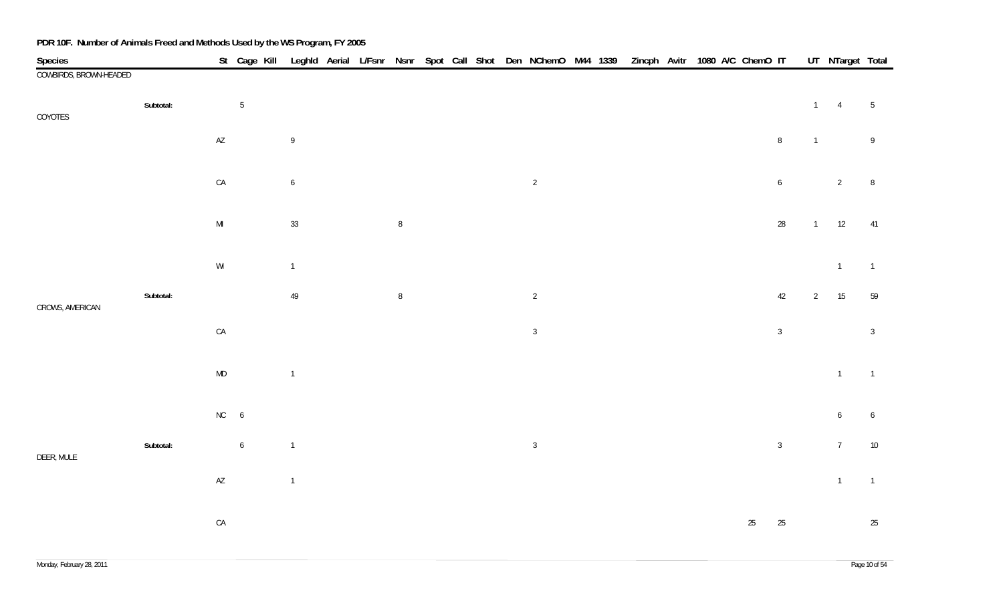| Species                |           |                                                         | St Cage Kill Leghld Aerial L/Fsnr Nsnr Spot Call Shot Den NChemO M44 1339 |                |  |        |  |  |                |  |  | Zincph Avitr 1080 A/C ChemO IT |        |                  |                | UT NTarget Total |                  |
|------------------------|-----------|---------------------------------------------------------|---------------------------------------------------------------------------|----------------|--|--------|--|--|----------------|--|--|--------------------------------|--------|------------------|----------------|------------------|------------------|
| COWBIRDS, BROWN-HEADED |           |                                                         |                                                                           |                |  |        |  |  |                |  |  |                                |        |                  |                |                  |                  |
| COYOTES                | Subtotal: |                                                         | $\sqrt{5}$                                                                |                |  |        |  |  |                |  |  |                                |        |                  | $1 -$          | $\overline{4}$   | $5\phantom{.0}$  |
|                        |           | $\mathsf{A}\mathsf{Z}$                                  |                                                                           | 9              |  |        |  |  |                |  |  |                                |        | $\, 8$           | $\mathbf{1}$   |                  | $\boldsymbol{9}$ |
|                        |           | ${\sf CA}$                                              |                                                                           | $\overline{6}$ |  |        |  |  | $\overline{2}$ |  |  |                                |        | $\boldsymbol{6}$ |                | $\overline{2}$   | $\, 8$           |
|                        |           | $\mathsf{MI}$                                           |                                                                           | $33\,$         |  | $\, 8$ |  |  |                |  |  |                                |        | $28\,$           | 1              | 12               | 41               |
|                        |           | $\ensuremath{\mathsf{W}}\xspace\ensuremath{\mathsf{I}}$ |                                                                           | $\overline{1}$ |  |        |  |  |                |  |  |                                |        |                  |                | $\overline{1}$   | $\overline{1}$   |
| CROWS, AMERICAN        | Subtotal: |                                                         |                                                                           | $49\,$         |  | $\, 8$ |  |  | $\overline{2}$ |  |  |                                |        | $42\,$           | $\overline{2}$ | 15               | 59               |
|                        |           | ${\sf CA}$                                              |                                                                           |                |  |        |  |  | $\sqrt{3}$     |  |  |                                |        | $\mathbf{3}$     |                |                  | $\mathbf{3}$     |
|                        |           | $\mathsf{MD}$                                           |                                                                           | $\overline{1}$ |  |        |  |  |                |  |  |                                |        |                  |                | $\overline{1}$   | $\overline{1}$   |
|                        |           | $NC$ 6                                                  |                                                                           |                |  |        |  |  |                |  |  |                                |        |                  |                | 6                | $\boldsymbol{6}$ |
| DEER, MULE             | Subtotal: |                                                         | $\boldsymbol{6}$                                                          | $\overline{1}$ |  |        |  |  | $\mathbf{3}$   |  |  |                                |        | $\mathbf{3}$     |                | $7\overline{ }$  | $10\,$           |
|                        |           | $\mathsf{A}\mathsf{Z}$                                  |                                                                           | $\mathbf{1}$   |  |        |  |  |                |  |  |                                |        |                  |                | $\overline{1}$   | $\overline{1}$   |
|                        |           | CA                                                      |                                                                           |                |  |        |  |  |                |  |  |                                | $25\,$ | 25               |                |                  | 25               |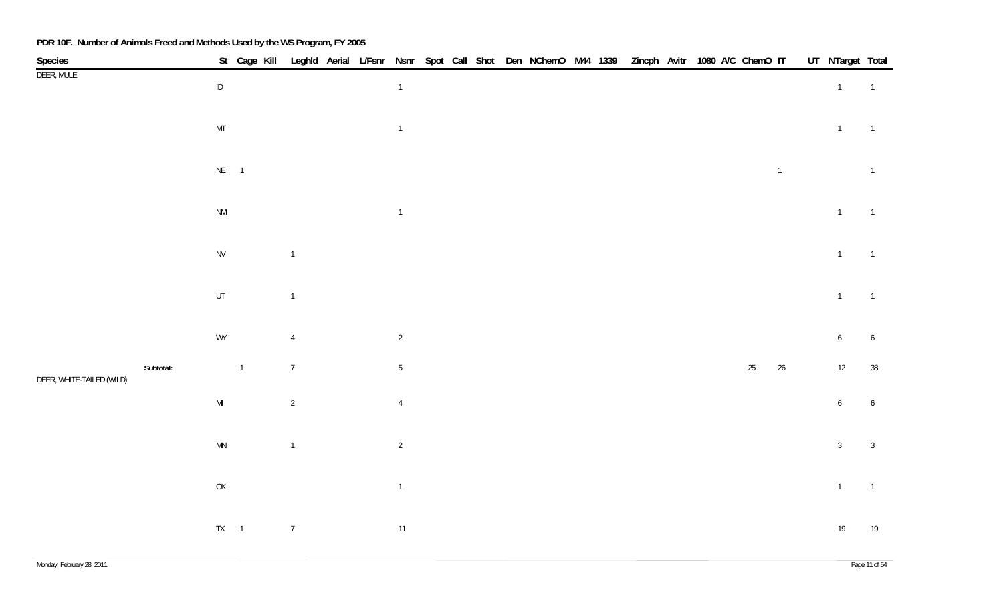|                           |           |                                                                                                    |                |                |  |                |  |  | St Cage Kill Leghld Aerial L/Fsnr Nsnr Spot Call Shot Den NChemO M44 1339 Zincph Avitr 1080 A/C ChemO IT |  |  |  |        |                | UT NTarget Total |                |
|---------------------------|-----------|----------------------------------------------------------------------------------------------------|----------------|----------------|--|----------------|--|--|----------------------------------------------------------------------------------------------------------|--|--|--|--------|----------------|------------------|----------------|
| Species<br>DEER, MULE     |           | $\sf ID$                                                                                           |                |                |  | $\overline{1}$ |  |  |                                                                                                          |  |  |  |        |                | $\mathbf{1}$     | $\overline{1}$ |
|                           |           |                                                                                                    |                |                |  |                |  |  |                                                                                                          |  |  |  |        |                |                  |                |
|                           |           | $\mathsf{MT}$                                                                                      |                |                |  | $\overline{1}$ |  |  |                                                                                                          |  |  |  |        |                | $\overline{1}$   | $\overline{1}$ |
|                           |           |                                                                                                    |                |                |  |                |  |  |                                                                                                          |  |  |  |        |                |                  |                |
|                           |           | $NE$ 1                                                                                             |                |                |  |                |  |  |                                                                                                          |  |  |  |        | $\overline{1}$ |                  | $\overline{1}$ |
|                           |           |                                                                                                    |                |                |  |                |  |  |                                                                                                          |  |  |  |        |                |                  |                |
|                           |           | $\mathsf{N}\mathsf{M}$                                                                             |                |                |  | $\overline{1}$ |  |  |                                                                                                          |  |  |  |        |                | $\overline{1}$   | $\overline{1}$ |
|                           |           |                                                                                                    |                |                |  |                |  |  |                                                                                                          |  |  |  |        |                |                  |                |
|                           |           | ${\sf NV}$                                                                                         |                | $\overline{1}$ |  |                |  |  |                                                                                                          |  |  |  |        |                | $\overline{1}$   | $\overline{1}$ |
|                           |           |                                                                                                    |                |                |  |                |  |  |                                                                                                          |  |  |  |        |                |                  |                |
|                           |           | UT                                                                                                 |                | $\mathbf{1}$   |  |                |  |  |                                                                                                          |  |  |  |        |                | $\overline{1}$   | $\overline{1}$ |
|                           |           |                                                                                                    |                |                |  |                |  |  |                                                                                                          |  |  |  |        |                |                  |                |
|                           |           | WY                                                                                                 |                | $\overline{4}$ |  | $\overline{2}$ |  |  |                                                                                                          |  |  |  |        |                | $\boldsymbol{6}$ | 6              |
|                           | Subtotal: |                                                                                                    | $\overline{1}$ | $\overline{7}$ |  | $\sqrt{5}$     |  |  |                                                                                                          |  |  |  | $25\,$ | $26\,$         |                  |                |
| DEER, WHITE-TAILED (WILD) |           |                                                                                                    |                |                |  |                |  |  |                                                                                                          |  |  |  |        |                | 12               | $38\,$         |
|                           |           | $\mathsf{MI}$                                                                                      |                | $\sqrt{2}$     |  | $\overline{4}$ |  |  |                                                                                                          |  |  |  |        |                | 6                | 6              |
|                           |           |                                                                                                    |                |                |  |                |  |  |                                                                                                          |  |  |  |        |                |                  |                |
|                           |           | $\mathsf{M}\mathsf{N}$                                                                             |                | $\overline{1}$ |  | $\overline{2}$ |  |  |                                                                                                          |  |  |  |        |                | $\mathbf{3}$     | $\overline{3}$ |
|                           |           |                                                                                                    |                |                |  |                |  |  |                                                                                                          |  |  |  |        |                |                  |                |
|                           |           | $\mathsf{OK}% \left( \mathcal{M}\right) \equiv\mathsf{OK}(\mathcal{M}_{\mathrm{CL}}(\mathcal{M}))$ |                |                |  | $\overline{1}$ |  |  |                                                                                                          |  |  |  |        |                | $\overline{1}$   | $\overline{1}$ |
|                           |           |                                                                                                    |                |                |  |                |  |  |                                                                                                          |  |  |  |        |                |                  |                |
|                           |           | $TX \qquad 1$                                                                                      |                | $\overline{7}$ |  | 11             |  |  |                                                                                                          |  |  |  |        |                | 19               | 19             |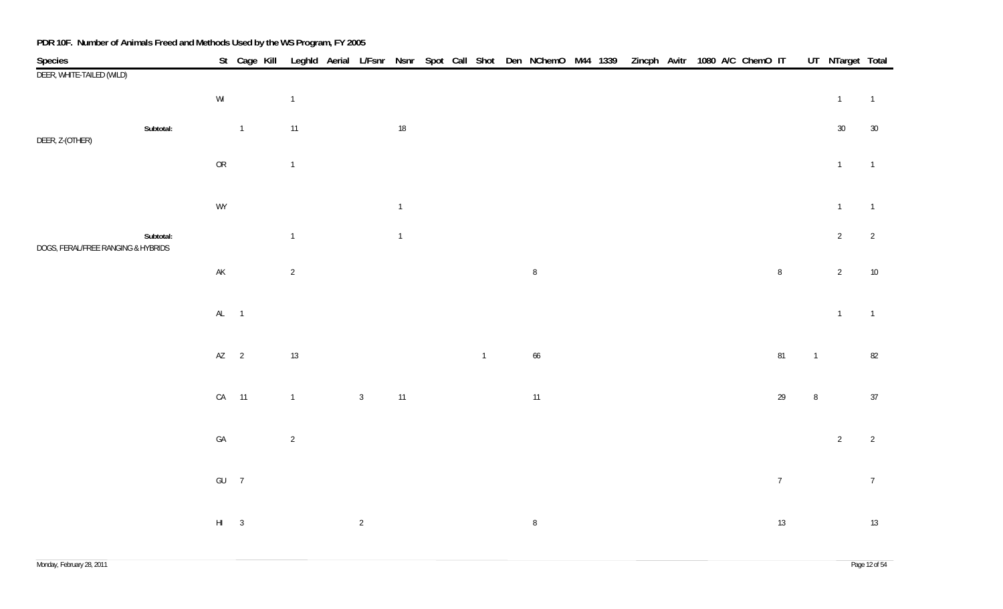| Species                            |           |                                                         | St Cage Kill   |              |                |                |  |                | Leghld Aerial L/Fsnr Nsnr Spot Call Shot Den NChemO M44 1339 Zincph Avitr 1080 A/C ChemO IT |  |  |  |                |                | UT NTarget Total |                |
|------------------------------------|-----------|---------------------------------------------------------|----------------|--------------|----------------|----------------|--|----------------|---------------------------------------------------------------------------------------------|--|--|--|----------------|----------------|------------------|----------------|
| DEER, WHITE-TAILED (WILD)          |           |                                                         |                |              |                |                |  |                |                                                                                             |  |  |  |                |                |                  |                |
|                                    |           | $\ensuremath{\mathsf{W}}\xspace\ensuremath{\mathsf{I}}$ |                | $\mathbf{1}$ |                |                |  |                |                                                                                             |  |  |  |                |                | $\overline{1}$   | $\overline{1}$ |
|                                    | Subtotal: |                                                         | $\overline{1}$ | 11           |                | $18\,$         |  |                |                                                                                             |  |  |  |                |                | 30               | 30             |
| DEER, Z-(OTHER)                    |           | ${\sf OR}$                                              |                | $\mathbf{1}$ |                |                |  |                |                                                                                             |  |  |  |                |                | $\mathbf{1}$     | $\overline{1}$ |
|                                    |           | WY                                                      |                |              |                | $\overline{1}$ |  |                |                                                                                             |  |  |  |                |                | $\mathbf{1}$     | $\overline{1}$ |
| DOGS, FERAL/FREE RANGING & HYBRIDS | Subtotal: |                                                         |                | $\mathbf{1}$ |                | $\overline{1}$ |  |                |                                                                                             |  |  |  |                |                | $\overline{2}$   | $\overline{2}$ |
|                                    |           | $\mathsf{AK}$                                           |                | $\sqrt{2}$   |                |                |  |                | $\, 8$                                                                                      |  |  |  | $\,8\,$        |                | $\overline{2}$   | $10\,$         |
|                                    |           | $AL$ 1                                                  |                |              |                |                |  |                |                                                                                             |  |  |  |                |                | $\overline{1}$   | $\overline{1}$ |
|                                    |           | $AZ$ 2                                                  |                | 13           |                |                |  | $\overline{1}$ | 66                                                                                          |  |  |  | 81             | $\overline{1}$ |                  | 82             |
|                                    |           |                                                         | CA 11          | $\mathbf 1$  | $\mathbf{3}$   | 11             |  |                | 11                                                                                          |  |  |  | $29$           | $\, 8$         |                  | 37             |
|                                    |           | $\mathsf{GA}$                                           |                | $\sqrt{2}$   |                |                |  |                |                                                                                             |  |  |  |                |                | $\overline{2}$   | $\overline{2}$ |
|                                    |           | $GU$ 7                                                  |                |              |                |                |  |                |                                                                                             |  |  |  | $\overline{7}$ |                |                  | $\overline{7}$ |
|                                    |           | $HI$ 3                                                  |                |              | $\overline{2}$ |                |  |                | $\, 8$                                                                                      |  |  |  | 13             |                |                  | 13             |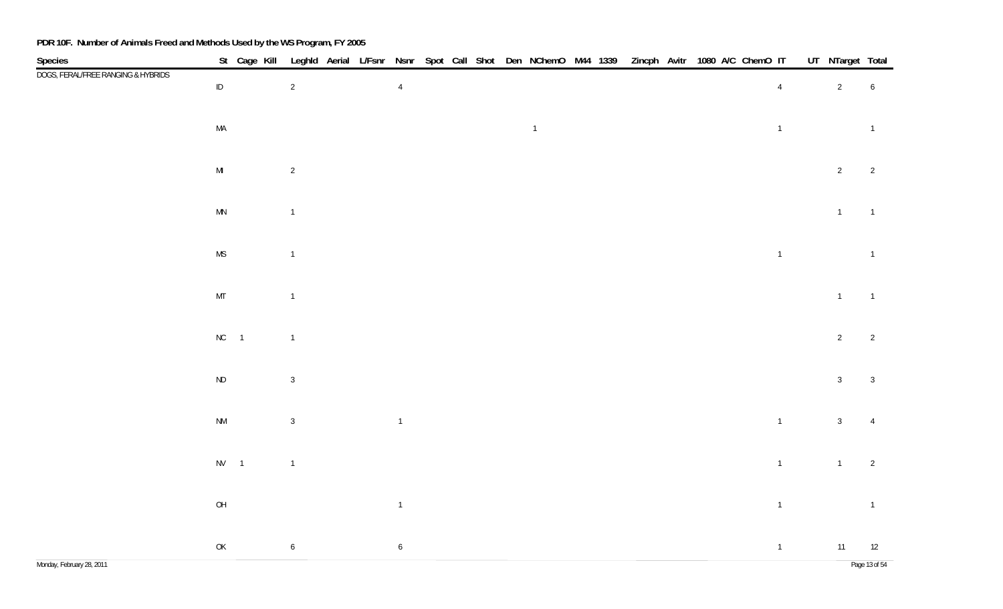| Species<br>DOGS, FERAL/FREE RANGING & HYBRIDS |                                                                                                    | St Cage Kill Leghld Aerial L/Fsnr Nsnr Spot Call Shot Den NChemO M44 1339 Zincph Avitr 1080 A/C ChemO IT |                  |  |                  |  |  |                |  |  |  |                | UT NTarget Total |                     |
|-----------------------------------------------|----------------------------------------------------------------------------------------------------|----------------------------------------------------------------------------------------------------------|------------------|--|------------------|--|--|----------------|--|--|--|----------------|------------------|---------------------|
|                                               | $\sf ID$                                                                                           |                                                                                                          | $\overline{2}$   |  | $\overline{4}$   |  |  |                |  |  |  | $\overline{4}$ | $\overline{2}$   | $\overline{6}$      |
|                                               | $\sf MA$                                                                                           |                                                                                                          |                  |  |                  |  |  | $\overline{1}$ |  |  |  | $\overline{1}$ |                  | $\overline{1}$      |
|                                               | $\mathsf{MI}$                                                                                      |                                                                                                          | $\overline{c}$   |  |                  |  |  |                |  |  |  |                | $\overline{2}$   | $\overline{2}$      |
|                                               | $\mathsf{MN}$                                                                                      |                                                                                                          | $\mathbf{1}$     |  |                  |  |  |                |  |  |  |                | $\overline{1}$   | $\overline{1}$      |
|                                               | $\mathsf{MS}\xspace$                                                                               |                                                                                                          | $\overline{1}$   |  |                  |  |  |                |  |  |  | $\mathbf 1$    |                  | $\overline{1}$      |
|                                               | $\mathsf{MT}$                                                                                      |                                                                                                          | $\overline{1}$   |  |                  |  |  |                |  |  |  |                | $\overline{1}$   | $\overline{1}$      |
|                                               | $NC$ 1                                                                                             |                                                                                                          | $\overline{1}$   |  |                  |  |  |                |  |  |  |                | $\overline{2}$   | $\overline{2}$      |
|                                               | $\sf ND$                                                                                           |                                                                                                          | $\overline{3}$   |  |                  |  |  |                |  |  |  |                | 3 <sup>7</sup>   | $\overline{3}$      |
|                                               | $\mathsf{N}\mathsf{M}$                                                                             |                                                                                                          | $\mathbf{3}$     |  | $\overline{1}$   |  |  |                |  |  |  | $\overline{1}$ | $\mathbf{3}$     |                     |
|                                               | $NV$ 1                                                                                             |                                                                                                          | $\mathbf{1}$     |  |                  |  |  |                |  |  |  | $\overline{1}$ | $\overline{1}$   | $\overline{2}$      |
|                                               | $\mathsf{OH}$                                                                                      |                                                                                                          |                  |  | $\overline{1}$   |  |  |                |  |  |  | $\overline{1}$ |                  | $\overline{1}$      |
| Monday, February 28, 2011                     | $\mathsf{OK}% \left( \mathcal{M}\right) \equiv\mathsf{OK}(\mathcal{M}_{\mathrm{CL}}(\mathcal{M}))$ |                                                                                                          | $\boldsymbol{6}$ |  | $\boldsymbol{6}$ |  |  |                |  |  |  | $\overline{1}$ | 11               | 12<br>Page 13 of 54 |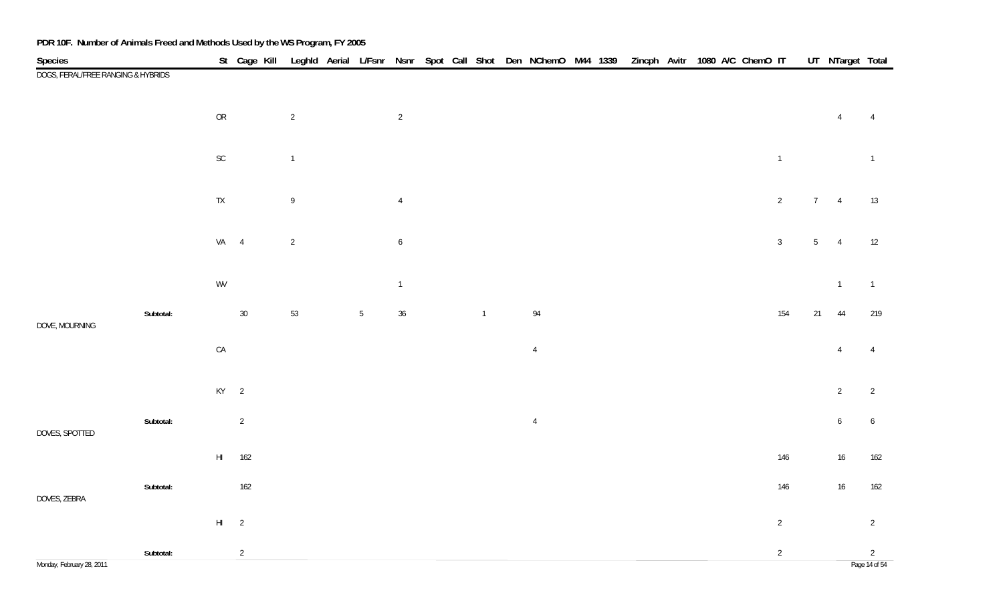| Species                            |           |                          | St Cage Kill Leghld Aerial L/Fsnr Nsnr Spot Call Shot Den NChemO M44 1339 Zincph Avitr 1080 A/C ChemO IT |                |       |                 |  |                |                |  |  |  |                |     |                 | UT NTarget Total |                                 |
|------------------------------------|-----------|--------------------------|----------------------------------------------------------------------------------------------------------|----------------|-------|-----------------|--|----------------|----------------|--|--|--|----------------|-----|-----------------|------------------|---------------------------------|
| DOGS, FERAL/FREE RANGING & HYBRIDS |           |                          |                                                                                                          |                |       |                 |  |                |                |  |  |  |                |     |                 |                  |                                 |
|                                    |           | ${\sf OR}$               |                                                                                                          | $\overline{2}$ |       | $\overline{2}$  |  |                |                |  |  |  |                |     |                 | $\overline{4}$   | $\overline{4}$                  |
|                                    |           | $\mathsf{SC}$            |                                                                                                          | $\mathbf{1}$   |       |                 |  |                |                |  |  |  | $\overline{1}$ |     |                 |                  | $\overline{1}$                  |
|                                    |           | ${\sf TX}$               |                                                                                                          | $\,9$          |       | $\overline{4}$  |  |                |                |  |  |  | $\overline{2}$ |     | 7               | $\overline{4}$   | 13                              |
|                                    |           | $VA$ 4                   |                                                                                                          | $\overline{2}$ |       | $6\overline{6}$ |  |                |                |  |  |  | $\overline{3}$ |     | $5\phantom{.0}$ | $\overline{4}$   | 12                              |
|                                    |           | WV                       |                                                                                                          |                |       | $\overline{1}$  |  |                |                |  |  |  |                |     |                 | $\overline{1}$   | $\overline{1}$                  |
| DOVE, MOURNING                     | Subtotal: |                          | $30\,$                                                                                                   | 53             | $5\,$ | 36              |  | $\overline{1}$ | 94             |  |  |  |                | 154 | 21              | 44               | 219                             |
|                                    |           | ${\sf CA}$               |                                                                                                          |                |       |                 |  |                | $\overline{4}$ |  |  |  |                |     |                 | $\overline{4}$   | $\overline{4}$                  |
|                                    |           | $KY$ 2                   |                                                                                                          |                |       |                 |  |                |                |  |  |  |                |     |                 | $\overline{2}$   | $\overline{2}$                  |
| DOVES, SPOTTED                     | Subtotal: |                          | $\overline{2}$                                                                                           |                |       |                 |  |                | $\overline{4}$ |  |  |  |                |     |                 | $6\phantom{.0}$  | $\boldsymbol{6}$                |
|                                    |           | $\mathsf{H}\mathsf{I}^-$ | 162                                                                                                      |                |       |                 |  |                |                |  |  |  |                | 146 |                 | 16               | 162                             |
| DOVES, ZEBRA                       | Subtotal: |                          | 162                                                                                                      |                |       |                 |  |                |                |  |  |  |                | 146 |                 | 16               | 162                             |
|                                    |           | $HI$ 2                   |                                                                                                          |                |       |                 |  |                |                |  |  |  | $\overline{2}$ |     |                 |                  | $\overline{2}$                  |
| Monday, February 28, 2011          | Subtotal: |                          | $\overline{2}$                                                                                           |                |       |                 |  |                |                |  |  |  | $\overline{2}$ |     |                 |                  | $\overline{2}$<br>Page 14 of 54 |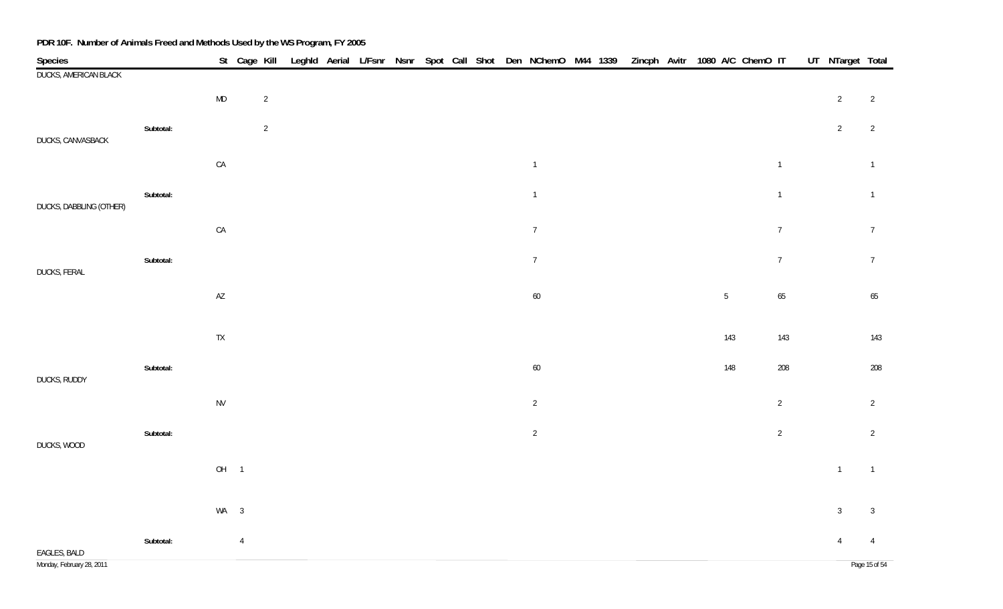| Species                   |           |               | St Cage Kill Leghld Aerial L/Fsnr Nsnr Spot Call Shot Den NChemO M44 1339 |  |  |  |  |                  |  | Zincph Avitr 1080 A/C ChemO IT |  |                 |                | UT NTarget Total |                |
|---------------------------|-----------|---------------|---------------------------------------------------------------------------|--|--|--|--|------------------|--|--------------------------------|--|-----------------|----------------|------------------|----------------|
| DUCKS, AMERICAN BLACK     |           |               |                                                                           |  |  |  |  |                  |  |                                |  |                 |                |                  |                |
|                           |           | $\sf MD$      | $\overline{2}$                                                            |  |  |  |  |                  |  |                                |  |                 |                | $\overline{2}$   | $\overline{2}$ |
|                           | Subtotal: |               | $\overline{2}$                                                            |  |  |  |  |                  |  |                                |  |                 |                | $\overline{2}$   | 2              |
| DUCKS, CANVASBACK         |           |               |                                                                           |  |  |  |  |                  |  |                                |  |                 |                |                  |                |
|                           |           | CA            |                                                                           |  |  |  |  | $\mathbf{1}$     |  |                                |  |                 | $\overline{1}$ |                  | $\overline{1}$ |
|                           | Subtotal: |               |                                                                           |  |  |  |  | $\mathbf{1}$     |  |                                |  |                 | $\overline{1}$ |                  | $\overline{1}$ |
| DUCKS, DABBLING (OTHER)   |           |               |                                                                           |  |  |  |  |                  |  |                                |  |                 |                |                  |                |
|                           |           | CA            |                                                                           |  |  |  |  | $\boldsymbol{7}$ |  |                                |  |                 | $\overline{7}$ |                  | $\overline{7}$ |
| DUCKS, FERAL              | Subtotal: |               |                                                                           |  |  |  |  | $\overline{7}$   |  |                                |  |                 | $\overline{7}$ |                  | $\overline{7}$ |
|                           |           | $\mathsf{AZ}$ |                                                                           |  |  |  |  | $60\,$           |  |                                |  | $5\phantom{.0}$ | 65             |                  | 65             |
|                           |           |               |                                                                           |  |  |  |  |                  |  |                                |  |                 |                |                  |                |
|                           |           | ${\sf TX}$    |                                                                           |  |  |  |  |                  |  |                                |  | 143             | 143            |                  | 143            |
|                           | Subtotal: |               |                                                                           |  |  |  |  |                  |  |                                |  | 148             | 208            |                  | 208            |
| DUCKS, RUDDY              |           |               |                                                                           |  |  |  |  | $60\,$           |  |                                |  |                 |                |                  |                |
|                           |           | <b>NV</b>     |                                                                           |  |  |  |  | $\sqrt{2}$       |  |                                |  |                 | $\overline{2}$ |                  | $\overline{2}$ |
|                           | Subtotal: |               |                                                                           |  |  |  |  | $\sqrt{2}$       |  |                                |  |                 | 2              |                  | $\overline{2}$ |
| DUCKS, WOOD               |           |               |                                                                           |  |  |  |  |                  |  |                                |  |                 |                |                  |                |
|                           |           |               | OH <sub>1</sub>                                                           |  |  |  |  |                  |  |                                |  |                 |                | $\overline{1}$   | $\overline{1}$ |
|                           |           |               |                                                                           |  |  |  |  |                  |  |                                |  |                 |                |                  |                |
|                           |           |               | $WA$ 3                                                                    |  |  |  |  |                  |  |                                |  |                 |                | $\mathbf{3}$     | $\overline{3}$ |
| EAGLES, BALD              | Subtotal: |               | $\overline{4}$                                                            |  |  |  |  |                  |  |                                |  |                 |                | $\overline{4}$   | $\overline{4}$ |
| Monday, February 28, 2011 |           |               |                                                                           |  |  |  |  |                  |  |                                |  |                 |                |                  | Page 15 of 54  |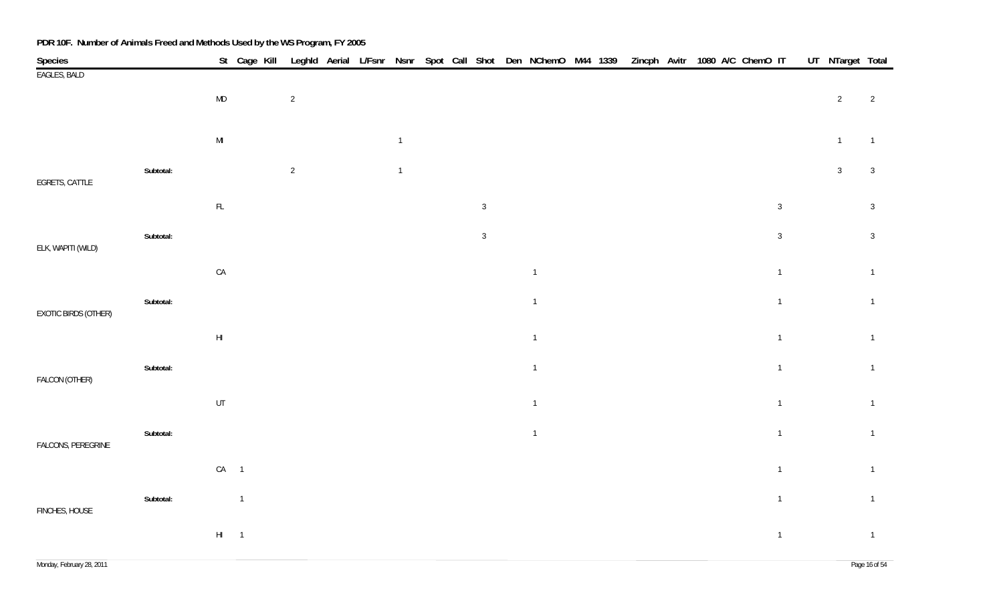| Species              |           |               | St Cage Kill   |                |  |                |  |              | Leghld Aerial L/Fsnr Nsnr Spot Call Shot Den NChemO M44 1339 |  | Zincph Avitr 1080 A/C ChemO IT |  |  |                | UT NTarget Total |                |
|----------------------|-----------|---------------|----------------|----------------|--|----------------|--|--------------|--------------------------------------------------------------|--|--------------------------------|--|--|----------------|------------------|----------------|
| EAGLES, BALD         |           |               |                |                |  |                |  |              |                                                              |  |                                |  |  |                |                  |                |
|                      |           | MD            |                | $\sqrt{2}$     |  |                |  |              |                                                              |  |                                |  |  |                | $\overline{2}$   | $\overline{2}$ |
|                      |           |               |                |                |  |                |  |              |                                                              |  |                                |  |  |                |                  |                |
|                      |           | $\mathsf{MI}$ |                |                |  | $\overline{1}$ |  |              |                                                              |  |                                |  |  |                | $\overline{1}$   | $\overline{1}$ |
|                      | Subtotal: |               |                | $\overline{2}$ |  | $\overline{1}$ |  |              |                                                              |  |                                |  |  |                | $\mathbf{3}$     | $\overline{3}$ |
| EGRETS, CATTLE       |           |               |                |                |  |                |  |              |                                                              |  |                                |  |  |                |                  |                |
|                      |           | $\mathsf{FL}$ |                |                |  |                |  | $\mathbf{3}$ |                                                              |  |                                |  |  | $\sqrt{3}$     |                  | $\mathbf{3}$   |
|                      | Subtotal: |               |                |                |  |                |  | $\mathbf{3}$ |                                                              |  |                                |  |  | $\mathbf{3}$   |                  | $\overline{3}$ |
| ELK, WAPITI (WILD)   |           |               |                |                |  |                |  |              |                                                              |  |                                |  |  |                |                  |                |
|                      |           | ${\sf CA}$    |                |                |  |                |  |              | $\mathbf{1}$                                                 |  |                                |  |  | $\overline{1}$ |                  | $\overline{1}$ |
|                      | Subtotal: |               |                |                |  |                |  |              | $\overline{1}$                                               |  |                                |  |  | $\overline{1}$ |                  | $\overline{1}$ |
| EXOTIC BIRDS (OTHER) |           |               |                |                |  |                |  |              |                                                              |  |                                |  |  |                |                  |                |
|                      |           | $\mathsf{HI}$ |                |                |  |                |  |              | $\mathbf{1}$                                                 |  |                                |  |  | $\overline{1}$ |                  | $\overline{1}$ |
|                      | Subtotal: |               |                |                |  |                |  |              | $\overline{1}$                                               |  |                                |  |  | $\overline{1}$ |                  | $\overline{1}$ |
| FALCON (OTHER)       |           |               |                |                |  |                |  |              |                                                              |  |                                |  |  |                |                  |                |
|                      |           | $\sf{UT}$     |                |                |  |                |  |              | $\mathbf{1}$                                                 |  |                                |  |  | $\overline{1}$ |                  | $\overline{1}$ |
|                      |           |               |                |                |  |                |  |              |                                                              |  |                                |  |  |                |                  |                |
| FALCONS, PEREGRINE   | Subtotal: |               |                |                |  |                |  |              | $\overline{1}$                                               |  |                                |  |  | $\overline{1}$ |                  | $\overline{1}$ |
|                      |           | $CA$ 1        |                |                |  |                |  |              |                                                              |  |                                |  |  | $\overline{1}$ |                  | $\overline{1}$ |
|                      |           |               |                |                |  |                |  |              |                                                              |  |                                |  |  |                |                  |                |
| FINCHES, HOUSE       | Subtotal: |               | $\overline{1}$ |                |  |                |  |              |                                                              |  |                                |  |  | $\overline{1}$ |                  | $\overline{1}$ |
|                      |           | $HI$ 1        |                |                |  |                |  |              |                                                              |  |                                |  |  | $\overline{1}$ |                  | $\overline{1}$ |
|                      |           |               |                |                |  |                |  |              |                                                              |  |                                |  |  |                |                  |                |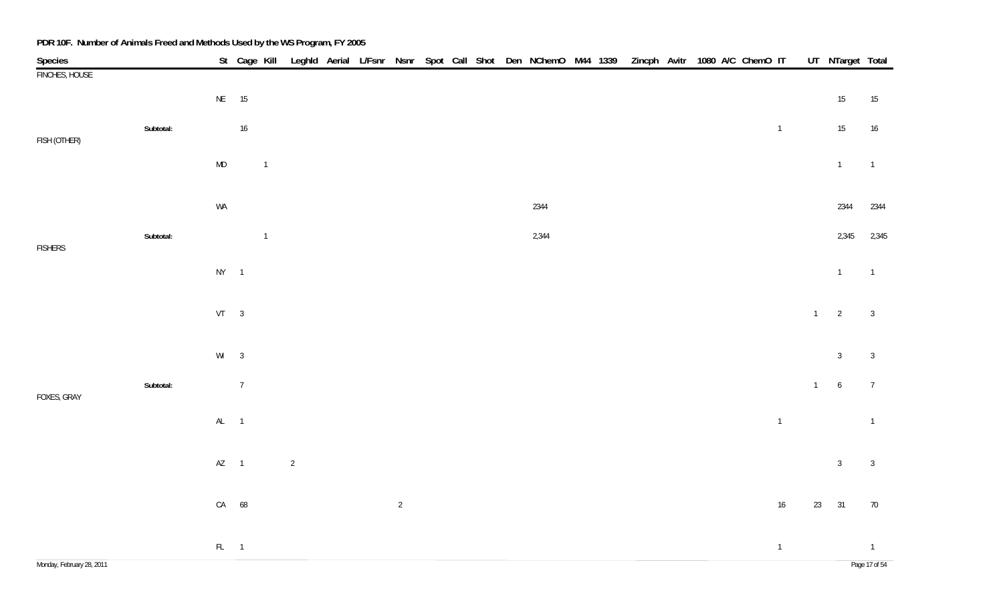|                           |           |           |                |                |                |  |                |  |  | St Cage Kill Leghld Aerial L/Fsnr Nsnr Spot Call Shot Den NChemO M44 1339 |  | Zincph Avitr 1080 A/C ChemO IT |  |  |                          |       | UT NTarget Total |                |
|---------------------------|-----------|-----------|----------------|----------------|----------------|--|----------------|--|--|---------------------------------------------------------------------------|--|--------------------------------|--|--|--------------------------|-------|------------------|----------------|
| Species<br>FINCHES, HOUSE |           |           |                |                |                |  |                |  |  |                                                                           |  |                                |  |  |                          |       |                  |                |
|                           |           | NE 15     |                |                |                |  |                |  |  |                                                                           |  |                                |  |  |                          |       | $15\,$           | 15             |
|                           | Subtotal: |           | $16$           |                |                |  |                |  |  |                                                                           |  |                                |  |  | $\overline{\mathbf{1}}$  |       | 15               | 16             |
| FISH (OTHER)              |           | $\sf MD$  |                | $\overline{1}$ |                |  |                |  |  |                                                                           |  |                                |  |  |                          |       | $\overline{1}$   | $\overline{1}$ |
|                           |           |           |                |                |                |  |                |  |  |                                                                           |  |                                |  |  |                          |       |                  |                |
|                           |           | WA        |                |                |                |  |                |  |  | 2344                                                                      |  |                                |  |  |                          |       | 2344             | 2344           |
|                           | Subtotal: |           |                | $\overline{1}$ |                |  |                |  |  | 2,344                                                                     |  |                                |  |  |                          |       | 2,345            | 2,345          |
| <b>FISHERS</b>            |           | $NY$ 1    |                |                |                |  |                |  |  |                                                                           |  |                                |  |  |                          |       | $\overline{1}$   | $\overline{1}$ |
|                           |           |           |                |                |                |  |                |  |  |                                                                           |  |                                |  |  |                          |       |                  |                |
|                           |           | $VT \t 3$ |                |                |                |  |                |  |  |                                                                           |  |                                |  |  |                          | $1 -$ | $\overline{2}$   | $\overline{3}$ |
|                           |           |           |                |                |                |  |                |  |  |                                                                           |  |                                |  |  |                          |       |                  |                |
|                           |           | $Wl$ 3    |                |                |                |  |                |  |  |                                                                           |  |                                |  |  |                          |       | $\mathbf{3}$     | $\sqrt{3}$     |
| FOXES, GRAY               | Subtotal: |           | $\overline{7}$ |                |                |  |                |  |  |                                                                           |  |                                |  |  |                          | $1 -$ | $\overline{6}$   | $\overline{7}$ |
|                           |           | AL 1      |                |                |                |  |                |  |  |                                                                           |  |                                |  |  | $\overline{\phantom{a}}$ |       |                  | $\overline{1}$ |
|                           |           |           |                |                |                |  |                |  |  |                                                                           |  |                                |  |  |                          |       |                  |                |
|                           |           | $AZ$ 1    |                |                | $\overline{2}$ |  |                |  |  |                                                                           |  |                                |  |  |                          |       | $\overline{3}$   | $\overline{3}$ |
|                           |           | CA 68     |                |                |                |  | $\overline{2}$ |  |  |                                                                           |  |                                |  |  | 16                       | 23    | 31               | 70             |
|                           |           |           |                |                |                |  |                |  |  |                                                                           |  |                                |  |  |                          |       |                  |                |
|                           |           | $FL = 1$  |                |                |                |  |                |  |  |                                                                           |  |                                |  |  | $\overline{\phantom{a}}$ |       |                  | $\overline{1}$ |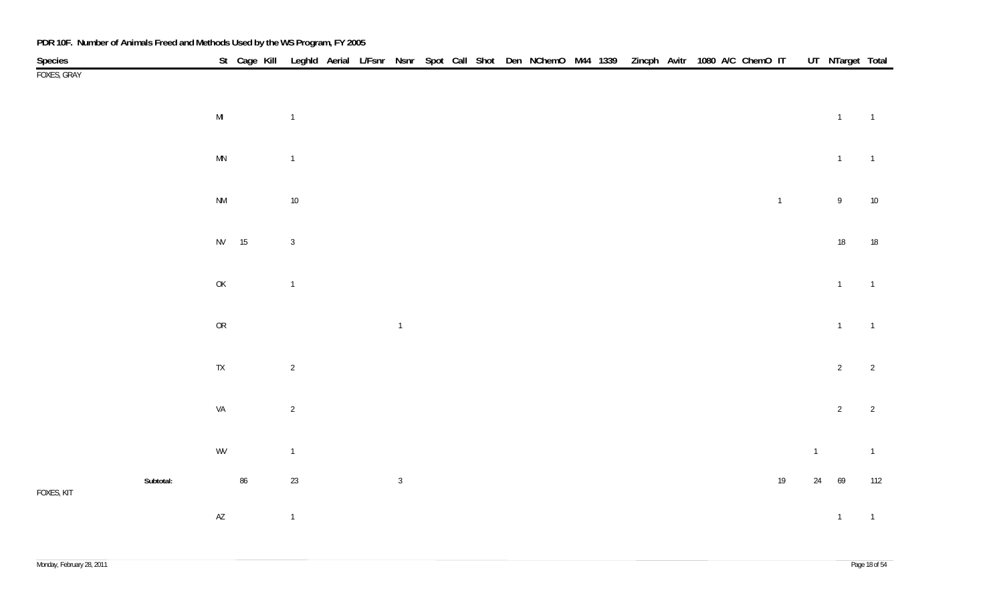| PDR 10F. Number of Animals Freed and Methods Used by the WS Program, FY 2005 |           |                        |    |                |  |                |  |  |                                                                                                          |  |  |  |                |              |                  |                |
|------------------------------------------------------------------------------|-----------|------------------------|----|----------------|--|----------------|--|--|----------------------------------------------------------------------------------------------------------|--|--|--|----------------|--------------|------------------|----------------|
| Species                                                                      |           |                        |    |                |  |                |  |  | St Cage Kill Leghld Aerial L/Fsnr Nsnr Spot Call Shot Den NChemO M44 1339 Zincph Avitr 1080 A/C ChemO IT |  |  |  |                |              | UT NTarget Total |                |
| FOXES, GRAY                                                                  |           |                        |    |                |  |                |  |  |                                                                                                          |  |  |  |                |              |                  |                |
|                                                                              |           |                        |    |                |  |                |  |  |                                                                                                          |  |  |  |                |              |                  |                |
|                                                                              |           | $\mathsf{MI}$          |    | $\overline{1}$ |  |                |  |  |                                                                                                          |  |  |  |                |              | $\overline{1}$   | $\overline{1}$ |
|                                                                              |           |                        |    |                |  |                |  |  |                                                                                                          |  |  |  |                |              |                  |                |
|                                                                              |           | $\mathsf{M}\mathsf{N}$ |    | $\overline{1}$ |  |                |  |  |                                                                                                          |  |  |  |                |              | $\overline{1}$   | $\overline{1}$ |
|                                                                              |           |                        |    |                |  |                |  |  |                                                                                                          |  |  |  |                |              |                  |                |
|                                                                              |           | $\mathsf{N}\mathsf{M}$ |    | $10\,$         |  |                |  |  |                                                                                                          |  |  |  | $\overline{1}$ |              | $\mathsf{9}$     | $10$           |
|                                                                              |           |                        |    |                |  |                |  |  |                                                                                                          |  |  |  |                |              |                  |                |
|                                                                              |           | NV 15                  |    | $\mathfrak{Z}$ |  |                |  |  |                                                                                                          |  |  |  |                |              | $18\,$           | 18             |
|                                                                              |           |                        |    |                |  |                |  |  |                                                                                                          |  |  |  |                |              |                  |                |
|                                                                              |           | $\mathsf{OK}$          |    | $\overline{1}$ |  |                |  |  |                                                                                                          |  |  |  |                |              | $\overline{1}$   | $\overline{1}$ |
|                                                                              |           |                        |    |                |  |                |  |  |                                                                                                          |  |  |  |                |              |                  |                |
|                                                                              |           | ${\sf OR}$             |    |                |  | $\overline{1}$ |  |  |                                                                                                          |  |  |  |                |              | $\overline{1}$   | $\overline{1}$ |
|                                                                              |           |                        |    |                |  |                |  |  |                                                                                                          |  |  |  |                |              |                  |                |
|                                                                              |           | ${\sf TX}$             |    | $\overline{2}$ |  |                |  |  |                                                                                                          |  |  |  |                |              | $\overline{2}$   | $\overline{2}$ |
|                                                                              |           |                        |    |                |  |                |  |  |                                                                                                          |  |  |  |                |              |                  |                |
|                                                                              |           | VA                     |    | $\overline{2}$ |  |                |  |  |                                                                                                          |  |  |  |                |              | $\overline{2}$   | $\overline{2}$ |
|                                                                              |           |                        |    |                |  |                |  |  |                                                                                                          |  |  |  |                |              |                  |                |
|                                                                              |           | WV                     |    | $\mathbf{1}$   |  |                |  |  |                                                                                                          |  |  |  |                | $\mathbf{1}$ |                  | $\overline{1}$ |
|                                                                              | Subtotal: |                        | 86 | $23\,$         |  | $\overline{3}$ |  |  |                                                                                                          |  |  |  | $19$           |              | 24 69            | 112            |
| FOXES, KIT                                                                   |           |                        |    |                |  |                |  |  |                                                                                                          |  |  |  |                |              |                  |                |
|                                                                              |           | $\mathsf{A}\mathsf{Z}$ |    | $\overline{1}$ |  |                |  |  |                                                                                                          |  |  |  |                |              | $\mathbf{1}$     | $\overline{1}$ |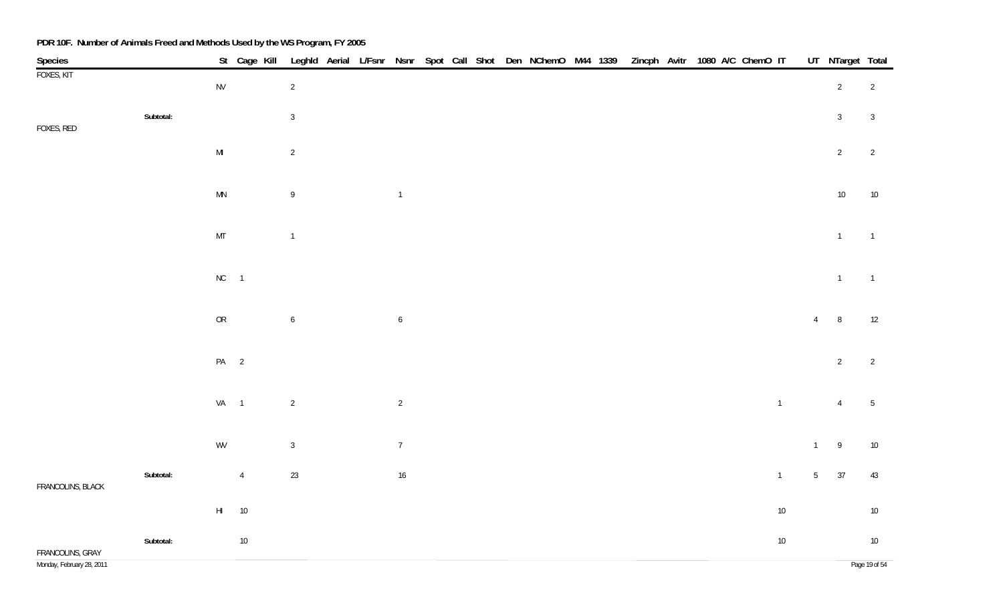| Species                                       |           |                        |                |                  |  |                  |  |  | St Cage Kill Leghld Aerial L/Fsnr Nsnr Spot Call Shot Den NChemO M44 1339 Zincph Avitr 1080 A/C ChemO IT |  |  |  |                |                 | UT_NTarget Total |                         |
|-----------------------------------------------|-----------|------------------------|----------------|------------------|--|------------------|--|--|----------------------------------------------------------------------------------------------------------|--|--|--|----------------|-----------------|------------------|-------------------------|
| FOXES, KIT                                    |           | ${\sf NV}$             |                | $\overline{2}$   |  |                  |  |  |                                                                                                          |  |  |  |                |                 | $\overline{2}$   | $\overline{2}$          |
| FOXES, RED                                    | Subtotal: |                        |                | $\mathbf{3}$     |  |                  |  |  |                                                                                                          |  |  |  |                |                 | $\mathbf{3}$     | $\sqrt{3}$              |
|                                               |           | $\mathsf{MI}$          |                | $\overline{2}$   |  |                  |  |  |                                                                                                          |  |  |  |                |                 | $\overline{2}$   | $\overline{2}$          |
|                                               |           | $\mathsf{M}\mathsf{N}$ |                | $\mathsf{9}$     |  | $\overline{1}$   |  |  |                                                                                                          |  |  |  |                |                 | $10\,$           | $10$                    |
|                                               |           | $\mathsf{MT}$          |                | $\overline{1}$   |  |                  |  |  |                                                                                                          |  |  |  |                |                 | $\mathbf{1}$     | $\overline{1}$          |
|                                               |           | $NC$ 1                 |                |                  |  |                  |  |  |                                                                                                          |  |  |  |                |                 | $\overline{1}$   | $\overline{1}$          |
|                                               |           | ${\sf OR}$             |                | $\boldsymbol{6}$ |  | $\boldsymbol{6}$ |  |  |                                                                                                          |  |  |  |                | $\overline{4}$  | $\, 8$           | 12                      |
|                                               |           | PA <sub>2</sub>        |                |                  |  |                  |  |  |                                                                                                          |  |  |  |                |                 | $\overline{2}$   | $\overline{2}$          |
|                                               |           | VA 1                   |                | $\sqrt{2}$       |  | $\overline{2}$   |  |  |                                                                                                          |  |  |  | $\overline{1}$ |                 | $\overline{4}$   | $5\phantom{.0}$         |
|                                               |           | WV                     |                | $\sqrt{3}$       |  | $\overline{7}$   |  |  |                                                                                                          |  |  |  |                | $\overline{1}$  | 9                | $10\,$                  |
| FRANCOLINS, BLACK                             | Subtotal: |                        | $\overline{4}$ | $23\,$           |  | $16\,$           |  |  |                                                                                                          |  |  |  | $\overline{1}$ | $5\overline{)}$ | 37               | 43                      |
|                                               |           | $\mathsf{H}\mathsf{I}$ | $10\,$         |                  |  |                  |  |  |                                                                                                          |  |  |  | $10\,$         |                 |                  | $10\,$                  |
| FRANCOLINS, GRAY<br>Monday, February 28, 2011 | Subtotal: |                        | $10\,$         |                  |  |                  |  |  |                                                                                                          |  |  |  | $10\,$         |                 |                  | $10\,$<br>Page 19 of 54 |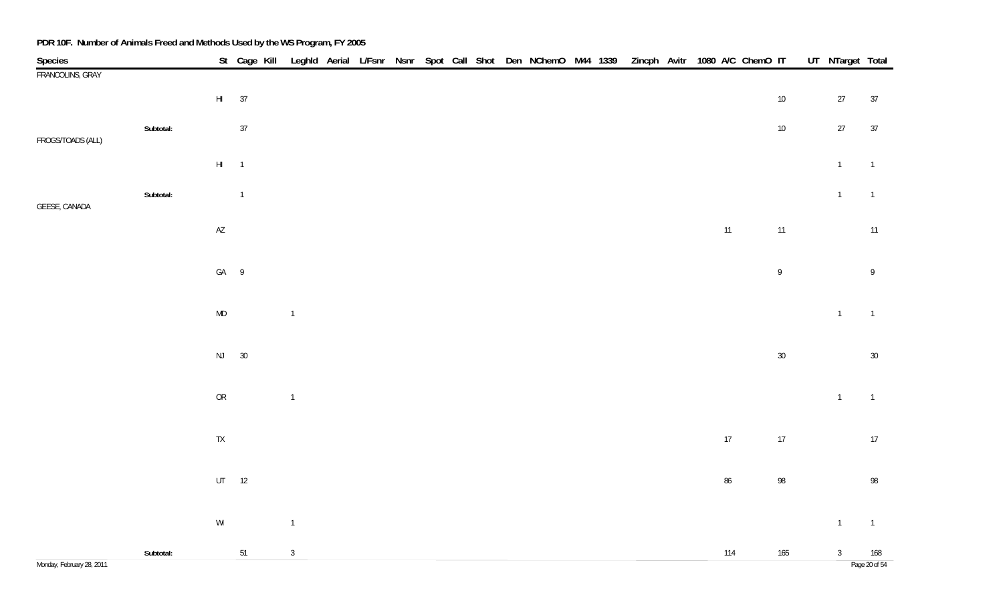| Species                   |           |                                                         |                |                |  |  |  | St Cage Kill Leghld Aerial L/Fsnr Nsnr Spot Call Shot Den NChemO M44 1339 Zincph Avitr 1080 A/C ChemO IT |  |  |        |        | UT NTarget Total |                |
|---------------------------|-----------|---------------------------------------------------------|----------------|----------------|--|--|--|----------------------------------------------------------------------------------------------------------|--|--|--------|--------|------------------|----------------|
| FRANCOLINS, GRAY          |           |                                                         |                |                |  |  |  |                                                                                                          |  |  |        |        |                  |                |
|                           |           |                                                         | HI 37          |                |  |  |  |                                                                                                          |  |  |        | $10\,$ | $27\,$           | 37             |
|                           | Subtotal: |                                                         | $37\,$         |                |  |  |  |                                                                                                          |  |  |        | $10\,$ | $27\,$           | 37             |
| FROGS/TOADS (ALL)         |           | $\mathsf{HI}=-1$                                        |                |                |  |  |  |                                                                                                          |  |  |        |        | $\mathbf{1}$     | $\overline{1}$ |
|                           |           |                                                         |                |                |  |  |  |                                                                                                          |  |  |        |        |                  |                |
| GEESE, CANADA             | Subtotal: |                                                         | $\overline{1}$ |                |  |  |  |                                                                                                          |  |  |        |        | $\mathbf{1}$     | $\overline{1}$ |
|                           |           | $\mathsf{AZ}$                                           |                |                |  |  |  |                                                                                                          |  |  | 11     | 11     |                  | $11$           |
|                           |           | GA 9                                                    |                |                |  |  |  |                                                                                                          |  |  |        | $\,9$  |                  | $\overline{9}$ |
|                           |           | $\mathsf{MD}$                                           |                | $\overline{1}$ |  |  |  |                                                                                                          |  |  |        |        | $\overline{1}$   | $\overline{1}$ |
|                           |           |                                                         |                |                |  |  |  |                                                                                                          |  |  |        |        |                  |                |
|                           |           |                                                         | NJ 30          |                |  |  |  |                                                                                                          |  |  |        | $30\,$ |                  | $30\,$         |
|                           |           | ${\sf OR}$                                              |                | $\overline{1}$ |  |  |  |                                                                                                          |  |  |        |        | $\overline{1}$   | $\overline{1}$ |
|                           |           |                                                         |                |                |  |  |  |                                                                                                          |  |  |        |        |                  |                |
|                           |           | ${\sf TX}$                                              |                |                |  |  |  |                                                                                                          |  |  | $17$   | 17     |                  | 17             |
|                           |           |                                                         | $UT$ 12        |                |  |  |  |                                                                                                          |  |  | $86\,$ | $98\,$ |                  | 98             |
|                           |           |                                                         |                |                |  |  |  |                                                                                                          |  |  |        |        |                  |                |
|                           |           | $\ensuremath{\mathsf{W}}\xspace\ensuremath{\mathsf{I}}$ |                | $\overline{1}$ |  |  |  |                                                                                                          |  |  |        |        | $\overline{1}$   | $\overline{1}$ |
|                           | Subtotal: |                                                         | 51             | $\sqrt{3}$     |  |  |  |                                                                                                          |  |  | 114    | 165    | $\mathbf{3}$     | 168            |
| Monday, February 28, 2011 |           |                                                         |                |                |  |  |  |                                                                                                          |  |  |        |        |                  | Page 20 of 54  |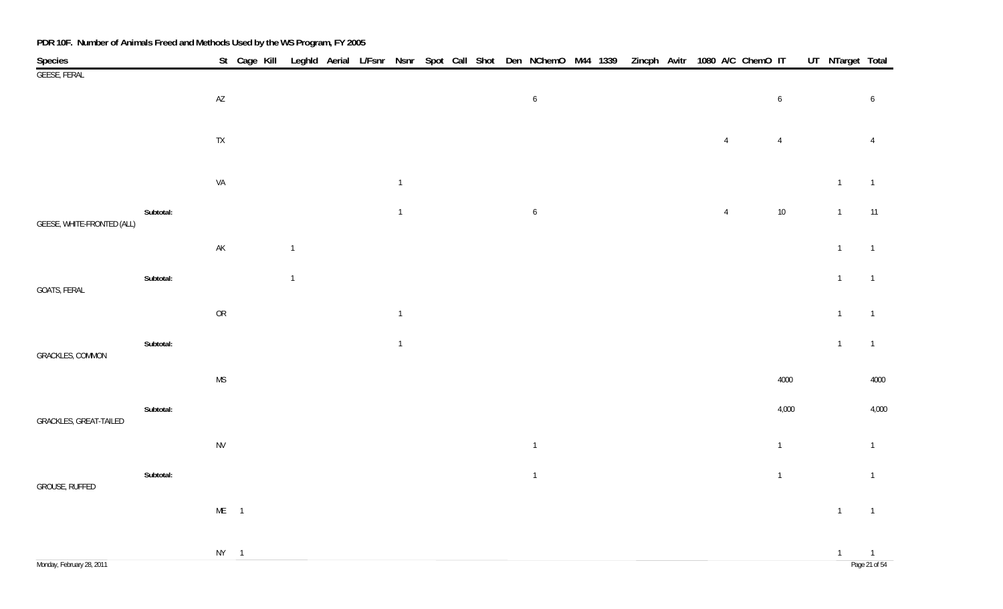| Species                    |           |               | St Cage Kill |                |  |                |  |  | Leghld Aerial L/Fsnr Nsnr Spot Call Shot Den NChemO M44 1339 |  |  |                | Zincph Avitr 1080 A/C ChemO IT |                  | UT_NTarget Total |                                 |
|----------------------------|-----------|---------------|--------------|----------------|--|----------------|--|--|--------------------------------------------------------------|--|--|----------------|--------------------------------|------------------|------------------|---------------------------------|
| <b>GEESE, FERAL</b>        |           |               |              |                |  |                |  |  |                                                              |  |  |                |                                |                  |                  |                                 |
|                            |           | $\mathsf{AZ}$ |              |                |  |                |  |  | $\boldsymbol{6}$                                             |  |  |                |                                | $\boldsymbol{6}$ |                  | $6\phantom{.}6$                 |
|                            |           |               |              |                |  |                |  |  |                                                              |  |  |                |                                |                  |                  |                                 |
|                            |           | ${\sf TX}$    |              |                |  |                |  |  |                                                              |  |  | $\overline{4}$ |                                | $\overline{4}$   |                  | $\overline{4}$                  |
|                            |           |               |              |                |  |                |  |  |                                                              |  |  |                |                                |                  |                  |                                 |
|                            |           | VA            |              |                |  | $\overline{1}$ |  |  |                                                              |  |  |                |                                |                  | $\overline{1}$   | $\overline{1}$                  |
| GEESE, WHITE-FRONTED (ALL) | Subtotal: |               |              |                |  | $\overline{1}$ |  |  | $\boldsymbol{6}$                                             |  |  | $\overline{4}$ |                                | $10\,$           | $\overline{1}$   | 11                              |
|                            |           | $\mathsf{AK}$ |              | $\mathbf{1}$   |  |                |  |  |                                                              |  |  |                |                                |                  | $\overline{1}$   | $\overline{1}$                  |
|                            |           |               |              |                |  |                |  |  |                                                              |  |  |                |                                |                  |                  |                                 |
| GOATS, FERAL               | Subtotal: |               |              | $\overline{1}$ |  |                |  |  |                                                              |  |  |                |                                |                  | $\overline{1}$   | $\overline{1}$                  |
|                            |           | ${\sf OR}$    |              |                |  | $\mathbf{1}$   |  |  |                                                              |  |  |                |                                |                  | $\overline{1}$   | $\overline{1}$                  |
|                            | Subtotal: |               |              |                |  |                |  |  |                                                              |  |  |                |                                |                  | $\mathbf{1}$     | $\overline{1}$                  |
| <b>GRACKLES, COMMON</b>    |           |               |              |                |  | $\overline{1}$ |  |  |                                                              |  |  |                |                                |                  |                  |                                 |
|                            |           | <b>MS</b>     |              |                |  |                |  |  |                                                              |  |  |                |                                | 4000             |                  | 4000                            |
|                            | Subtotal: |               |              |                |  |                |  |  |                                                              |  |  |                |                                | 4,000            |                  | 4,000                           |
| GRACKLES, GREAT-TAILED     |           |               |              |                |  |                |  |  |                                                              |  |  |                |                                |                  |                  |                                 |
|                            |           | <b>NV</b>     |              |                |  |                |  |  | $\overline{1}$                                               |  |  |                |                                | $\mathbf{1}$     |                  | $\overline{1}$                  |
|                            | Subtotal: |               |              |                |  |                |  |  | $\overline{1}$                                               |  |  |                |                                | $\overline{1}$   |                  | $\overline{1}$                  |
| GROUSE, RUFFED             |           |               |              |                |  |                |  |  |                                                              |  |  |                |                                |                  |                  |                                 |
|                            |           | $ME$ 1        |              |                |  |                |  |  |                                                              |  |  |                |                                |                  | $\overline{1}$   | $\overline{1}$                  |
|                            |           |               |              |                |  |                |  |  |                                                              |  |  |                |                                |                  |                  |                                 |
| Monday, February 28, 2011  |           | $NY$ 1        |              |                |  |                |  |  |                                                              |  |  |                |                                |                  | $\overline{1}$   | $\overline{1}$<br>Page 21 of 54 |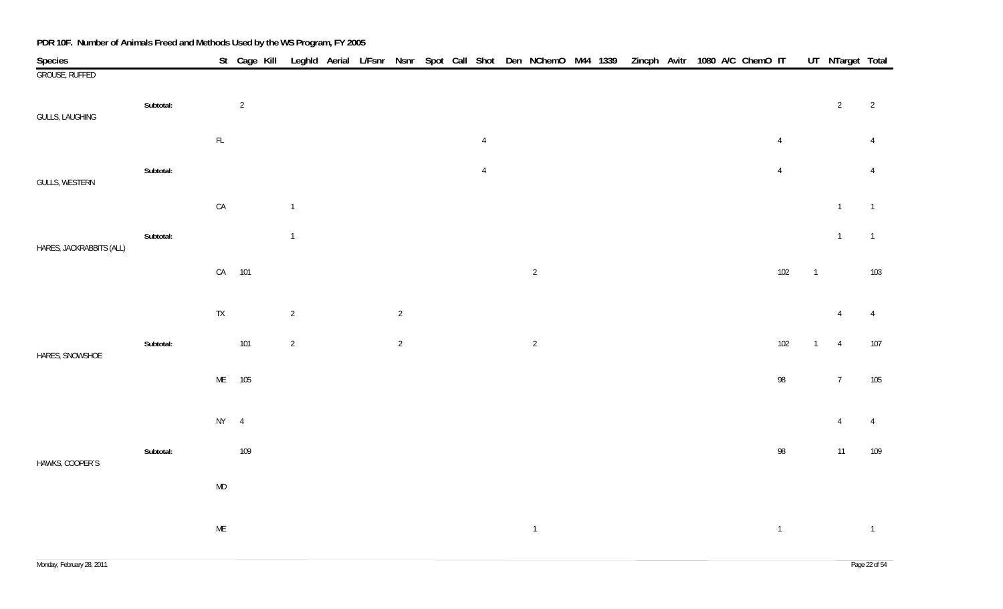| Species                  |           |               | St Cage Kill   |                |  |                |  |                | Leghld Aerial L/Fsnr Nsnr Spot Call Shot Den NChemO M44 1339 |  | Zincph Avitr 1080 A/C ChemO IT |  |  |                |                | UT_NTarget Total |                |
|--------------------------|-----------|---------------|----------------|----------------|--|----------------|--|----------------|--------------------------------------------------------------|--|--------------------------------|--|--|----------------|----------------|------------------|----------------|
| <b>GROUSE, RUFFED</b>    |           |               |                |                |  |                |  |                |                                                              |  |                                |  |  |                |                |                  |                |
| GULLS, LAUGHING          | Subtotal: |               | $\overline{2}$ |                |  |                |  |                |                                                              |  |                                |  |  |                |                | $\overline{2}$   | $\overline{2}$ |
|                          |           | $\mathsf{FL}$ |                |                |  |                |  | $\overline{4}$ |                                                              |  |                                |  |  | $\overline{4}$ |                |                  | $\overline{4}$ |
| GULLS, WESTERN           | Subtotal: |               |                |                |  |                |  | $\overline{4}$ |                                                              |  |                                |  |  | $\overline{4}$ |                |                  | $\overline{4}$ |
|                          |           | ${\sf CA}$    |                | $\overline{1}$ |  |                |  |                |                                                              |  |                                |  |  |                |                | $\overline{1}$   | $\overline{1}$ |
| HARES, JACKRABBITS (ALL) | Subtotal: |               |                | $\mathbf{1}$   |  |                |  |                |                                                              |  |                                |  |  |                |                | $\mathbf{1}$     | $\overline{1}$ |
|                          |           |               | CA 101         |                |  |                |  |                | $\overline{2}$                                               |  |                                |  |  | 102            | $\overline{1}$ |                  | 103            |
|                          |           | ${\sf TX}$    |                | $\overline{2}$ |  | $\overline{2}$ |  |                |                                                              |  |                                |  |  |                |                | $\overline{4}$   | $\overline{4}$ |
| HARES, SNOWSHOE          | Subtotal: |               | 101            | $\overline{2}$ |  | $\overline{2}$ |  |                | $\overline{2}$                                               |  |                                |  |  | 102            | $\overline{1}$ | $\overline{4}$   | $107$          |
|                          |           |               | ME 105         |                |  |                |  |                |                                                              |  |                                |  |  | 98             |                | $7\overline{ }$  | 105            |
|                          |           | $NY$ 4        |                |                |  |                |  |                |                                                              |  |                                |  |  |                |                | $\overline{4}$   | $\overline{4}$ |
| HAWKS, COOPER'S          | Subtotal: |               | 109            |                |  |                |  |                |                                                              |  |                                |  |  | 98             |                | 11               | 109            |
|                          |           | $\mathsf{MD}$ |                |                |  |                |  |                |                                                              |  |                                |  |  |                |                |                  |                |
|                          |           | $\mathsf{ME}$ |                |                |  |                |  |                | $\mathbf{1}$                                                 |  |                                |  |  | $\overline{1}$ |                |                  | $\overline{1}$ |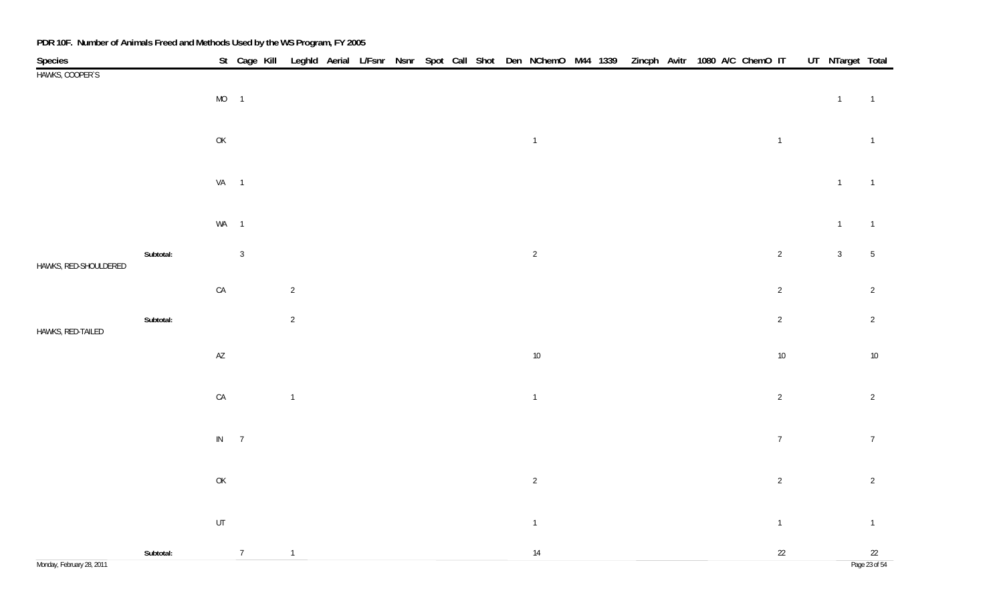|                            |           |                                                                                       | St Cage Kill Leghld Aerial L/Fsnr Nsnr Spot Call Shot Den NChemO M44 1339 Zincph Avitr 1080 A/C ChemO IT |                |  |  |  |                |  |  |  |                | UT NTarget Total |                     |
|----------------------------|-----------|---------------------------------------------------------------------------------------|----------------------------------------------------------------------------------------------------------|----------------|--|--|--|----------------|--|--|--|----------------|------------------|---------------------|
| Species<br>HAWKS, COOPER'S |           |                                                                                       |                                                                                                          |                |  |  |  |                |  |  |  |                |                  |                     |
|                            |           | $MO$ 1                                                                                |                                                                                                          |                |  |  |  |                |  |  |  |                | $\mathbf{1}$     | $\overline{1}$      |
|                            |           | $\mathsf{OK}$                                                                         |                                                                                                          |                |  |  |  | $\overline{1}$ |  |  |  | $\overline{1}$ |                  | $\overline{1}$      |
|                            |           | $VA$ 1                                                                                |                                                                                                          |                |  |  |  |                |  |  |  |                | $\mathbf{1}$     | $\overline{1}$      |
|                            |           |                                                                                       |                                                                                                          |                |  |  |  |                |  |  |  |                |                  |                     |
|                            |           | WA 1                                                                                  |                                                                                                          |                |  |  |  |                |  |  |  |                | $\overline{1}$   | $\overline{1}$      |
| HAWKS, RED-SHOULDERED      | Subtotal: |                                                                                       | $\overline{3}$                                                                                           |                |  |  |  | $\overline{2}$ |  |  |  | $\overline{2}$ | $\mathfrak{Z}$   | $5\phantom{.0}$     |
|                            |           | ${\sf CA}$                                                                            |                                                                                                          | $\overline{2}$ |  |  |  |                |  |  |  | $\overline{2}$ |                  | $\overline{2}$      |
| HAWKS, RED-TAILED          | Subtotal: |                                                                                       |                                                                                                          | $\overline{2}$ |  |  |  |                |  |  |  | $\overline{2}$ |                  | $\overline{2}$      |
|                            |           | $\mathsf{A}\mathsf{Z}$                                                                |                                                                                                          |                |  |  |  | $10\,$         |  |  |  | $10\,$         |                  | $10\,$              |
|                            |           |                                                                                       |                                                                                                          |                |  |  |  |                |  |  |  |                |                  |                     |
|                            |           | $\mathsf{CA}$                                                                         |                                                                                                          | $\mathbf{1}$   |  |  |  | $\overline{1}$ |  |  |  | $\overline{2}$ |                  | $\overline{2}$      |
|                            |           | $IN$ 7                                                                                |                                                                                                          |                |  |  |  |                |  |  |  | $\overline{7}$ |                  | $7\overline{ }$     |
|                            |           | $\mathsf{OK}% \left( \mathcal{M}\right) \equiv\mathsf{OK}(\mathcal{M}_{\mathrm{CL}})$ |                                                                                                          |                |  |  |  | $\overline{2}$ |  |  |  | $\overline{2}$ |                  | $\overline{2}$      |
|                            |           |                                                                                       |                                                                                                          |                |  |  |  |                |  |  |  |                |                  |                     |
|                            |           | UT                                                                                    |                                                                                                          |                |  |  |  | $\overline{1}$ |  |  |  | $\overline{1}$ |                  | $\overline{1}$      |
| Monday, February 28, 2011  | Subtotal: |                                                                                       | $\overline{7}$                                                                                           | $\overline{1}$ |  |  |  | $14$           |  |  |  | $22\,$         |                  | 22<br>Page 23 of 54 |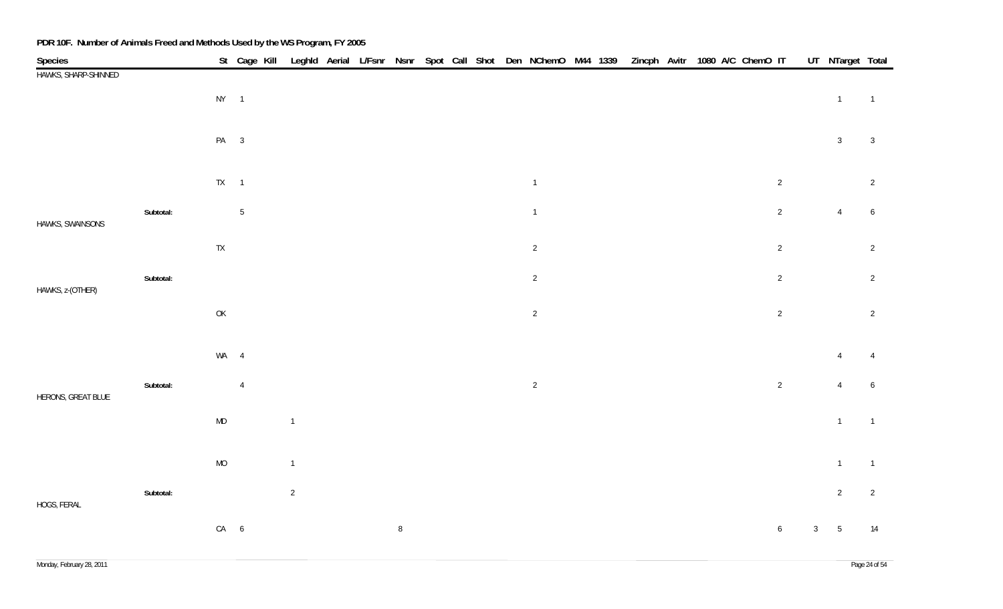| <b>Species</b>       |           |                                                                                       | St Cage Kill   |                |  |        |  |  | Leghld Aerial L/Fsnr Nsnr Spot Call Shot Den NChemO M44 1339 |  | Zincph Avitr 1080 A/C ChemO IT |  |  |                 |              | UT NTarget Total |                  |
|----------------------|-----------|---------------------------------------------------------------------------------------|----------------|----------------|--|--------|--|--|--------------------------------------------------------------|--|--------------------------------|--|--|-----------------|--------------|------------------|------------------|
| HAWKS, SHARP-SHINNED |           | $NY$ 1                                                                                |                |                |  |        |  |  |                                                              |  |                                |  |  |                 |              | $\overline{1}$   | $\overline{1}$   |
|                      |           |                                                                                       |                |                |  |        |  |  |                                                              |  |                                |  |  |                 |              |                  |                  |
|                      |           | PA 3                                                                                  |                |                |  |        |  |  |                                                              |  |                                |  |  |                 |              | $\mathfrak{Z}$   | $\mathbf{3}$     |
|                      |           | $TX = 1$                                                                              |                |                |  |        |  |  | $\overline{1}$                                               |  |                                |  |  | $\overline{2}$  |              |                  | $\overline{2}$   |
| HAWKS, SWAINSONS     | Subtotal: |                                                                                       | $5\,$          |                |  |        |  |  | $\mathbf{1}$                                                 |  |                                |  |  | $\overline{2}$  |              | $\overline{4}$   | $6\phantom{.0}$  |
|                      |           | ${\sf TX}$                                                                            |                |                |  |        |  |  | $\overline{2}$                                               |  |                                |  |  | $\overline{2}$  |              |                  | $\overline{2}$   |
| HAWKS, z-(OTHER)     | Subtotal: |                                                                                       |                |                |  |        |  |  | $\overline{2}$                                               |  |                                |  |  | $\overline{2}$  |              |                  | $\overline{2}$   |
|                      |           | $\mathsf{OK}% \left( \mathcal{M}\right) \equiv\mathsf{OK}(\mathcal{M}_{\mathrm{CL}})$ |                |                |  |        |  |  | $\overline{2}$                                               |  |                                |  |  | $\overline{2}$  |              |                  | $\overline{2}$   |
|                      |           | WA 4                                                                                  |                |                |  |        |  |  |                                                              |  |                                |  |  |                 |              | $\overline{4}$   | $\overline{4}$   |
| HERONS, GREAT BLUE   | Subtotal: |                                                                                       | $\overline{4}$ |                |  |        |  |  | $\overline{2}$                                               |  |                                |  |  | $\overline{2}$  |              | $\overline{4}$   | $\boldsymbol{6}$ |
|                      |           | MD                                                                                    |                | $\mathbf{1}$   |  |        |  |  |                                                              |  |                                |  |  |                 |              | $\overline{1}$   | $\overline{1}$   |
|                      |           | $MO$                                                                                  |                | $\mathbf{1}$   |  |        |  |  |                                                              |  |                                |  |  |                 |              | $\overline{1}$   | $\overline{1}$   |
| HOGS, FERAL          | Subtotal: |                                                                                       |                | $\overline{2}$ |  |        |  |  |                                                              |  |                                |  |  |                 |              | $\overline{2}$   | $\overline{2}$   |
|                      |           | $CA$ 6                                                                                |                |                |  | $\, 8$ |  |  |                                                              |  |                                |  |  | $6\phantom{.}6$ | $\mathbf{3}$ | $\sqrt{5}$       | 14               |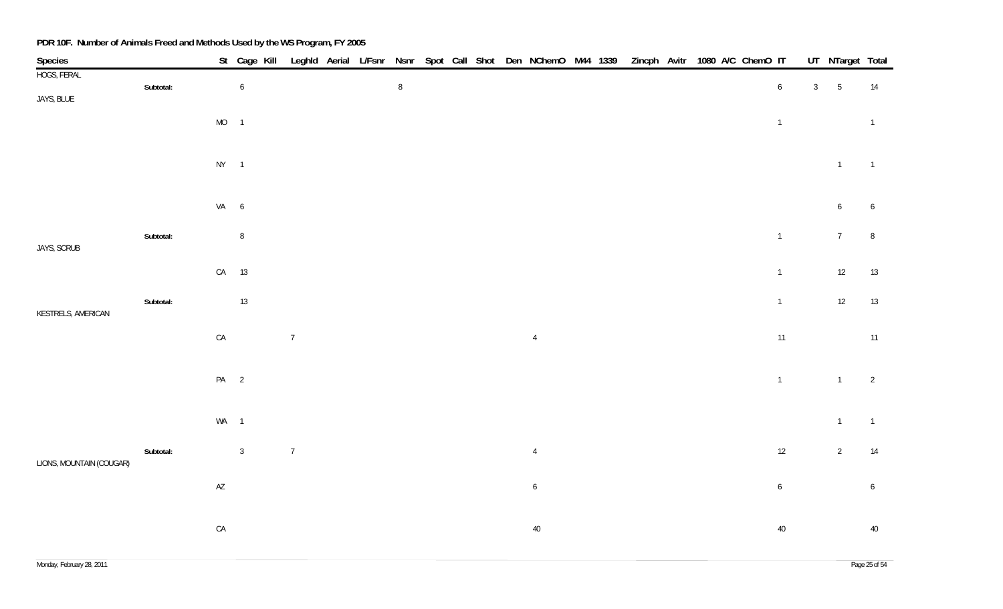| Species                  |           |                        | St Cage Kill Leghld Aerial L/Fsnr Nsnr Spot Call Shot Den NChemO M44 1339 |            |  |        |  |  |                 |  | Zincph Avitr 1080 A/C ChemO IT |  |  |                |              | UT_NTarget Total |                  |
|--------------------------|-----------|------------------------|---------------------------------------------------------------------------|------------|--|--------|--|--|-----------------|--|--------------------------------|--|--|----------------|--------------|------------------|------------------|
| HOGS, FERAL              | Subtotal: |                        | $\boldsymbol{6}$                                                          |            |  | $\, 8$ |  |  |                 |  |                                |  |  | $\sqrt{6}$     | $\mathbf{3}$ | $5\phantom{.0}$  | 14               |
| JAYS, BLUE               |           |                        |                                                                           |            |  |        |  |  |                 |  |                                |  |  |                |              |                  |                  |
|                          |           | $MO$ 1                 |                                                                           |            |  |        |  |  |                 |  |                                |  |  | $\overline{1}$ |              |                  | $\overline{1}$   |
|                          |           |                        |                                                                           |            |  |        |  |  |                 |  |                                |  |  |                |              |                  |                  |
|                          |           | $NY$ 1                 |                                                                           |            |  |        |  |  |                 |  |                                |  |  |                |              | $\overline{1}$   | $\overline{1}$   |
|                          |           |                        |                                                                           |            |  |        |  |  |                 |  |                                |  |  |                |              |                  |                  |
|                          |           | VA 6                   |                                                                           |            |  |        |  |  |                 |  |                                |  |  |                |              | 6                | 6                |
|                          | Subtotal: |                        | $\, 8$                                                                    |            |  |        |  |  |                 |  |                                |  |  | $\overline{1}$ |              | $7\overline{ }$  | $\, 8$           |
| JAYS, SCRUB              |           |                        |                                                                           |            |  |        |  |  |                 |  |                                |  |  |                |              |                  |                  |
|                          |           |                        | CA 13                                                                     |            |  |        |  |  |                 |  |                                |  |  | $\overline{1}$ |              | 12               | 13               |
|                          | Subtotal: |                        | 13                                                                        |            |  |        |  |  |                 |  |                                |  |  | $\overline{1}$ |              | 12               | 13               |
| KESTRELS, AMERICAN       |           |                        |                                                                           |            |  |        |  |  |                 |  |                                |  |  |                |              |                  |                  |
|                          |           | ${\sf CA}$             |                                                                           | $\sqrt{7}$ |  |        |  |  | $\overline{4}$  |  |                                |  |  | 11             |              |                  | 11               |
|                          |           |                        |                                                                           |            |  |        |  |  |                 |  |                                |  |  |                |              |                  |                  |
|                          |           | PA <sub>2</sub>        |                                                                           |            |  |        |  |  |                 |  |                                |  |  | $\overline{1}$ |              | $\mathbf{1}$     | $\overline{2}$   |
|                          |           |                        |                                                                           |            |  |        |  |  |                 |  |                                |  |  |                |              |                  |                  |
|                          |           | WA 1                   |                                                                           |            |  |        |  |  |                 |  |                                |  |  |                |              | $\overline{1}$   | $\overline{1}$   |
|                          | Subtotal: |                        | $\mathbf{3}$                                                              | $\sqrt{7}$ |  |        |  |  | $\overline{4}$  |  |                                |  |  | $12\,$         |              | $\overline{2}$   | 14               |
| LIONS, MOUNTAIN (COUGAR) |           |                        |                                                                           |            |  |        |  |  |                 |  |                                |  |  |                |              |                  |                  |
|                          |           | $\mathsf{A}\mathsf{Z}$ |                                                                           |            |  |        |  |  | $6\phantom{.0}$ |  |                                |  |  | $\overline{6}$ |              |                  | $\boldsymbol{6}$ |
|                          |           |                        |                                                                           |            |  |        |  |  |                 |  |                                |  |  |                |              |                  |                  |
|                          |           | ${\sf CA}$             |                                                                           |            |  |        |  |  | $40\,$          |  |                                |  |  | $40\,$         |              |                  | $40\,$           |
|                          |           |                        |                                                                           |            |  |        |  |  |                 |  |                                |  |  |                |              |                  |                  |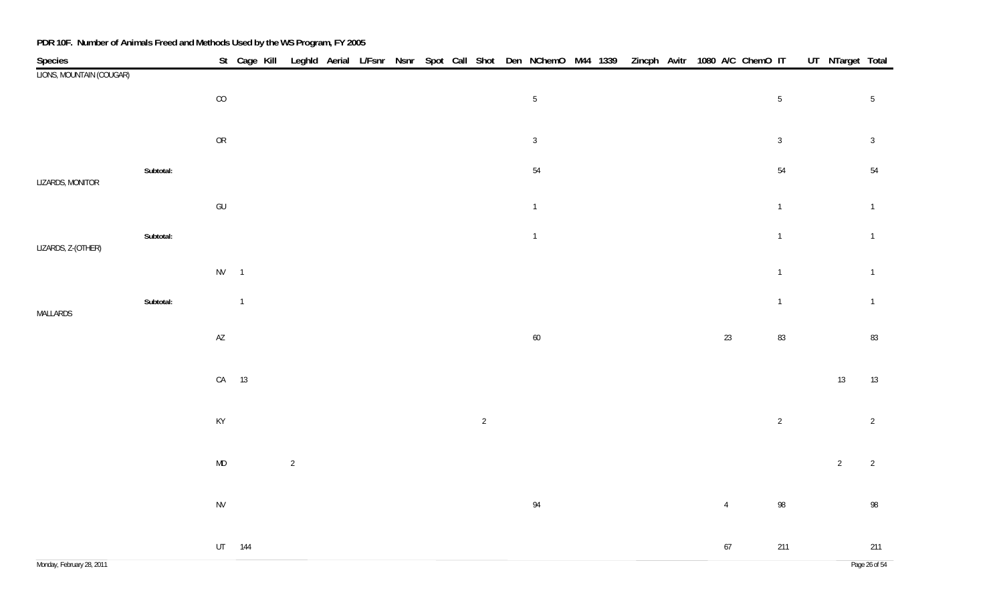| Species<br>LIONS, MOUNTAIN (COUGAR) |           |                        | St Cage Kill Leghld Aerial L/Fsnr Nsnr Spot Call Shot Den NChemO M44 1339 Zincph Avitr 1080 A/C ChemO IT |                |  |  |                |                |  |  |                |                | UT NTarget Total |                |
|-------------------------------------|-----------|------------------------|----------------------------------------------------------------------------------------------------------|----------------|--|--|----------------|----------------|--|--|----------------|----------------|------------------|----------------|
|                                     |           |                        |                                                                                                          |                |  |  |                |                |  |  |                |                |                  |                |
|                                     |           | $\rm CO$               |                                                                                                          |                |  |  |                | $5\,$          |  |  |                | $\sqrt{5}$     |                  | $\overline{5}$ |
|                                     |           |                        |                                                                                                          |                |  |  |                |                |  |  |                |                |                  |                |
|                                     |           | ${\sf OR}$             |                                                                                                          |                |  |  |                | $\mathbf{3}$   |  |  |                | $\mathbf{3}$   |                  | $\sqrt{3}$     |
|                                     |           |                        |                                                                                                          |                |  |  |                |                |  |  |                |                |                  |                |
| LIZARDS, MONITOR                    | Subtotal: |                        |                                                                                                          |                |  |  |                | $54\,$         |  |  |                | 54             |                  | 54             |
|                                     |           | $\mathsf{GU}%$         |                                                                                                          |                |  |  |                | $\mathbf 1$    |  |  |                | $\overline{1}$ |                  | $\overline{1}$ |
|                                     |           |                        |                                                                                                          |                |  |  |                |                |  |  |                |                |                  |                |
| LIZARDS, Z-(OTHER)                  | Subtotal: |                        |                                                                                                          |                |  |  |                | $\overline{1}$ |  |  |                | $\mathbf 1$    |                  | $\overline{1}$ |
|                                     |           |                        |                                                                                                          |                |  |  |                |                |  |  |                |                |                  |                |
|                                     |           | $NV$ 1                 |                                                                                                          |                |  |  |                |                |  |  |                | $\overline{1}$ |                  | $\mathbf{1}$   |
|                                     | Subtotal: |                        | $\overline{1}$                                                                                           |                |  |  |                |                |  |  |                | $\overline{1}$ |                  | $\overline{1}$ |
| MALLARDS                            |           |                        |                                                                                                          |                |  |  |                |                |  |  |                |                |                  |                |
|                                     |           | $\mathsf{A}\mathsf{Z}$ |                                                                                                          |                |  |  |                | $60\,$         |  |  | $23\,$         | 83             |                  | 83             |
|                                     |           |                        |                                                                                                          |                |  |  |                |                |  |  |                |                |                  |                |
|                                     |           |                        | CA 13                                                                                                    |                |  |  |                |                |  |  |                |                | $13\,$           | 13             |
|                                     |           |                        |                                                                                                          |                |  |  |                |                |  |  |                |                |                  |                |
|                                     |           | KY                     |                                                                                                          |                |  |  | $\overline{c}$ |                |  |  |                | $\sqrt{2}$     |                  | $\overline{2}$ |
|                                     |           |                        |                                                                                                          |                |  |  |                |                |  |  |                |                |                  |                |
|                                     |           | $\mathsf{MD}$          |                                                                                                          | $\overline{2}$ |  |  |                |                |  |  |                |                | $\overline{2}$   | $\overline{2}$ |
|                                     |           |                        |                                                                                                          |                |  |  |                |                |  |  |                |                |                  |                |
|                                     |           | ${\sf NV}$             |                                                                                                          |                |  |  |                | $94\,$         |  |  | $\overline{4}$ | $98\,$         |                  | 98             |
|                                     |           |                        |                                                                                                          |                |  |  |                |                |  |  |                |                |                  |                |
|                                     |           |                        | UT 144                                                                                                   |                |  |  |                |                |  |  | $67\,$         | 211            |                  | 211            |
|                                     |           |                        |                                                                                                          |                |  |  |                |                |  |  |                |                |                  |                |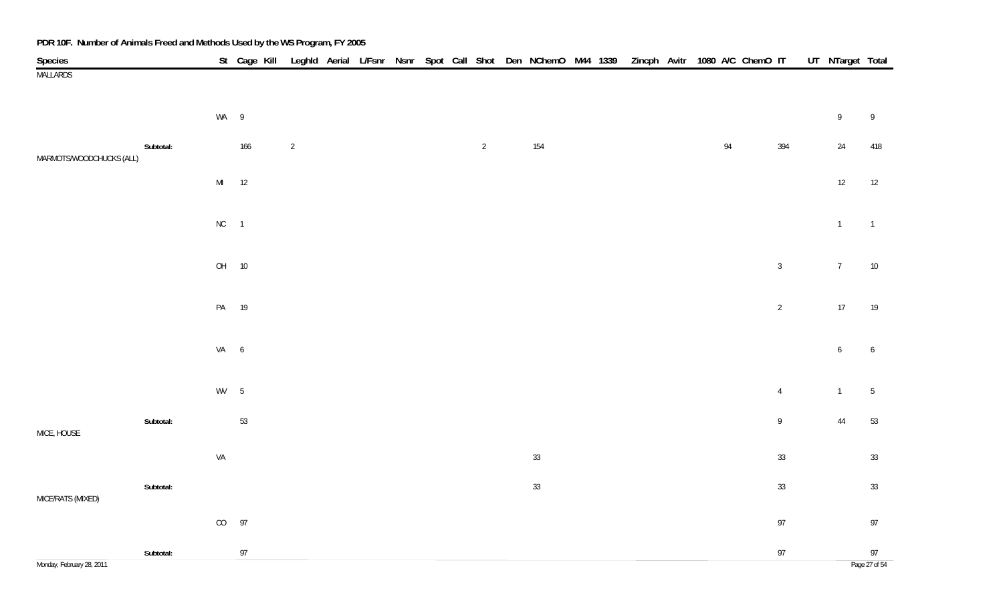| Species                   |           |               |      |                |  |  |                | St Cage Kill Leghld Aerial L/Fsnr Nsnr Spot Call Shot Den NChemO M44 1339 |  |  | Zincph Avitr 1080 A/C ChemO IT |                | UT NTarget Total |                |
|---------------------------|-----------|---------------|------|----------------|--|--|----------------|---------------------------------------------------------------------------|--|--|--------------------------------|----------------|------------------|----------------|
| <b>MALLARDS</b>           |           |               |      |                |  |  |                |                                                                           |  |  |                                |                |                  |                |
|                           |           |               |      |                |  |  |                |                                                                           |  |  |                                |                |                  |                |
|                           |           | WA 9          |      |                |  |  |                |                                                                           |  |  |                                |                | 9                | 9              |
|                           |           |               |      |                |  |  |                |                                                                           |  |  |                                |                |                  |                |
| MARMOTS/WOODCHUCKS (ALL)  | Subtotal: |               | 166  | $\overline{2}$ |  |  | $\overline{2}$ | 154                                                                       |  |  | 94                             | 394            | 24               | 418            |
|                           |           | $\mathsf{MI}$ | $12$ |                |  |  |                |                                                                           |  |  |                                |                | $12\,$           | 12             |
|                           |           |               |      |                |  |  |                |                                                                           |  |  |                                |                |                  |                |
|                           |           | $NC$ 1        |      |                |  |  |                |                                                                           |  |  |                                |                | $\mathbf{1}$     | $\overline{1}$ |
|                           |           |               |      |                |  |  |                |                                                                           |  |  |                                |                |                  |                |
|                           |           | OH            | 10   |                |  |  |                |                                                                           |  |  |                                | $\overline{3}$ | $\overline{7}$   | 10             |
|                           |           |               |      |                |  |  |                |                                                                           |  |  |                                |                |                  |                |
|                           |           | PA 19         |      |                |  |  |                |                                                                           |  |  |                                | $\overline{2}$ | $17\,$           | 19             |
|                           |           |               |      |                |  |  |                |                                                                           |  |  |                                |                |                  |                |
|                           |           | VA 6          |      |                |  |  |                |                                                                           |  |  |                                |                | 6                | 6              |
|                           |           |               |      |                |  |  |                |                                                                           |  |  |                                |                |                  |                |
|                           |           | $WV$ 5        |      |                |  |  |                |                                                                           |  |  |                                | $\overline{4}$ | $\overline{1}$   | $\sqrt{5}$     |
|                           |           |               |      |                |  |  |                |                                                                           |  |  |                                |                |                  |                |
|                           | Subtotal: |               | 53   |                |  |  |                |                                                                           |  |  |                                | 9              | $44\,$           | 53             |
| MICE, HOUSE               |           |               |      |                |  |  |                |                                                                           |  |  |                                |                |                  |                |
|                           |           | VA            |      |                |  |  |                | $33\,$                                                                    |  |  |                                | 33             |                  | 33             |
|                           | Subtotal: |               |      |                |  |  |                | $33\,$                                                                    |  |  |                                | 33             |                  | 33             |
| MICE/RATS (MIXED)         |           |               |      |                |  |  |                |                                                                           |  |  |                                |                |                  |                |
|                           |           | CO            | 97   |                |  |  |                |                                                                           |  |  |                                | 97             |                  | 97             |
|                           | Subtotal: |               | 97   |                |  |  |                |                                                                           |  |  |                                | 97             |                  | 97             |
| Monday, February 28, 2011 |           |               |      |                |  |  |                |                                                                           |  |  |                                |                |                  | Page 27 of 54  |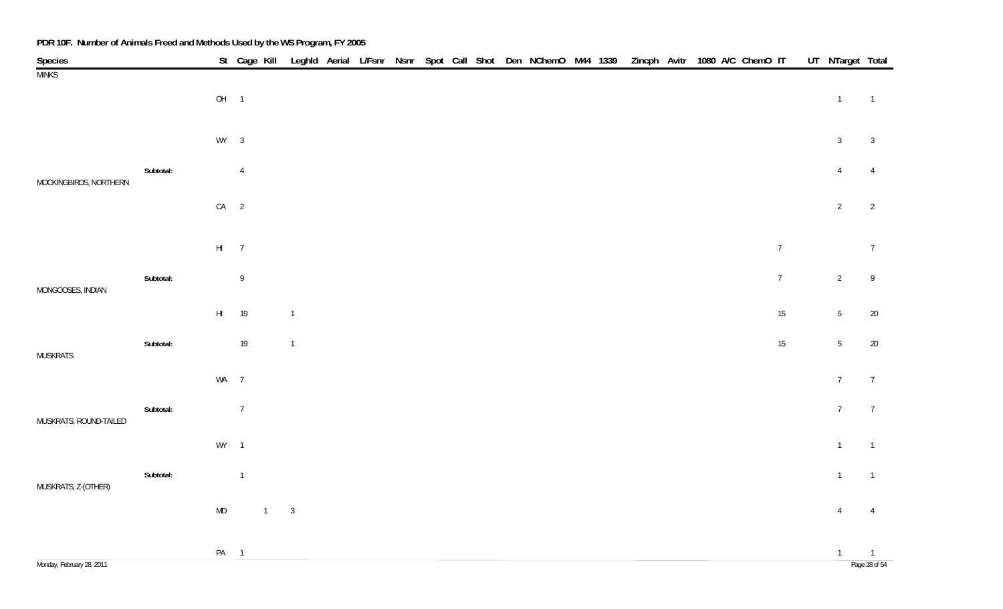| Species                |           |                        |                |              |                |  |  |  | St Cage Kill Leghld Aerial L/Fsnr Nsnr Spot Call Shot Den NChemO M44 1339 Zincph Avitr 1080 A/C ChemO IT |  |  |  |                | UT NTarget Total |                            |
|------------------------|-----------|------------------------|----------------|--------------|----------------|--|--|--|----------------------------------------------------------------------------------------------------------|--|--|--|----------------|------------------|----------------------------|
| <b>MINKS</b>           |           | $OH$ 1                 |                |              |                |  |  |  |                                                                                                          |  |  |  |                | $\overline{1}$   | $\overline{1}$             |
|                        |           | $WY$ 3                 |                |              |                |  |  |  |                                                                                                          |  |  |  |                | $\mathbf{3}$     | $\overline{3}$             |
|                        | Subtotal: |                        | $\overline{4}$ |              |                |  |  |  |                                                                                                          |  |  |  |                | $\overline{4}$   | $\overline{4}$             |
| MOCKINGBIRDS, NORTHERN |           | $CA$ 2                 |                |              |                |  |  |  |                                                                                                          |  |  |  |                | $\overline{2}$   | $\overline{2}$             |
|                        |           | $HI$ 7                 |                |              |                |  |  |  |                                                                                                          |  |  |  | $\overline{7}$ |                  | $\overline{7}$             |
| MONGOOSES, INDIAN      | Subtotal: |                        | $\,9$          |              |                |  |  |  |                                                                                                          |  |  |  | $\overline{7}$ | $\overline{2}$   | $\overline{9}$             |
|                        |           | $\mathsf{H}\mathsf{I}$ | 19             |              | $\mathbf{1}$   |  |  |  |                                                                                                          |  |  |  | 15             | $5\overline{)}$  | 20                         |
| MUSKRATS               | Subtotal: |                        | $19$           |              | $\overline{1}$ |  |  |  |                                                                                                          |  |  |  | $15\,$         | 5 <sub>5</sub>   | 20                         |
|                        |           | WA 7                   |                |              |                |  |  |  |                                                                                                          |  |  |  |                | $7\overline{ }$  | $\overline{7}$             |
| MUSKRATS, ROUND-TAILED | Subtotal: |                        | $\overline{7}$ |              |                |  |  |  |                                                                                                          |  |  |  |                | 7 <sup>7</sup>   | $\overline{7}$             |
|                        |           | $WY$ 1                 |                |              |                |  |  |  |                                                                                                          |  |  |  |                | $\mathbf{1}$     | $\overline{\phantom{a}}$   |
| MUSKRATS, Z-(OTHER)    | Subtotal: |                        | $\overline{1}$ |              |                |  |  |  |                                                                                                          |  |  |  |                | $\mathbf{1}$     | $\overline{1}$             |
|                        |           | ${\sf MD}$             |                | $1 \qquad 3$ |                |  |  |  |                                                                                                          |  |  |  |                | $\overline{4}$   | $\overline{4}$             |
|                        |           | PA <sub>1</sub>        |                |              |                |  |  |  |                                                                                                          |  |  |  |                | $\overline{1}$   | $\overline{\phantom{0}}$ 1 |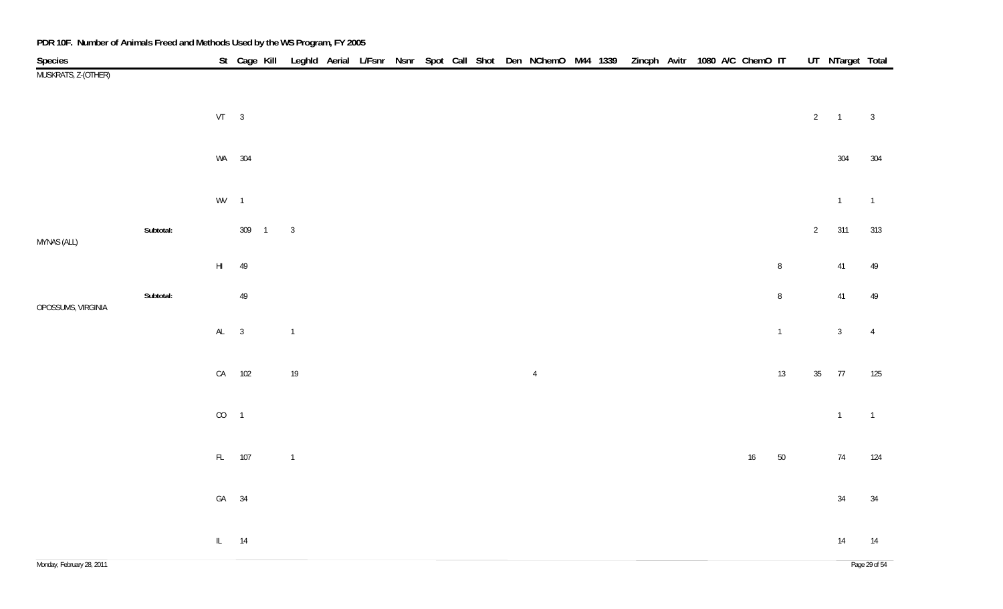| Species             |           |                        |        |                |  |  |  | St Cage Kill Leghld Aerial L/Fsnr Nsnr Spot Call Shot Den NChemO M44 1339 Zincph Avitr 1080 A/C ChemO IT |  |  |  |        |                |                 | UT NTarget Total |                |
|---------------------|-----------|------------------------|--------|----------------|--|--|--|----------------------------------------------------------------------------------------------------------|--|--|--|--------|----------------|-----------------|------------------|----------------|
| MUSKRATS, Z-(OTHER) |           |                        |        |                |  |  |  |                                                                                                          |  |  |  |        |                |                 |                  |                |
|                     |           | $VT \t 3$              |        |                |  |  |  |                                                                                                          |  |  |  |        |                | $\overline{2}$  | $\overline{1}$   | $\overline{3}$ |
|                     |           |                        | WA 304 |                |  |  |  |                                                                                                          |  |  |  |        |                |                 | 304              | 304            |
|                     |           | $WV = 1$               |        |                |  |  |  |                                                                                                          |  |  |  |        |                |                 | $\mathbf{1}$     | $\overline{1}$ |
| MYNAS (ALL)         | Subtotal: |                        | 309 1  | $\overline{3}$ |  |  |  |                                                                                                          |  |  |  |        |                | $2\overline{ }$ | 311              | 313            |
|                     |           | $\mathsf{H}\mathsf{I}$ | 49     |                |  |  |  |                                                                                                          |  |  |  |        | $\, 8$         |                 | $41\,$           | 49             |
| OPOSSUMS, VIRGINIA  | Subtotal: |                        | $49\,$ |                |  |  |  |                                                                                                          |  |  |  |        | $\, 8$         |                 | $41\,$           | 49             |
|                     |           | $AL$ 3                 |        | $\mathbf{1}$   |  |  |  |                                                                                                          |  |  |  |        | $\overline{1}$ |                 | 3 <sup>1</sup>   | $\overline{4}$ |
|                     |           |                        | CA 102 | $19$           |  |  |  | $\overline{4}$                                                                                           |  |  |  |        | 13             | $35\,$          | 77               | 125            |
|                     |           | $CO$ 1                 |        |                |  |  |  |                                                                                                          |  |  |  |        |                |                 | $\overline{1}$   | $\overline{1}$ |
|                     |           |                        | FL 107 | $\overline{1}$ |  |  |  |                                                                                                          |  |  |  | $16\,$ | $50\,$         |                 | $74$             | 124            |
|                     |           | GA 34                  |        |                |  |  |  |                                                                                                          |  |  |  |        |                |                 | $34\,$           | 34             |
|                     |           | $IL$ 14                |        |                |  |  |  |                                                                                                          |  |  |  |        |                |                 | 14               | 14             |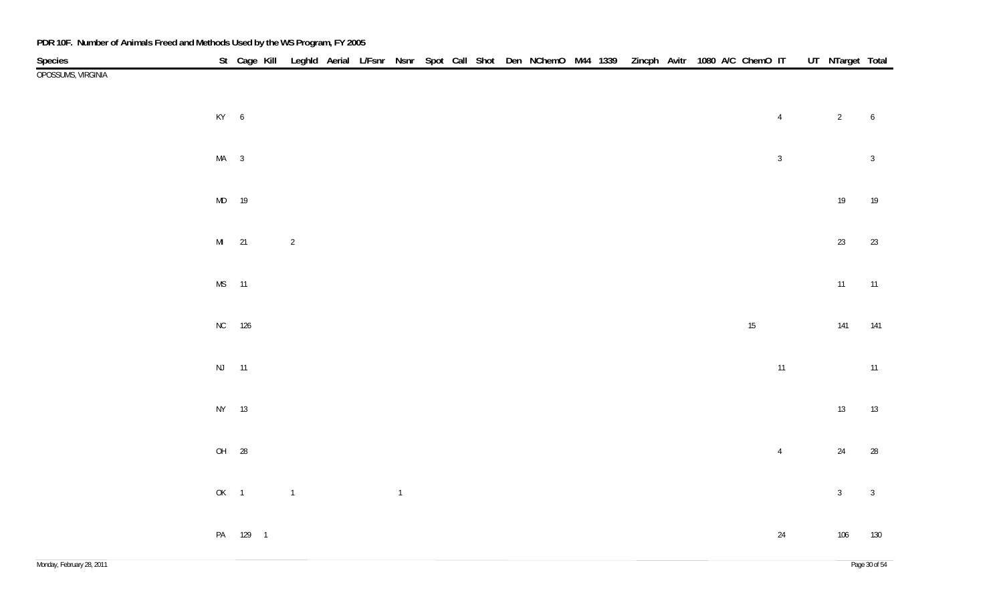| Species            |        | St Cage Kill Leghld Aerial L/Fsnr Nsnr Spot Call Shot Den NChemO M44 1339 Zincph Avitr 1080 A/C ChemO IT UT NTarget Total |                |  |                |  |  |  |  |  |        |                |                |                  |
|--------------------|--------|---------------------------------------------------------------------------------------------------------------------------|----------------|--|----------------|--|--|--|--|--|--------|----------------|----------------|------------------|
| OPOSSUMS, VIRGINIA |        |                                                                                                                           |                |  |                |  |  |  |  |  |        |                |                |                  |
|                    | KY 6   |                                                                                                                           |                |  |                |  |  |  |  |  |        | $\overline{4}$ | $\overline{2}$ | $\boldsymbol{6}$ |
|                    | $MA$ 3 |                                                                                                                           |                |  |                |  |  |  |  |  |        | $\sqrt{3}$     |                | $\sqrt{3}$       |
|                    | MD 19  |                                                                                                                           |                |  |                |  |  |  |  |  |        |                | $19\,$         | 19               |
|                    | MI 21  |                                                                                                                           | $\overline{2}$ |  |                |  |  |  |  |  |        |                | $23\,$         | $23\,$           |
|                    | MS 11  |                                                                                                                           |                |  |                |  |  |  |  |  |        |                | $11$           | 11               |
|                    | NC 126 |                                                                                                                           |                |  |                |  |  |  |  |  | $15\,$ |                | 141            | 141              |
|                    | NJ 11  |                                                                                                                           |                |  |                |  |  |  |  |  |        | 11             |                | 11               |
|                    | NY 13  |                                                                                                                           |                |  |                |  |  |  |  |  |        |                | $13\,$         | 13               |
|                    | OH 28  |                                                                                                                           |                |  |                |  |  |  |  |  |        | $\overline{4}$ | $24\,$         | 28               |
|                    | OK 1   |                                                                                                                           | $\mathbf 1$    |  | $\overline{1}$ |  |  |  |  |  |        |                | $\mathbf{3}$   | $\sqrt{3}$       |
|                    |        | PA 129 1                                                                                                                  |                |  |                |  |  |  |  |  |        | $24$           | 106            | 130              |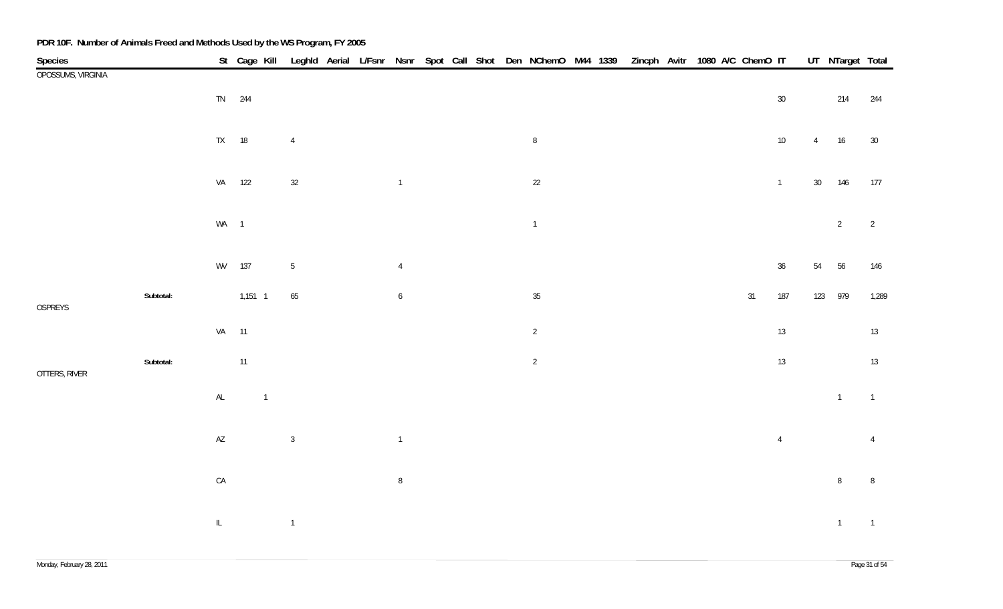| Species            |           |                                   |                |                |  |                |  | St Cage Kill Leghld Aerial L/Fsnr Nsnr Spot Call Shot Den NChemO M44 1339 Zincph Avitr 1080 A/C ChemO IT |  |  |  |        |                |                | UT NTarget Total |                |
|--------------------|-----------|-----------------------------------|----------------|----------------|--|----------------|--|----------------------------------------------------------------------------------------------------------|--|--|--|--------|----------------|----------------|------------------|----------------|
| OPOSSUMS, VIRGINIA |           |                                   |                |                |  |                |  |                                                                                                          |  |  |  |        |                |                |                  |                |
|                    |           |                                   | TN 244         |                |  |                |  |                                                                                                          |  |  |  |        | $30\,$         |                | 214              | 244            |
|                    |           |                                   |                |                |  |                |  |                                                                                                          |  |  |  |        |                |                |                  |                |
|                    |           |                                   | TX 18          | $\overline{4}$ |  |                |  | $\, 8$                                                                                                   |  |  |  |        | $10\,$         | $\overline{4}$ | 16               | $30\,$         |
|                    |           |                                   |                |                |  |                |  |                                                                                                          |  |  |  |        |                |                |                  |                |
|                    |           |                                   |                |                |  |                |  |                                                                                                          |  |  |  |        |                |                |                  |                |
|                    |           |                                   | VA 122         | $32\,$         |  | $\overline{1}$ |  | $22\,$                                                                                                   |  |  |  |        | $\overline{1}$ |                | 30 146           | 177            |
|                    |           |                                   |                |                |  |                |  |                                                                                                          |  |  |  |        |                |                |                  |                |
|                    |           | WA 1                              |                |                |  |                |  | $\overline{1}$                                                                                           |  |  |  |        |                |                | $2\overline{ }$  | $\overline{2}$ |
|                    |           |                                   |                |                |  |                |  |                                                                                                          |  |  |  |        |                |                |                  |                |
|                    |           |                                   | WV 137         | $\sqrt{5}$     |  | $\overline{4}$ |  |                                                                                                          |  |  |  |        | 36             | 54             | 56               | 146            |
|                    |           |                                   |                |                |  |                |  |                                                                                                          |  |  |  |        |                |                |                  |                |
| OSPREYS            | Subtotal: |                                   | $1,151$ 1      | 65             |  | 6              |  | $35\,$                                                                                                   |  |  |  | $31\,$ | 187            |                | 123 979          | 1,289          |
|                    |           | VA 11                             |                |                |  |                |  | $\overline{2}$                                                                                           |  |  |  |        | 13             |                |                  | 13             |
|                    |           |                                   |                |                |  |                |  |                                                                                                          |  |  |  |        |                |                |                  |                |
|                    | Subtotal: |                                   | 11             |                |  |                |  | $\overline{2}$                                                                                           |  |  |  |        | 13             |                |                  | 13             |
| OTTERS, RIVER      |           |                                   |                |                |  |                |  |                                                                                                          |  |  |  |        |                |                |                  |                |
|                    |           | $\mathsf{AL}$                     | $\overline{1}$ |                |  |                |  |                                                                                                          |  |  |  |        |                |                | $\mathbf{1}$     | $\overline{1}$ |
|                    |           |                                   |                |                |  |                |  |                                                                                                          |  |  |  |        |                |                |                  |                |
|                    |           | $\mathsf{A}\mathsf{Z}$            |                | $\mathbf{3}$   |  | $\overline{1}$ |  |                                                                                                          |  |  |  |        | $\overline{4}$ |                |                  | $\overline{4}$ |
|                    |           |                                   |                |                |  |                |  |                                                                                                          |  |  |  |        |                |                |                  |                |
|                    |           | ${\sf CA}$                        |                |                |  | $\, 8$         |  |                                                                                                          |  |  |  |        |                |                | 8 <sup>°</sup>   | $\, 8$         |
|                    |           |                                   |                |                |  |                |  |                                                                                                          |  |  |  |        |                |                |                  |                |
|                    |           |                                   |                |                |  |                |  |                                                                                                          |  |  |  |        |                |                |                  |                |
|                    |           | $\ensuremath{\mathsf{IL}}\xspace$ |                | $\mathbf 1$    |  |                |  |                                                                                                          |  |  |  |        |                |                | $\overline{1}$   | $\overline{1}$ |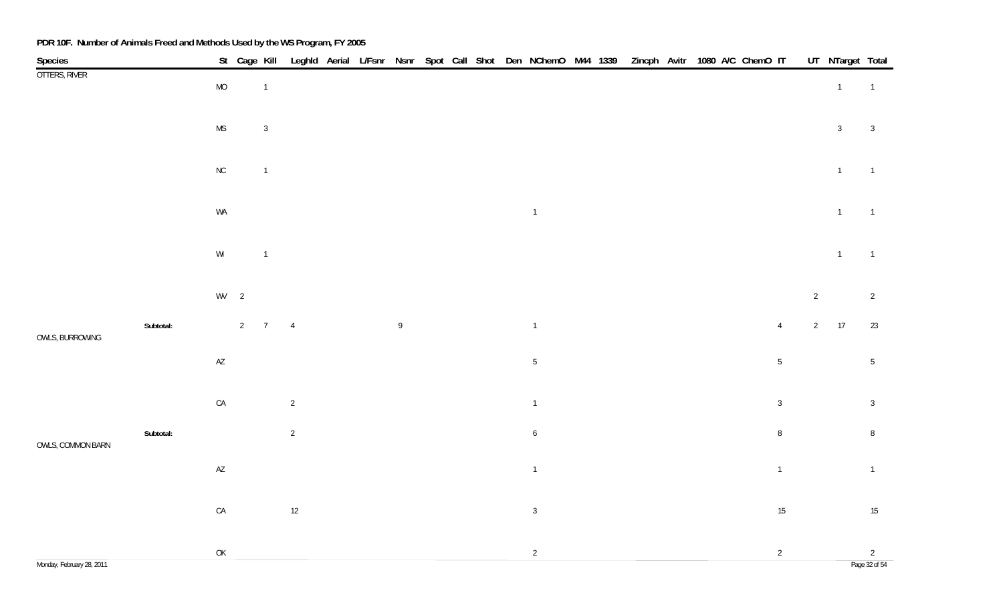| Species                   |           |                                                                                       |                       |                |  |              |  |  | St Cage Kill Leghld Aerial L/Fsnr Nsnr Spot Call Shot Den NChemO M44 1339 Zincph Avitr 1080 A/C ChemO IT |  |  |  |                |                | UT NTarget Total |                                 |
|---------------------------|-----------|---------------------------------------------------------------------------------------|-----------------------|----------------|--|--------------|--|--|----------------------------------------------------------------------------------------------------------|--|--|--|----------------|----------------|------------------|---------------------------------|
| OTTERS, RIVER             |           | $\rm MO$                                                                              | $\overline{1}$        |                |  |              |  |  |                                                                                                          |  |  |  |                |                | $\overline{1}$   | $\overline{1}$                  |
|                           |           | $\mathsf{MS}\xspace$                                                                  | $\mathbf{3}$          |                |  |              |  |  |                                                                                                          |  |  |  |                |                | $\mathbf{3}$     | $\mathbf{3}$                    |
|                           |           |                                                                                       |                       |                |  |              |  |  |                                                                                                          |  |  |  |                |                |                  |                                 |
|                           |           | ${\sf NC}$                                                                            | $\overline{1}$        |                |  |              |  |  |                                                                                                          |  |  |  |                |                | $\overline{1}$   | $\overline{1}$                  |
|                           |           | WA                                                                                    |                       |                |  |              |  |  | $\overline{1}$                                                                                           |  |  |  |                |                | $\mathbf{1}$     | $\overline{1}$                  |
|                           |           | $\mathsf{W}\mathsf{I}$                                                                | $\overline{1}$        |                |  |              |  |  |                                                                                                          |  |  |  |                |                | $\overline{1}$   | $\overline{1}$                  |
|                           |           | $WV$ 2                                                                                |                       |                |  |              |  |  |                                                                                                          |  |  |  |                | $\overline{2}$ |                  | $\overline{2}$                  |
| OWLS, BURROWING           | Subtotal: |                                                                                       | $2 \qquad 7 \qquad 4$ |                |  | $\mathsf{g}$ |  |  | $\overline{1}$                                                                                           |  |  |  | $\overline{4}$ |                | $2 \qquad 17$    | 23                              |
|                           |           | $\mathsf{A}\mathsf{Z}$                                                                |                       |                |  |              |  |  | $\sqrt{5}$                                                                                               |  |  |  | $5\,$          |                |                  | $5\phantom{.0}$                 |
|                           |           | ${\sf CA}$                                                                            |                       | $\sqrt{2}$     |  |              |  |  | $\overline{1}$                                                                                           |  |  |  | $\mathbf{3}$   |                |                  | $\mathbf{3}$                    |
| OWLS, COMMON BARN         | Subtotal: |                                                                                       |                       | $\overline{2}$ |  |              |  |  | $\boldsymbol{6}$                                                                                         |  |  |  | $\, 8$         |                |                  | $\, 8$                          |
|                           |           | $\mathsf{AZ}$                                                                         |                       |                |  |              |  |  | $\overline{1}$                                                                                           |  |  |  | $\overline{1}$ |                |                  | $\overline{1}$                  |
|                           |           | $\mathsf{CA}$                                                                         |                       | 12             |  |              |  |  | $\mathbf{3}$                                                                                             |  |  |  | 15             |                |                  | 15                              |
| Monday, February 28, 2011 |           | $\mathsf{OK}% \left( \mathcal{M}\right) \equiv\mathsf{OK}(\mathcal{M}_{\mathrm{CL}})$ |                       |                |  |              |  |  | $\sqrt{2}$                                                                                               |  |  |  | $\overline{2}$ |                |                  | $\overline{2}$<br>Page 32 of 54 |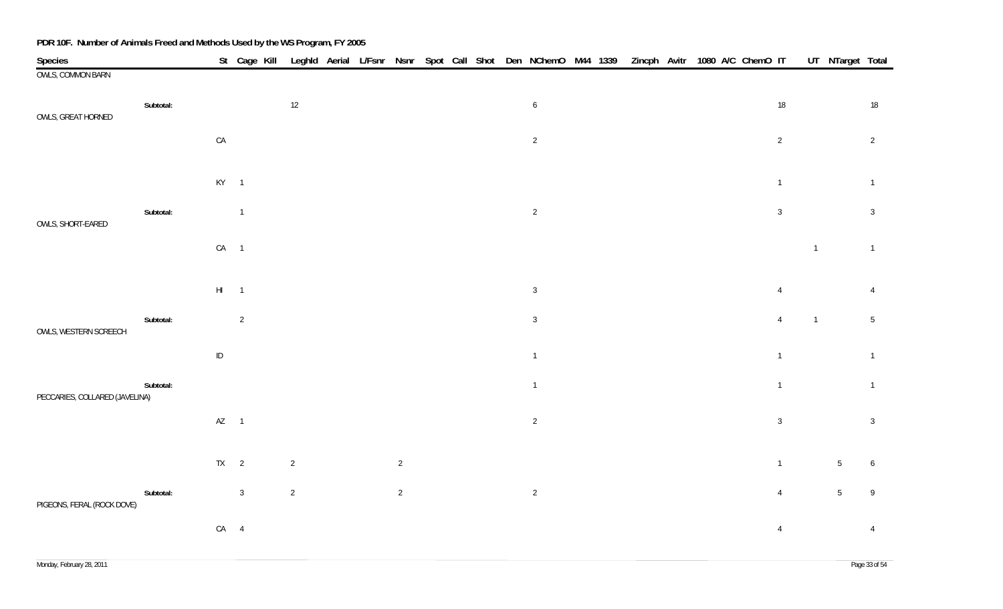| Species                        |           |                 |                            |                |  |                |  |  | St Cage Kill Leghld Aerial L/Fsnr Nsnr Spot Call Shot Den NChemO M44 1339 Zincph Avitr 1080 A/C ChemO IT |  |  |  |                |                | UT NTarget Total |                 |
|--------------------------------|-----------|-----------------|----------------------------|----------------|--|----------------|--|--|----------------------------------------------------------------------------------------------------------|--|--|--|----------------|----------------|------------------|-----------------|
| <b>OWLS, COMMON BARN</b>       |           |                 |                            |                |  |                |  |  |                                                                                                          |  |  |  |                |                |                  |                 |
| OWLS, GREAT HORNED             | Subtotal: |                 |                            | $12$           |  |                |  |  | $6\phantom{.0}$                                                                                          |  |  |  | $18\,$         |                |                  | 18              |
|                                |           | ${\sf CA}$      |                            |                |  |                |  |  | $\overline{2}$                                                                                           |  |  |  | $\overline{2}$ |                |                  | $\overline{2}$  |
|                                |           | $KY$ 1          |                            |                |  |                |  |  |                                                                                                          |  |  |  | $\overline{1}$ |                |                  | $\overline{1}$  |
| OWLS, SHORT-EARED              | Subtotal: |                 | $\overline{1}$             |                |  |                |  |  | $\overline{2}$                                                                                           |  |  |  | $\overline{3}$ |                |                  | $\overline{3}$  |
|                                |           | $CA$ 1          |                            |                |  |                |  |  |                                                                                                          |  |  |  |                | $\overline{1}$ |                  | $\overline{1}$  |
|                                |           | $\mathsf{HI}^-$ | $\overline{\phantom{0}}$ 1 |                |  |                |  |  | $\mathbf{3}$                                                                                             |  |  |  | $\overline{4}$ |                |                  | $\overline{4}$  |
| OWLS, WESTERN SCREECH          | Subtotal: |                 | $\overline{2}$             |                |  |                |  |  | $\mathbf{3}$                                                                                             |  |  |  | $\overline{4}$ | $\overline{1}$ |                  | $5\phantom{.0}$ |
|                                |           | $\sf ID$        |                            |                |  |                |  |  | $\overline{1}$                                                                                           |  |  |  | $\overline{1}$ |                |                  | $\overline{1}$  |
| PECCARIES, COLLARED (JAVELINA) | Subtotal: |                 |                            |                |  |                |  |  | $\overline{1}$                                                                                           |  |  |  | $\overline{1}$ |                |                  | $\overline{1}$  |
|                                |           | $AZ$ 1          |                            |                |  |                |  |  | $\overline{2}$                                                                                           |  |  |  | $\mathbf{3}$   |                |                  | $\overline{3}$  |
|                                |           | $TX \qquad 2$   |                            | $\overline{2}$ |  | $\overline{2}$ |  |  |                                                                                                          |  |  |  | $\overline{1}$ |                | 5                | 6               |
| PIGEONS, FERAL (ROCK DOVE)     | Subtotal: |                 | $\mathbf{3}$               | $\overline{2}$ |  | $\overline{2}$ |  |  | $\overline{2}$                                                                                           |  |  |  | $\overline{4}$ |                | $5\overline{)}$  | $\overline{9}$  |
|                                |           | $CA$ 4          |                            |                |  |                |  |  |                                                                                                          |  |  |  | $\overline{4}$ |                |                  | $\overline{4}$  |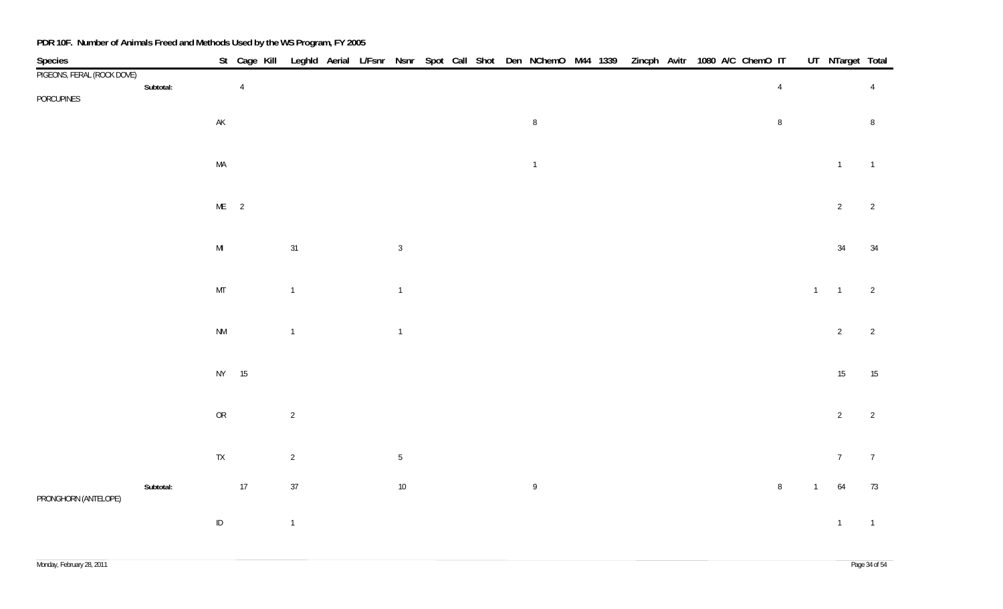| Species                    |           |                        | St Cage Kill   | Leghld Aerial L/Fsnr Nsnr Spot Call Shot Den NChemO M44 1339 Zincph Avitr 1080 A/C ChemO IT |  |                 |  |  |                 |  |  |  |                |              | UT NTarget Total |                |
|----------------------------|-----------|------------------------|----------------|---------------------------------------------------------------------------------------------|--|-----------------|--|--|-----------------|--|--|--|----------------|--------------|------------------|----------------|
| PIGEONS, FERAL (ROCK DOVE) |           |                        |                |                                                                                             |  |                 |  |  |                 |  |  |  |                |              |                  |                |
| PORCUPINES                 | Subtotal: |                        | $\overline{4}$ |                                                                                             |  |                 |  |  |                 |  |  |  | $\overline{4}$ |              |                  | $\overline{4}$ |
|                            |           | $\mathsf{AK}$          |                |                                                                                             |  |                 |  |  | $8\phantom{.0}$ |  |  |  | $\, 8$         |              |                  | 8              |
|                            |           | MA                     |                |                                                                                             |  |                 |  |  | $\overline{1}$  |  |  |  |                |              | $\overline{1}$   | $\overline{1}$ |
|                            |           | $ME$ 2                 |                |                                                                                             |  |                 |  |  |                 |  |  |  |                |              | $\overline{2}$   | $\overline{2}$ |
|                            |           | $\mathsf{MI}$          |                | 31                                                                                          |  | $\overline{3}$  |  |  |                 |  |  |  |                |              | $34\,$           | $34\,$         |
|                            |           | MT                     |                | $\overline{1}$                                                                              |  | $\overline{1}$  |  |  |                 |  |  |  |                | $1 \quad 1$  |                  | $\overline{2}$ |
|                            |           | $\mathsf{N}\mathsf{M}$ |                | $\overline{1}$                                                                              |  | $\overline{1}$  |  |  |                 |  |  |  |                |              | $\overline{2}$   | $\overline{2}$ |
|                            |           | NY 15                  |                |                                                                                             |  |                 |  |  |                 |  |  |  |                |              | $15\,$           | 15             |
|                            |           | ${\sf OR}$             |                | $\overline{2}$                                                                              |  |                 |  |  |                 |  |  |  |                |              | $\overline{2}$   | $\overline{2}$ |
|                            |           | ${\sf TX}$             |                | $\overline{2}$                                                                              |  | $5\phantom{.0}$ |  |  |                 |  |  |  |                |              | $7\overline{ }$  | $\overline{7}$ |
| PRONGHORN (ANTELOPE)       | Subtotal: |                        | 17             | 37                                                                                          |  | $10\,$          |  |  | 9               |  |  |  | $\, 8$         | $\mathbf{1}$ | 64               | 73             |
|                            |           | $\sf ID$               |                | $\overline{1}$                                                                              |  |                 |  |  |                 |  |  |  |                |              | $\mathbf{1}$     | $\overline{1}$ |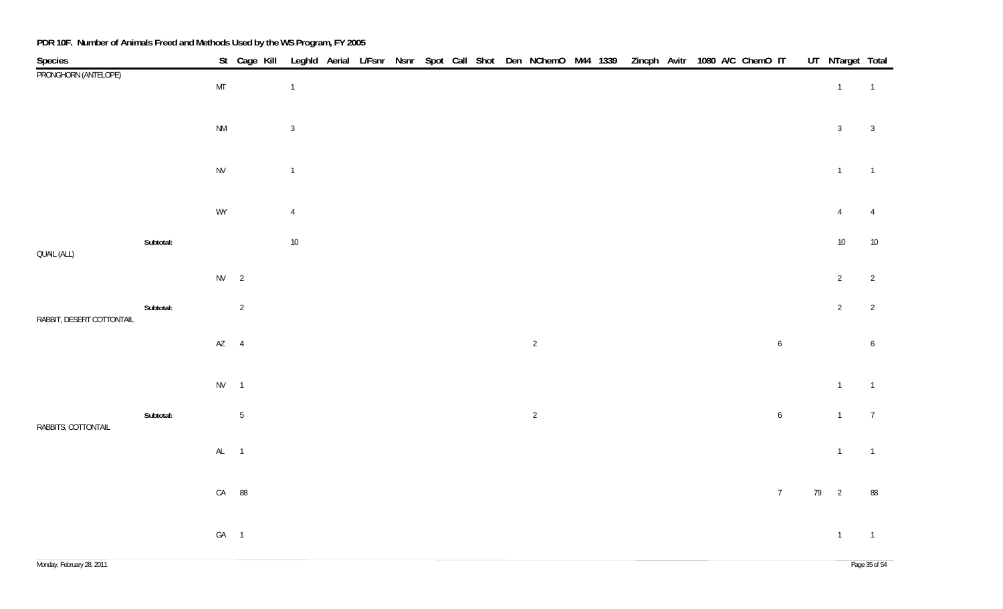| Species                   |           |                        | St Cage Kill   |                |  |  |  | Leghld Aerial L/Fsnr Nsnr Spot Call Shot Den NChemO M44 1339 |  | Zincph Avitr 1080 A/C ChemO IT |  |  |                  | UT NTarget Total |                  |
|---------------------------|-----------|------------------------|----------------|----------------|--|--|--|--------------------------------------------------------------|--|--------------------------------|--|--|------------------|------------------|------------------|
| PRONGHORN (ANTELOPE)      |           | $\mathsf{MT}$          |                | $\mathbf{1}$   |  |  |  |                                                              |  |                                |  |  |                  | $\overline{1}$   | $\overline{1}$   |
|                           |           | $\mathsf{N}\mathsf{M}$ |                | $\sqrt{3}$     |  |  |  |                                                              |  |                                |  |  |                  | $\overline{3}$   | $\overline{3}$   |
|                           |           | ${\sf NV}$             |                | $\mathbf{1}$   |  |  |  |                                                              |  |                                |  |  |                  | $\overline{1}$   | $\overline{1}$   |
|                           |           | WY                     |                | $\overline{4}$ |  |  |  |                                                              |  |                                |  |  |                  | $\overline{4}$   | $\overline{4}$   |
| QUAIL (ALL)               | Subtotal: |                        |                | $10\,$         |  |  |  |                                                              |  |                                |  |  |                  | $10\,$           | $10\,$           |
|                           |           | $NV$ 2                 |                |                |  |  |  |                                                              |  |                                |  |  |                  | $\overline{2}$   | $\overline{2}$   |
| RABBIT, DESERT COTTONTAIL | Subtotal: |                        | $\overline{2}$ |                |  |  |  |                                                              |  |                                |  |  |                  | $\overline{2}$   | $\overline{2}$   |
|                           |           | $AZ$ 4                 |                |                |  |  |  | $\overline{2}$                                               |  |                                |  |  | $\boldsymbol{6}$ |                  | $\boldsymbol{6}$ |
|                           |           | $NV$ 1                 |                |                |  |  |  |                                                              |  |                                |  |  |                  | $\overline{1}$   | $\overline{1}$   |
| RABBITS, COTTONTAIL       | Subtotal: |                        | $5\,$          |                |  |  |  | $\overline{c}$                                               |  |                                |  |  | $\boldsymbol{6}$ | $\overline{1}$   | $\overline{7}$   |
|                           |           | $AL$ 1                 |                |                |  |  |  |                                                              |  |                                |  |  |                  | $\mathbf{1}$     | $\overline{1}$   |
|                           |           |                        | CA 88          |                |  |  |  |                                                              |  |                                |  |  | $\overline{7}$   | 79 2             | 88               |
|                           |           | GA 1                   |                |                |  |  |  |                                                              |  |                                |  |  |                  | $\overline{1}$   | $\overline{1}$   |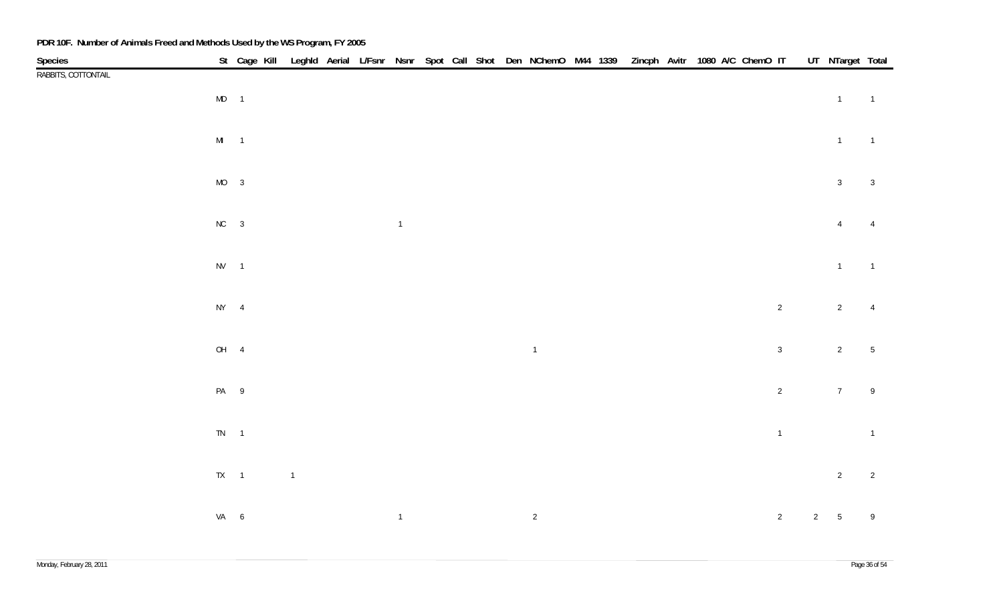| Species<br>RABBITS, COTTONTAIL |          | St Cage Kill Leghld Aerial L/Fsnr Nsnr Spot Call Shot Den NChemO M44 1339 Zincph Avitr 1080 A/C ChemO IT |                |  |                |  |  |                |  |  |  |                |              | UT NTarget Total    |                |
|--------------------------------|----------|----------------------------------------------------------------------------------------------------------|----------------|--|----------------|--|--|----------------|--|--|--|----------------|--------------|---------------------|----------------|
|                                |          |                                                                                                          |                |  |                |  |  |                |  |  |  |                |              |                     |                |
|                                | $MD$ 1   |                                                                                                          |                |  |                |  |  |                |  |  |  |                |              | $1 \qquad \qquad 1$ |                |
|                                |          |                                                                                                          |                |  |                |  |  |                |  |  |  |                |              |                     |                |
|                                |          |                                                                                                          |                |  |                |  |  |                |  |  |  |                |              |                     |                |
|                                | $MI$ 1   |                                                                                                          |                |  |                |  |  |                |  |  |  |                |              | $\overline{1}$      | $\overline{1}$ |
|                                |          |                                                                                                          |                |  |                |  |  |                |  |  |  |                |              |                     |                |
|                                | $MO$ 3   |                                                                                                          |                |  |                |  |  |                |  |  |  |                |              | $\overline{3}$      | $\sqrt{3}$     |
|                                |          |                                                                                                          |                |  |                |  |  |                |  |  |  |                |              |                     |                |
|                                | $NC$ 3   |                                                                                                          |                |  | $\overline{1}$ |  |  |                |  |  |  |                |              | $\overline{4}$      | $\overline{4}$ |
|                                |          |                                                                                                          |                |  |                |  |  |                |  |  |  |                |              |                     |                |
|                                | $NV$ 1   |                                                                                                          |                |  |                |  |  |                |  |  |  |                |              | $\overline{1}$      | $\overline{1}$ |
|                                |          |                                                                                                          |                |  |                |  |  |                |  |  |  |                |              |                     |                |
|                                |          |                                                                                                          |                |  |                |  |  |                |  |  |  |                |              |                     |                |
|                                | $NY$ 4   |                                                                                                          |                |  |                |  |  |                |  |  |  | $\overline{2}$ |              | $\overline{2}$      | $\overline{4}$ |
|                                |          |                                                                                                          |                |  |                |  |  |                |  |  |  |                |              |                     |                |
|                                | OH 4     |                                                                                                          |                |  |                |  |  | $\overline{1}$ |  |  |  | $\mathbf{3}$   |              | $\overline{2}$      | $\sqrt{5}$     |
|                                |          |                                                                                                          |                |  |                |  |  |                |  |  |  |                |              |                     |                |
|                                | PA 9     |                                                                                                          |                |  |                |  |  |                |  |  |  | $\overline{c}$ |              | 7 <sup>7</sup>      | $\,9$          |
|                                |          |                                                                                                          |                |  |                |  |  |                |  |  |  |                |              |                     |                |
|                                |          |                                                                                                          |                |  |                |  |  |                |  |  |  |                |              |                     |                |
|                                | $TN$ 1   |                                                                                                          |                |  |                |  |  |                |  |  |  | $\overline{1}$ |              |                     | $\overline{1}$ |
|                                |          |                                                                                                          |                |  |                |  |  |                |  |  |  |                |              |                     |                |
|                                | $TX = 1$ |                                                                                                          | $\overline{1}$ |  |                |  |  |                |  |  |  |                |              | $\overline{2}$      | $\overline{2}$ |
|                                |          |                                                                                                          |                |  |                |  |  |                |  |  |  |                |              |                     |                |
|                                | VA 6     |                                                                                                          |                |  | $\overline{1}$ |  |  | $\overline{2}$ |  |  |  | $\overline{2}$ | $2 \qquad 5$ |                     | $\,9$          |
|                                |          |                                                                                                          |                |  |                |  |  |                |  |  |  |                |              |                     |                |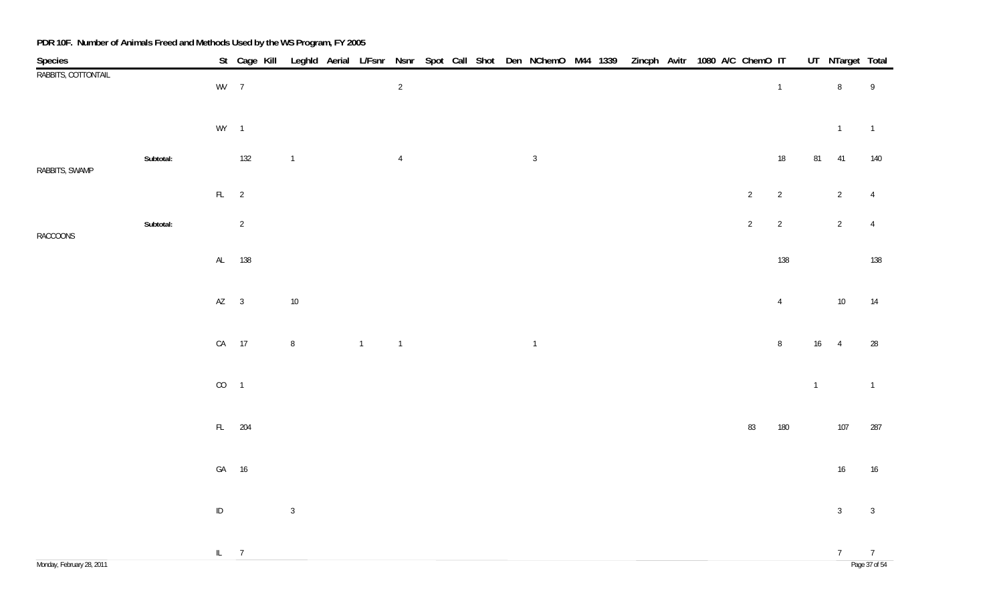| Species                   |           |          |                |                |                |                |  |  | St Cage Kill Leghld Aerial L/Fsnr Nsnr Spot Call Shot Den NChemO M44 1339 Zincph Avitr 1080 A/C ChemO IT |  |  |  |                |                |                | UT NTarget Total |                                 |
|---------------------------|-----------|----------|----------------|----------------|----------------|----------------|--|--|----------------------------------------------------------------------------------------------------------|--|--|--|----------------|----------------|----------------|------------------|---------------------------------|
| RABBITS, COTTONTAIL       |           | WV 7     |                |                |                | $\overline{2}$ |  |  |                                                                                                          |  |  |  |                | $\overline{1}$ |                | $\, 8$           | $\,9$                           |
|                           |           | $WY$ 1   |                |                |                |                |  |  |                                                                                                          |  |  |  |                |                |                | $\mathbf{1}$     | $\overline{1}$                  |
| RABBITS, SWAMP            | Subtotal: |          | 132            | $\overline{1}$ |                | $\overline{4}$ |  |  | $\mathbf{3}$                                                                                             |  |  |  |                | $18\,$         |                | 81 41            | 140                             |
|                           |           | $FL$ 2   |                |                |                |                |  |  |                                                                                                          |  |  |  | $\overline{2}$ | $\overline{2}$ |                | $\overline{2}$   | $\overline{4}$                  |
| RACCOONS                  | Subtotal: |          | $\overline{2}$ |                |                |                |  |  |                                                                                                          |  |  |  | $\overline{2}$ | $\overline{2}$ |                | $\overline{2}$   | $\overline{4}$                  |
|                           |           |          | AL 138         |                |                |                |  |  |                                                                                                          |  |  |  |                | 138            |                |                  | 138                             |
|                           |           | $AZ$ 3   |                | $10\,$         |                |                |  |  |                                                                                                          |  |  |  |                | $\overline{4}$ |                | 10               | 14                              |
|                           |           |          | CA 17          | $\bf 8$        | $\overline{1}$ | $\overline{1}$ |  |  | $\overline{1}$                                                                                           |  |  |  |                | $\, 8$         |                | $16 \qquad 4$    | 28                              |
|                           |           | $CO$ 1   |                |                |                |                |  |  |                                                                                                          |  |  |  |                |                | $\overline{1}$ |                  | $\overline{1}$                  |
|                           |           |          | FL 204         |                |                |                |  |  |                                                                                                          |  |  |  | 83             | 180            |                | 107              | 287                             |
|                           |           |          | GA 16          |                |                |                |  |  |                                                                                                          |  |  |  |                |                |                | $16\,$           | 16                              |
|                           |           | $\sf ID$ |                | $\mathbf{3}$   |                |                |  |  |                                                                                                          |  |  |  |                |                |                | $\mathbf{3}$     | $\mathbf{3}$                    |
| Monday, February 28, 2011 |           | IL $7$   |                |                |                |                |  |  |                                                                                                          |  |  |  |                |                |                | 7                | $\overline{7}$<br>Page 37 of 54 |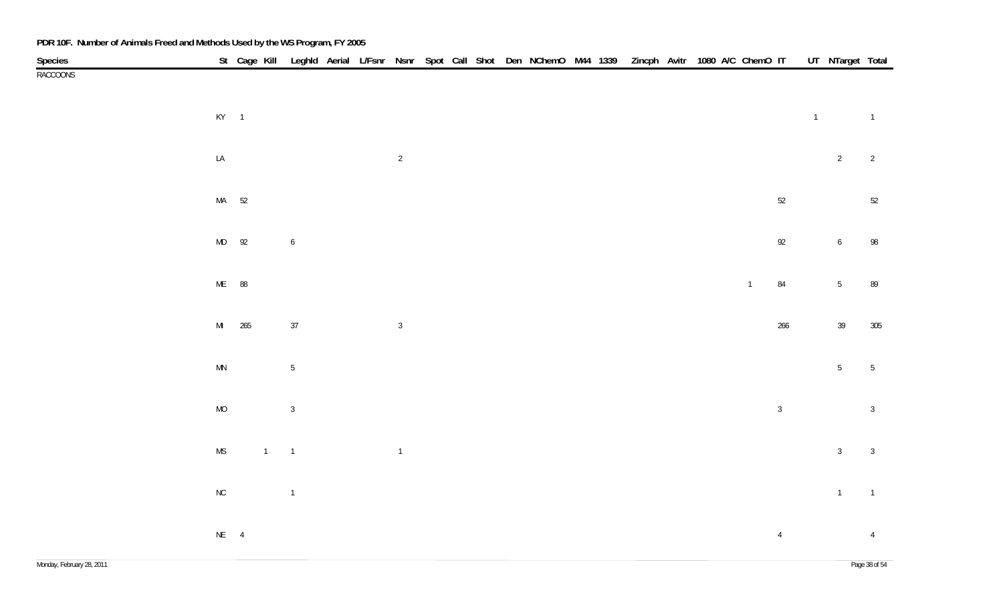| PDR 10F. Number of Animals Freed and Methods Used by the WS Program, FY 2005 |                        |        |                |                  |  |                |  |  |                                                                                                          |  |  |  |              |                |                |                  |                |
|------------------------------------------------------------------------------|------------------------|--------|----------------|------------------|--|----------------|--|--|----------------------------------------------------------------------------------------------------------|--|--|--|--------------|----------------|----------------|------------------|----------------|
|                                                                              |                        |        |                |                  |  |                |  |  | St Cage Kill Leghld Aerial L/Fsnr Nsnr Spot Call Shot Den NChemO M44 1339 Zincph Avitr 1080 A/C ChemO IT |  |  |  |              |                |                | UT NTarget Total |                |
| Species<br>RACCOONS                                                          |                        |        |                |                  |  |                |  |  |                                                                                                          |  |  |  |              |                |                |                  |                |
|                                                                              | $KY$ 1                 |        |                |                  |  |                |  |  |                                                                                                          |  |  |  |              |                | $\overline{1}$ |                  | $\overline{1}$ |
|                                                                              | ${\sf LA}$             |        |                |                  |  | $\overline{2}$ |  |  |                                                                                                          |  |  |  |              |                |                | $\overline{2}$   | $\overline{c}$ |
|                                                                              | MA 52                  |        |                |                  |  |                |  |  |                                                                                                          |  |  |  |              | $52\,$         |                |                  | 52             |
|                                                                              | MD 92                  |        |                | $\boldsymbol{6}$ |  |                |  |  |                                                                                                          |  |  |  |              | 92             |                | $\boldsymbol{6}$ | 98             |
|                                                                              | ME 88                  |        |                |                  |  |                |  |  |                                                                                                          |  |  |  | $\mathbf{1}$ | 84             |                | $5\,$            | 89             |
|                                                                              |                        | MI 265 |                | $37\,$           |  | $\mathbf{3}$   |  |  |                                                                                                          |  |  |  |              | 266            |                | $39\,$           | 305            |
|                                                                              | $\mathsf{M}\mathsf{N}$ |        |                | $\sqrt{5}$       |  |                |  |  |                                                                                                          |  |  |  |              |                |                | $5\phantom{.0}$  | $\sqrt{5}$     |
|                                                                              | $\rm MO$               |        |                | $\mathbf{3}$     |  |                |  |  |                                                                                                          |  |  |  |              | $\mathbf{3}$   |                |                  | $\overline{3}$ |
|                                                                              | $\mathsf{MS}\xspace$   |        | $\overline{1}$ | $\overline{1}$   |  | $\overline{1}$ |  |  |                                                                                                          |  |  |  |              |                |                | $\mathbf{3}$     | $\mathbf{3}$   |
|                                                                              | ${\sf NC}$             |        |                | $\overline{1}$   |  |                |  |  |                                                                                                          |  |  |  |              |                |                | $\overline{1}$   | $\overline{1}$ |
|                                                                              | $NE$ $\qquad 4$        |        |                |                  |  |                |  |  |                                                                                                          |  |  |  |              | $\overline{4}$ |                |                  | $\overline{4}$ |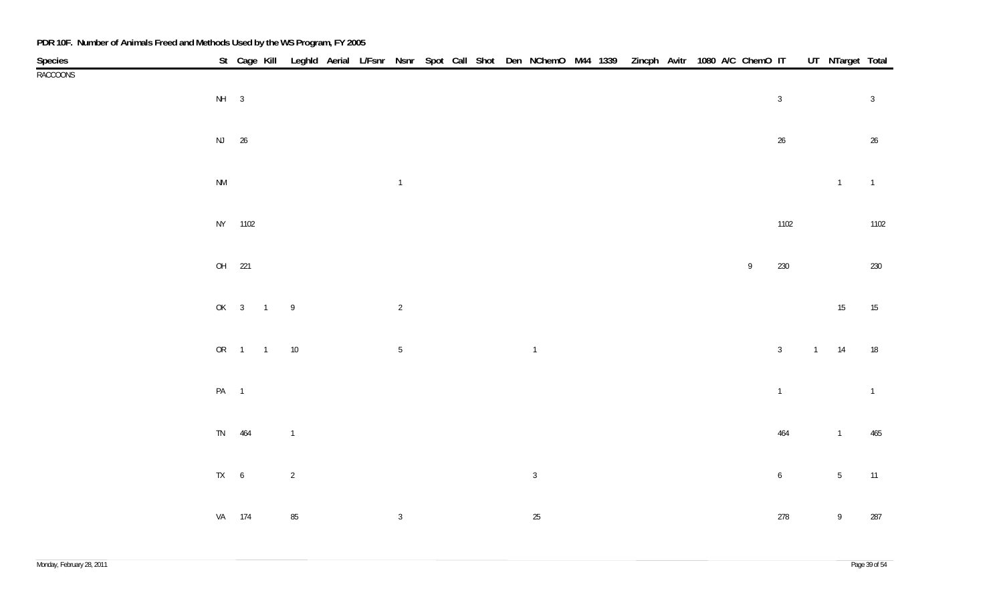| Species         |                        |         |              |                |  |                |  |  | St Cage Kill Leghld Aerial L/Fsnr Nsnr Spot Call Shot Den NChemO M44 1339 Zincph Avitr 1080 A/C ChemO IT UT NTarget Total |  |  |  |                  |                  |                |                |
|-----------------|------------------------|---------|--------------|----------------|--|----------------|--|--|---------------------------------------------------------------------------------------------------------------------------|--|--|--|------------------|------------------|----------------|----------------|
| <b>RACCOONS</b> |                        |         |              |                |  |                |  |  |                                                                                                                           |  |  |  |                  |                  |                |                |
|                 | $NH$ 3                 |         |              |                |  |                |  |  |                                                                                                                           |  |  |  |                  | $\sqrt{3}$       |                | $\overline{3}$ |
|                 |                        |         |              |                |  |                |  |  |                                                                                                                           |  |  |  |                  |                  |                |                |
|                 |                        | NJ 26   |              |                |  |                |  |  |                                                                                                                           |  |  |  |                  | $26\phantom{.0}$ |                | 26             |
|                 |                        |         |              |                |  |                |  |  |                                                                                                                           |  |  |  |                  |                  |                |                |
|                 |                        |         |              |                |  |                |  |  |                                                                                                                           |  |  |  |                  |                  |                |                |
|                 | $\mathsf{N}\mathsf{M}$ |         |              |                |  | $\overline{1}$ |  |  |                                                                                                                           |  |  |  |                  |                  | $\overline{1}$ | $\overline{1}$ |
|                 |                        |         |              |                |  |                |  |  |                                                                                                                           |  |  |  |                  |                  |                |                |
|                 |                        | NY 1102 |              |                |  |                |  |  |                                                                                                                           |  |  |  |                  | 1102             |                | 1102           |
|                 |                        |         |              |                |  |                |  |  |                                                                                                                           |  |  |  |                  |                  |                |                |
|                 |                        | OH 221  |              |                |  |                |  |  |                                                                                                                           |  |  |  | $\boldsymbol{9}$ | 230              |                | 230            |
|                 |                        |         |              |                |  |                |  |  |                                                                                                                           |  |  |  |                  |                  |                |                |
|                 |                        |         | OK 3 1 9     |                |  | $\overline{2}$ |  |  |                                                                                                                           |  |  |  |                  |                  | 15             | 15             |
|                 |                        |         |              |                |  |                |  |  |                                                                                                                           |  |  |  |                  |                  |                |                |
|                 |                        |         |              |                |  |                |  |  |                                                                                                                           |  |  |  |                  |                  | $1 \qquad 14$  |                |
|                 |                        |         | OR  1  1  10 |                |  | $\sqrt{5}$     |  |  | $\overline{1}$                                                                                                            |  |  |  |                  | $\mathbf{3}$     |                | 18             |
|                 |                        |         |              |                |  |                |  |  |                                                                                                                           |  |  |  |                  |                  |                |                |
|                 | PA 1                   |         |              |                |  |                |  |  |                                                                                                                           |  |  |  |                  | $\overline{1}$   |                | $\overline{1}$ |
|                 |                        |         |              |                |  |                |  |  |                                                                                                                           |  |  |  |                  |                  |                |                |
|                 |                        | TN 464  |              | $\overline{1}$ |  |                |  |  |                                                                                                                           |  |  |  |                  | 464              | $\overline{1}$ | 465            |
|                 |                        |         |              |                |  |                |  |  |                                                                                                                           |  |  |  |                  |                  |                |                |
|                 | $TX \qquad 6$          |         |              | $\overline{2}$ |  |                |  |  | $\mathbf{3}$                                                                                                              |  |  |  |                  | $\boldsymbol{6}$ | 5 <sub>5</sub> | 11             |
|                 |                        |         |              |                |  |                |  |  |                                                                                                                           |  |  |  |                  |                  |                |                |
|                 |                        | VA 174  |              | $85\,$         |  | $\mathbf{3}$   |  |  | $25\,$                                                                                                                    |  |  |  |                  | 278              | $\overline{9}$ | 287            |
|                 |                        |         |              |                |  |                |  |  |                                                                                                                           |  |  |  |                  |                  |                |                |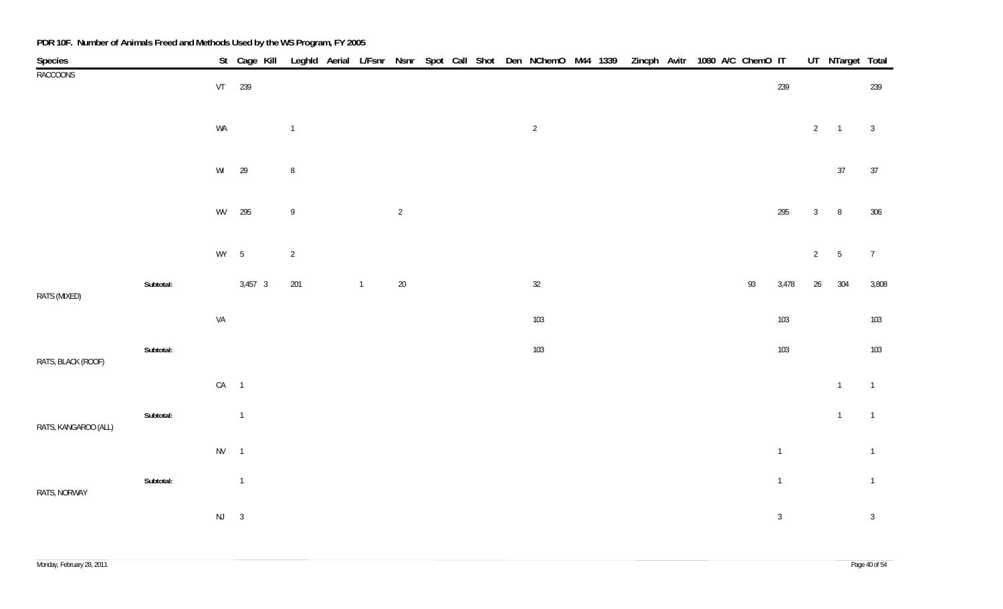| <b>Species</b>       |           |        |                | St Cage Kill |                  |                |                |  |  | Leghld Aerial L/Fsnr Nsnr Spot Call Shot Den NChemO M44 1339 Zincph Avitr 1080 A/C ChemO IT |  |  |    |                |                 | UT NTarget Total |                |
|----------------------|-----------|--------|----------------|--------------|------------------|----------------|----------------|--|--|---------------------------------------------------------------------------------------------|--|--|----|----------------|-----------------|------------------|----------------|
| <b>RACCOONS</b>      |           |        | VT 239         |              |                  |                |                |  |  |                                                                                             |  |  |    | 239            |                 |                  | 239            |
|                      |           | WA     |                |              | $\mathbf{1}$     |                |                |  |  | $\overline{2}$                                                                              |  |  |    |                | $2 \qquad 1$    |                  | $\overline{3}$ |
|                      |           | WI     | 29             |              | $\, 8$           |                |                |  |  |                                                                                             |  |  |    |                |                 | $37\,$           | 37             |
|                      |           | WV     | 295            |              | $\boldsymbol{9}$ |                | $\overline{2}$ |  |  |                                                                                             |  |  |    | 295            | $\mathbf{3}$    | 8                | 306            |
|                      |           | WY 5   |                |              | $\sqrt{2}$       |                |                |  |  |                                                                                             |  |  |    |                | $2\overline{ }$ | $5\phantom{.0}$  | $\overline{7}$ |
| RATS (MIXED)         | Subtotal: |        | $3,457$ 3      |              | 201              | $\overline{1}$ | $20\,$         |  |  | $32\,$                                                                                      |  |  | 93 | 3,478          | 26              | 304              | 3,808          |
|                      |           | VA     |                |              |                  |                |                |  |  | $103\,$                                                                                     |  |  |    | 103            |                 |                  | 103            |
| RATS, BLACK (ROOF)   | Subtotal: |        |                |              |                  |                |                |  |  | 103                                                                                         |  |  |    | 103            |                 |                  | 103            |
|                      |           | $CA$ 1 |                |              |                  |                |                |  |  |                                                                                             |  |  |    |                |                 | $\overline{1}$   | $\overline{1}$ |
| RATS, KANGAROO (ALL) | Subtotal: |        | $\overline{1}$ |              |                  |                |                |  |  |                                                                                             |  |  |    |                |                 | $\overline{1}$   | $\overline{1}$ |
|                      |           | $NV$ 1 |                |              |                  |                |                |  |  |                                                                                             |  |  |    | $\overline{1}$ |                 |                  | $\overline{1}$ |
| RATS, NORWAY         | Subtotal: |        | $\overline{1}$ |              |                  |                |                |  |  |                                                                                             |  |  |    | $\overline{1}$ |                 |                  | $\overline{1}$ |
|                      |           | $NJ$ 3 |                |              |                  |                |                |  |  |                                                                                             |  |  |    | $\mathbf{3}$   |                 |                  | $\overline{3}$ |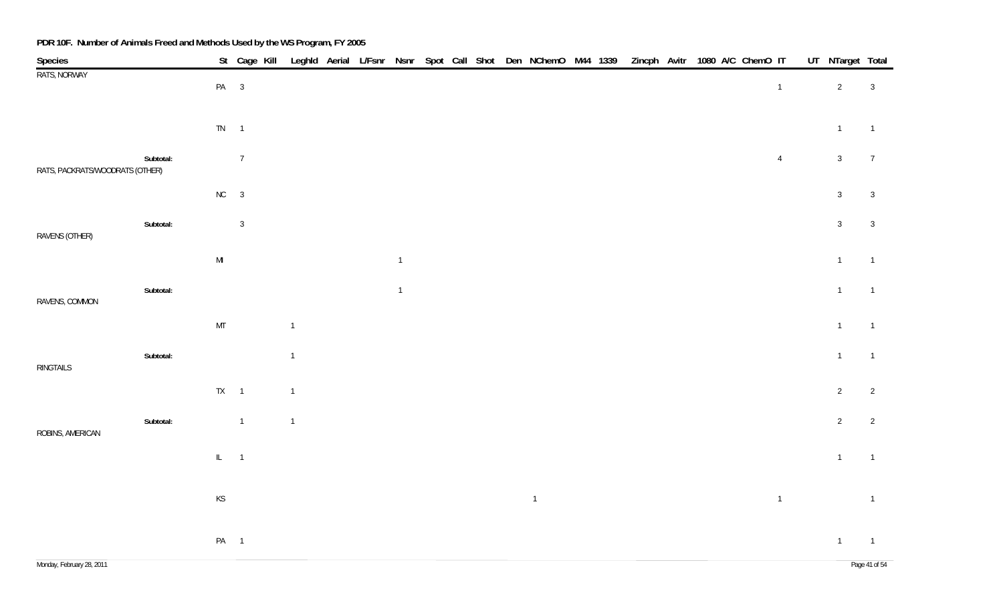| Species                         |           |                 |                |                |  |                |  |  | St Cage Kill Leghld Aerial L/Fsnr Nsnr Spot Call Shot Den NChemO M44 1339 Zincph Avitr 1080 A/C ChemO IT |  |  |  |                | UT NTarget Total |                |
|---------------------------------|-----------|-----------------|----------------|----------------|--|----------------|--|--|----------------------------------------------------------------------------------------------------------|--|--|--|----------------|------------------|----------------|
| RATS, NORWAY                    |           | PA 3            |                |                |  |                |  |  |                                                                                                          |  |  |  | $\overline{1}$ | $2\overline{ }$  | $\overline{3}$ |
|                                 |           | $TN \qquad 1$   |                |                |  |                |  |  |                                                                                                          |  |  |  |                | $\mathbf{1}$     | $\overline{1}$ |
| RATS, PACKRATS/WOODRATS (OTHER) | Subtotal: |                 | $\overline{7}$ |                |  |                |  |  |                                                                                                          |  |  |  | $\overline{4}$ | $\mathbf{3}$     | $\overline{7}$ |
|                                 |           | $NC$ 3          |                |                |  |                |  |  |                                                                                                          |  |  |  |                | 3 <sup>1</sup>   | $\overline{3}$ |
| RAVENS (OTHER)                  | Subtotal: |                 | $\overline{3}$ |                |  |                |  |  |                                                                                                          |  |  |  |                | $\mathbf{3}$     | $\overline{3}$ |
|                                 |           | $\mathsf{MI}$   |                |                |  | $\overline{1}$ |  |  |                                                                                                          |  |  |  |                | $\mathbf{1}$     | $\overline{1}$ |
| RAVENS, COMMON                  | Subtotal: |                 |                |                |  | $\overline{1}$ |  |  |                                                                                                          |  |  |  |                | $\mathbf{1}$     | $\overline{1}$ |
|                                 |           | MT              |                | $\overline{1}$ |  |                |  |  |                                                                                                          |  |  |  |                | $\mathbf{1}$     | $\overline{1}$ |
| RINGTAILS                       | Subtotal: |                 |                | $\overline{1}$ |  |                |  |  |                                                                                                          |  |  |  |                | $\mathbf{1}$     | $\overline{1}$ |
|                                 |           | $TX \qquad 1$   |                | $\overline{1}$ |  |                |  |  |                                                                                                          |  |  |  |                | $2\overline{ }$  | $\overline{2}$ |
| ROBINS, AMERICAN                | Subtotal: |                 | $\overline{1}$ | $\overline{1}$ |  |                |  |  |                                                                                                          |  |  |  |                | $2\overline{ }$  | $\overline{2}$ |
|                                 |           | $IL = 1$        |                |                |  |                |  |  |                                                                                                          |  |  |  |                | $\overline{1}$   | $\overline{1}$ |
|                                 |           | KS              |                |                |  |                |  |  | $\overline{1}$                                                                                           |  |  |  | $\overline{1}$ |                  | $\overline{1}$ |
|                                 |           | PA <sub>1</sub> |                |                |  |                |  |  |                                                                                                          |  |  |  |                | $\overline{1}$   | $\overline{1}$ |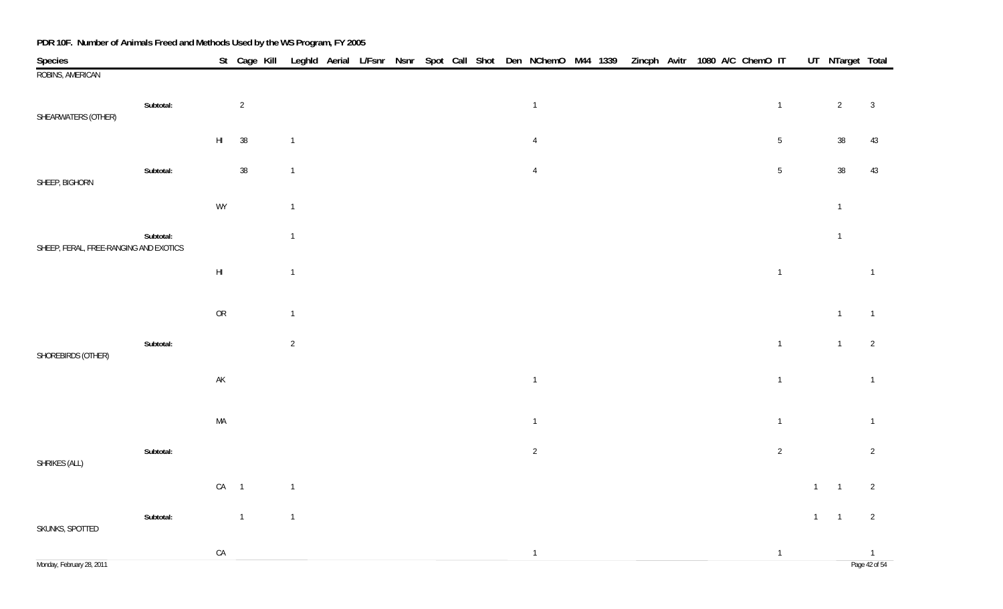| Species                                |           |               | St Cage Kill Leghld Aerial L/Fsnr Nsnr Spot Call Shot Den NChemO M44 1339 Zincph Avitr 1080 A/C ChemO IT |                |  |  |  |                |  |  |  |                |             | UT NTarget Total |                |
|----------------------------------------|-----------|---------------|----------------------------------------------------------------------------------------------------------|----------------|--|--|--|----------------|--|--|--|----------------|-------------|------------------|----------------|
| ROBINS, AMERICAN                       |           |               |                                                                                                          |                |  |  |  |                |  |  |  |                |             |                  |                |
| SHEARWATERS (OTHER)                    | Subtotal: |               | $\overline{2}$                                                                                           |                |  |  |  | $\overline{1}$ |  |  |  | $\overline{1}$ |             | $\overline{2}$   | $\overline{3}$ |
|                                        |           | $\mathsf{HI}$ | $38\,$                                                                                                   | $\overline{1}$ |  |  |  | $\overline{4}$ |  |  |  | $5\,$          |             | $38\,$           | 43             |
| SHEEP, BIGHORN                         | Subtotal: |               | $38\,$                                                                                                   | $\overline{1}$ |  |  |  | $\overline{4}$ |  |  |  | $5\,$          |             | $38\,$           | 43             |
|                                        |           | WY            |                                                                                                          | $\mathbf{1}$   |  |  |  |                |  |  |  |                |             | $\overline{1}$   |                |
| SHEEP, FERAL, FREE-RANGING AND EXOTICS | Subtotal: |               |                                                                                                          | $\mathbf{1}$   |  |  |  |                |  |  |  |                |             | $\overline{1}$   |                |
|                                        |           | $\mathsf{HI}$ |                                                                                                          | $\mathbf{1}$   |  |  |  |                |  |  |  | $\overline{1}$ |             |                  | $\overline{1}$ |
|                                        |           | ${\sf OR}$    |                                                                                                          | $\mathbf{1}$   |  |  |  |                |  |  |  |                |             | $\overline{1}$   | $\overline{1}$ |
| SHOREBIRDS (OTHER)                     | Subtotal: |               |                                                                                                          | $\sqrt{2}$     |  |  |  |                |  |  |  | $\overline{1}$ |             | $\overline{1}$   | $\overline{2}$ |
|                                        |           | $\mathsf{AK}$ |                                                                                                          |                |  |  |  | $\overline{1}$ |  |  |  | $\overline{1}$ |             |                  | $\overline{1}$ |
|                                        |           | $\sf MA$      |                                                                                                          |                |  |  |  | $\overline{1}$ |  |  |  | $\overline{1}$ |             |                  | $\overline{1}$ |
| SHRIKES (ALL)                          | Subtotal: |               |                                                                                                          |                |  |  |  | $\overline{2}$ |  |  |  | $\overline{2}$ |             |                  | $\overline{2}$ |
|                                        |           | $CA$ 1        |                                                                                                          | $\overline{1}$ |  |  |  |                |  |  |  |                | $1 -$       | $\overline{1}$   | $\overline{2}$ |
| SKUNKS, SPOTTED                        | Subtotal: |               | $\overline{1}$                                                                                           | $\overline{1}$ |  |  |  |                |  |  |  |                | $1 \quad 1$ |                  | $\overline{2}$ |
|                                        |           | ${\sf CA}$    |                                                                                                          |                |  |  |  | $\overline{1}$ |  |  |  | $\overline{1}$ |             |                  | $\overline{1}$ |
| Monday, February 28, 2011              |           |               |                                                                                                          |                |  |  |  |                |  |  |  |                |             |                  | Page 42 of 54  |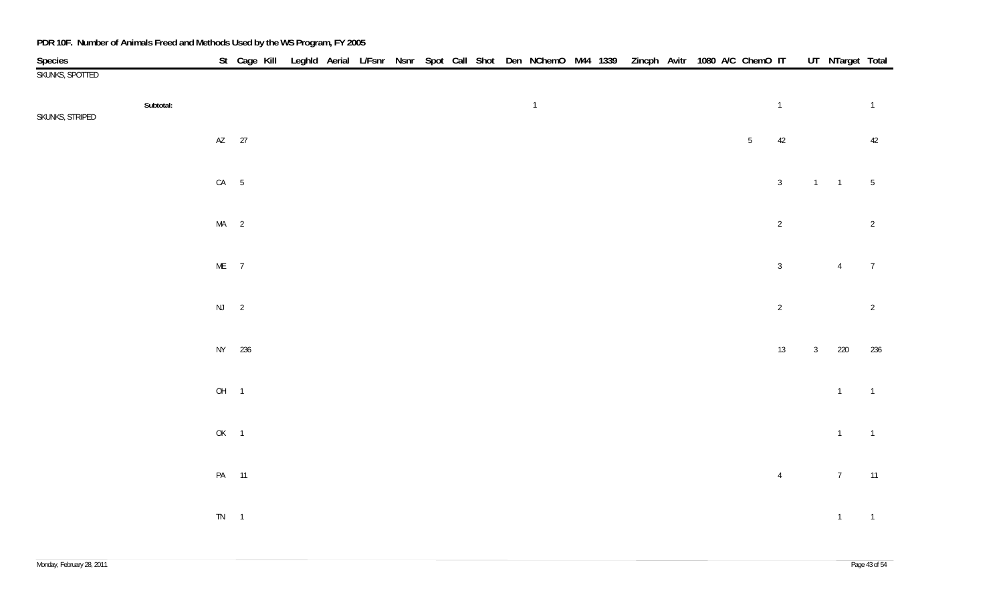| <b>Species</b>               |          | St Cage Kill Leghld Aerial L/Fsnr Nsnr Spot Call Shot Den NChemO M44 1339 Zincph Avitr 1080 A/C ChemO IT |  |  |  |  |                |  |  |  |       |                |              | UT NTarget Total |                 |
|------------------------------|----------|----------------------------------------------------------------------------------------------------------|--|--|--|--|----------------|--|--|--|-------|----------------|--------------|------------------|-----------------|
| SKUNKS, SPOTTED              |          |                                                                                                          |  |  |  |  |                |  |  |  |       |                |              |                  |                 |
| Subtotal:<br>SKUNKS, STRIPED |          |                                                                                                          |  |  |  |  | $\overline{1}$ |  |  |  |       | $\overline{1}$ |              |                  | $\overline{1}$  |
|                              |          | AZ 27                                                                                                    |  |  |  |  |                |  |  |  | $5\,$ | 42             |              |                  | 42              |
|                              | $CA$ 5   |                                                                                                          |  |  |  |  |                |  |  |  |       | $\mathbf{3}$   |              | $1 \quad 1$      | $5\overline{)}$ |
|                              | $MA$ 2   |                                                                                                          |  |  |  |  |                |  |  |  |       | $\sqrt{2}$     |              |                  | $\overline{2}$  |
|                              | $ME$ 7   |                                                                                                          |  |  |  |  |                |  |  |  |       | $\mathbf{3}$   |              | $\overline{4}$   | $\overline{7}$  |
|                              | $NJ$ 2   |                                                                                                          |  |  |  |  |                |  |  |  |       | $\sqrt{2}$     |              |                  | $\overline{2}$  |
|                              |          | NY 236                                                                                                   |  |  |  |  |                |  |  |  |       | 13             | $\mathbf{3}$ | 220              | 236             |
|                              | OH 1     |                                                                                                          |  |  |  |  |                |  |  |  |       |                |              | $\overline{1}$   | $\overline{1}$  |
|                              | OK 1     |                                                                                                          |  |  |  |  |                |  |  |  |       |                |              | $\overline{1}$   | $\overline{1}$  |
|                              |          | PA 11                                                                                                    |  |  |  |  |                |  |  |  |       | $\overline{4}$ |              | $7\overline{ }$  | 11              |
|                              | $TN = 1$ |                                                                                                          |  |  |  |  |                |  |  |  |       |                |              | $1 \qquad 1$     |                 |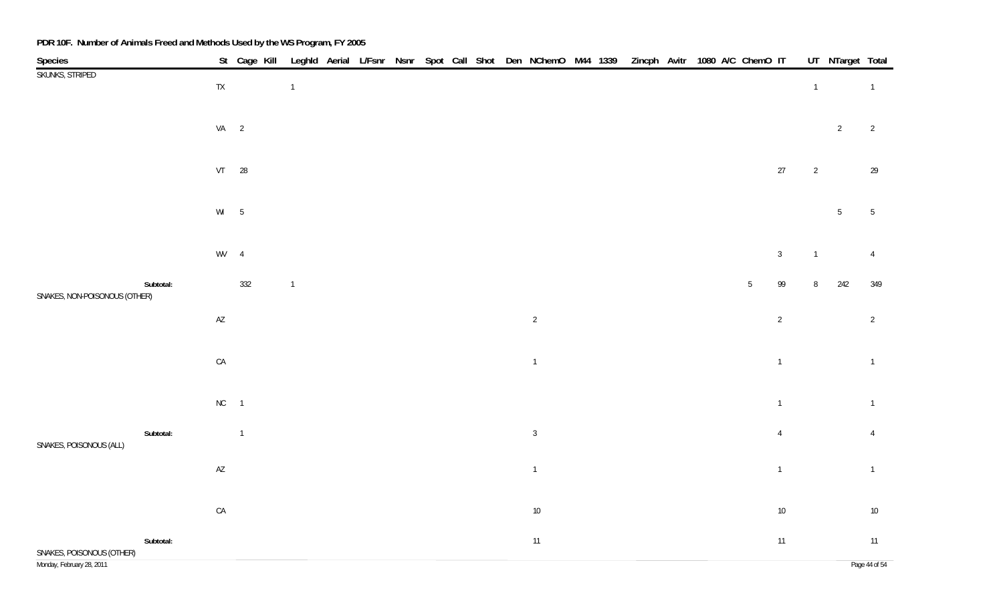| Species                       |           |                        |                |                |  |  |  | St Cage Kill Leghld Aerial L/Fsnr Nsnr Spot Call Shot Den NChemO M44 1339 Zincph Avitr 1080 A/C ChemO IT |  |  |  |                 |                |                | UT NTarget Total |                 |
|-------------------------------|-----------|------------------------|----------------|----------------|--|--|--|----------------------------------------------------------------------------------------------------------|--|--|--|-----------------|----------------|----------------|------------------|-----------------|
| SKUNKS, STRIPED               |           | ${\sf TX}$             |                | $\overline{1}$ |  |  |  |                                                                                                          |  |  |  |                 |                | $\overline{1}$ |                  | $\overline{1}$  |
|                               |           |                        |                |                |  |  |  |                                                                                                          |  |  |  |                 |                |                |                  |                 |
|                               |           |                        | $VA$ 2         |                |  |  |  |                                                                                                          |  |  |  |                 |                |                | $\overline{2}$   | $\overline{2}$  |
|                               |           |                        |                |                |  |  |  |                                                                                                          |  |  |  |                 |                |                |                  |                 |
|                               |           |                        | VT 28          |                |  |  |  |                                                                                                          |  |  |  |                 | $27\,$         | $\overline{2}$ |                  | 29              |
|                               |           |                        |                |                |  |  |  |                                                                                                          |  |  |  |                 |                |                |                  |                 |
|                               |           |                        |                |                |  |  |  |                                                                                                          |  |  |  |                 |                |                |                  |                 |
|                               |           | $Wl$ 5                 |                |                |  |  |  |                                                                                                          |  |  |  |                 |                |                | $5\phantom{.0}$  | $5\overline{)}$ |
|                               |           |                        |                |                |  |  |  |                                                                                                          |  |  |  |                 |                |                |                  |                 |
|                               |           | WV 4                   |                |                |  |  |  |                                                                                                          |  |  |  |                 | $\mathbf{3}$   | $\overline{1}$ |                  | $\overline{4}$  |
|                               | Subtotal: |                        | 332            | $\overline{1}$ |  |  |  |                                                                                                          |  |  |  | $5\phantom{.0}$ | 99             | $\, 8$         | 242              | 349             |
| SNAKES, NON-POISONOUS (OTHER) |           |                        |                |                |  |  |  |                                                                                                          |  |  |  |                 |                |                |                  |                 |
|                               |           | $\mathsf{A}\mathsf{Z}$ |                |                |  |  |  | $\overline{2}$                                                                                           |  |  |  |                 | $\overline{2}$ |                |                  | $\overline{2}$  |
|                               |           |                        |                |                |  |  |  |                                                                                                          |  |  |  |                 |                |                |                  |                 |
|                               |           | ${\sf CA}$             |                |                |  |  |  | $\overline{1}$                                                                                           |  |  |  |                 | $\overline{1}$ |                |                  | $\overline{1}$  |
|                               |           |                        |                |                |  |  |  |                                                                                                          |  |  |  |                 |                |                |                  |                 |
|                               |           | $NC$ 1                 |                |                |  |  |  |                                                                                                          |  |  |  |                 | $\mathbf{1}$   |                |                  | $\mathbf{1}$    |
|                               | Subtotal: |                        | $\overline{1}$ |                |  |  |  | $\mathbf{3}$                                                                                             |  |  |  |                 | $\overline{4}$ |                |                  | $\overline{4}$  |
| SNAKES, POISONOUS (ALL)       |           |                        |                |                |  |  |  |                                                                                                          |  |  |  |                 |                |                |                  |                 |
|                               |           | $\mathsf{A}\mathsf{Z}$ |                |                |  |  |  | $\mathbf{1}$                                                                                             |  |  |  |                 | $\mathbf{1}$   |                |                  | $\mathbf{1}$    |
|                               |           |                        |                |                |  |  |  |                                                                                                          |  |  |  |                 |                |                |                  |                 |
|                               |           | ${\sf CA}$             |                |                |  |  |  | $10\,$                                                                                                   |  |  |  |                 | $10\,$         |                |                  | $10\,$          |
|                               | Subtotal: |                        |                |                |  |  |  | 11                                                                                                       |  |  |  |                 | $11\,$         |                |                  | 11              |
| SNAKES, POISONOUS (OTHER)     |           |                        |                |                |  |  |  |                                                                                                          |  |  |  |                 |                |                |                  |                 |
| Monday, February 28, 2011     |           |                        |                |                |  |  |  |                                                                                                          |  |  |  |                 |                |                |                  | Page 44 of 54   |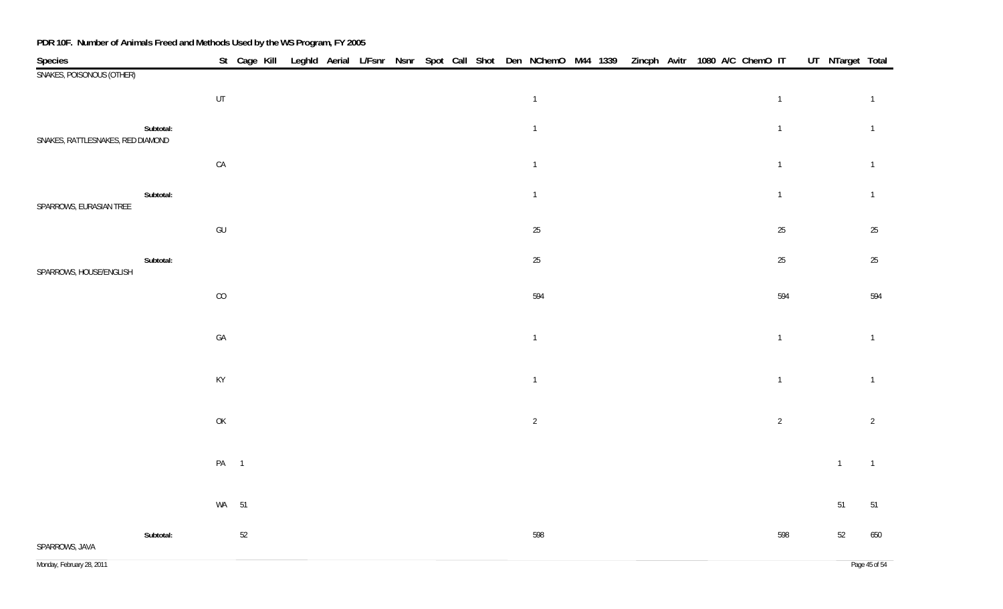| Species                           |           |                                                                                         |    |  |  |  |  | St Cage Kill Leghld Aerial L/Fsnr Nsnr Spot Call Shot Den NChemO M44 1339 Zincph Avitr 1080 A/C ChemO IT |  |  |  |                |  |                | UT NTarget Total |
|-----------------------------------|-----------|-----------------------------------------------------------------------------------------|----|--|--|--|--|----------------------------------------------------------------------------------------------------------|--|--|--|----------------|--|----------------|------------------|
| SNAKES, POISONOUS (OTHER)         |           |                                                                                         |    |  |  |  |  |                                                                                                          |  |  |  |                |  |                |                  |
|                                   |           | UT                                                                                      |    |  |  |  |  | $\overline{1}$                                                                                           |  |  |  | $\overline{1}$ |  |                | $\mathbf{1}$     |
| SNAKES, RATTLESNAKES, RED DIAMOND | Subtotal: |                                                                                         |    |  |  |  |  | $\overline{1}$                                                                                           |  |  |  | $\overline{1}$ |  |                | $\mathbf{1}$     |
|                                   |           | ${\sf CA}$                                                                              |    |  |  |  |  | $\mathbf{1}$                                                                                             |  |  |  | $\overline{1}$ |  |                | $\mathbf{1}$     |
| SPARROWS, EURASIAN TREE           | Subtotal: |                                                                                         |    |  |  |  |  | $\overline{1}$                                                                                           |  |  |  | $\mathbf{1}$   |  |                | $\mathbf{1}$     |
|                                   |           | GU                                                                                      |    |  |  |  |  | 25                                                                                                       |  |  |  | $25\,$         |  |                | $25\,$           |
| SPARROWS, HOUSE/ENGLISH           | Subtotal: |                                                                                         |    |  |  |  |  | 25                                                                                                       |  |  |  | 25             |  |                | $25\,$           |
|                                   |           | CO                                                                                      |    |  |  |  |  | 594                                                                                                      |  |  |  | 594            |  |                | 594              |
|                                   |           | GA                                                                                      |    |  |  |  |  | $\overline{1}$                                                                                           |  |  |  | $\overline{1}$ |  |                | $\mathbf{1}$     |
|                                   |           | $\mathsf{KY}$                                                                           |    |  |  |  |  | $\overline{1}$                                                                                           |  |  |  | $\overline{1}$ |  |                | $\mathbf{1}$     |
|                                   |           | $\mathsf{OK}% \left( \mathcal{M}\right) \equiv\mathsf{OK}^{3}\left( \mathcal{M}\right)$ |    |  |  |  |  | $\overline{2}$                                                                                           |  |  |  | $\overline{2}$ |  |                | $\sqrt{2}$       |
|                                   |           | PA 1                                                                                    |    |  |  |  |  |                                                                                                          |  |  |  |                |  | $\overline{1}$ | $\overline{1}$   |
|                                   |           | WA 51                                                                                   |    |  |  |  |  |                                                                                                          |  |  |  |                |  | 51             | $51\,$           |
| SPARROWS, JAVA                    | Subtotal: |                                                                                         | 52 |  |  |  |  | 598                                                                                                      |  |  |  | 598            |  | 52             | 650              |
| Monday, February 28, 2011         |           |                                                                                         |    |  |  |  |  |                                                                                                          |  |  |  |                |  |                | Page 45 of 54    |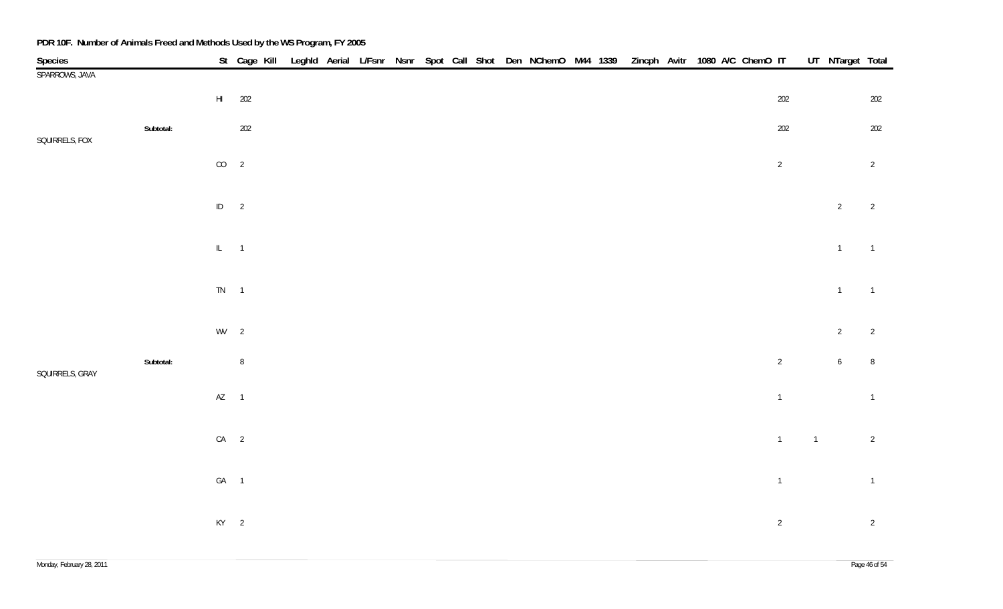| Species         |           |                        | St Cage Kill |  |  |  |  | Leghld Aerial L/Fsnr Nsnr Spot Call Shot Den NChemO M44 1339 Zincph Avitr 1080 A/C ChemO IT |  |  |  |                |                | UT NTarget Total |                |
|-----------------|-----------|------------------------|--------------|--|--|--|--|---------------------------------------------------------------------------------------------|--|--|--|----------------|----------------|------------------|----------------|
| SPARROWS, JAVA  |           |                        |              |  |  |  |  |                                                                                             |  |  |  |                |                |                  |                |
|                 |           | $\mathsf{H}\mathsf{I}$ | 202          |  |  |  |  |                                                                                             |  |  |  | 202            |                |                  | 202            |
| SQUIRRELS, FOX  | Subtotal: |                        | 202          |  |  |  |  |                                                                                             |  |  |  | $202\,$        |                |                  | 202            |
|                 |           | $CO$ 2                 |              |  |  |  |  |                                                                                             |  |  |  | $\overline{2}$ |                |                  | $\overline{2}$ |
|                 |           | $ID \t 2$              |              |  |  |  |  |                                                                                             |  |  |  |                |                | $\overline{2}$   | $\overline{2}$ |
|                 |           | $IL = 1$               |              |  |  |  |  |                                                                                             |  |  |  |                |                | $\overline{1}$   | $\overline{1}$ |
|                 |           | $TN \qquad 1$          |              |  |  |  |  |                                                                                             |  |  |  |                |                | $\overline{1}$   | $\overline{1}$ |
|                 |           | $WV$ 2                 |              |  |  |  |  |                                                                                             |  |  |  |                |                | $\overline{2}$   | $\overline{2}$ |
| SQUIRRELS, GRAY | Subtotal: |                        | $\, 8$       |  |  |  |  |                                                                                             |  |  |  | $\overline{2}$ |                | $6\overline{6}$  | $\, 8$         |
|                 |           | $AZ$ 1                 |              |  |  |  |  |                                                                                             |  |  |  | $\overline{1}$ |                |                  | $\overline{1}$ |
|                 |           | $CA$ 2                 |              |  |  |  |  |                                                                                             |  |  |  | $\overline{1}$ | $\overline{1}$ |                  | $\overline{2}$ |
|                 |           | GA 1                   |              |  |  |  |  |                                                                                             |  |  |  | $\overline{1}$ |                |                  | $\overline{1}$ |
|                 |           | $KY$ 2                 |              |  |  |  |  |                                                                                             |  |  |  | $\overline{2}$ |                |                  | $\overline{2}$ |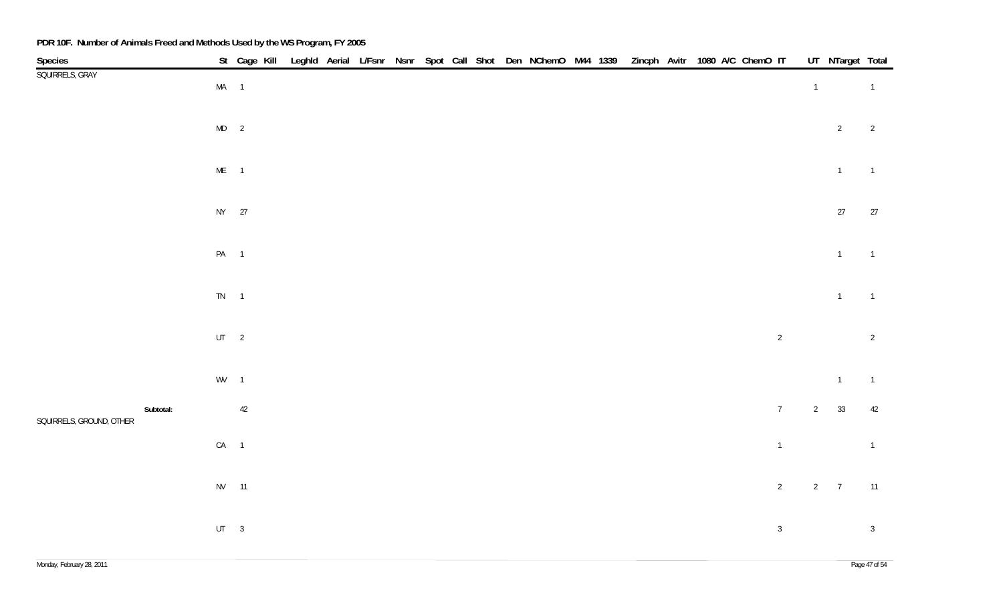| Species                  |           |               |    |  |  |  |  | St Cage Kill Leghld Aerial L/Fsnr Nsnr Spot Call Shot Den NChemO M44 1339 Zincph Avitr 1080 A/C ChemO IT |  |  |  |                 |                | UT NTarget Total |                |
|--------------------------|-----------|---------------|----|--|--|--|--|----------------------------------------------------------------------------------------------------------|--|--|--|-----------------|----------------|------------------|----------------|
| SQUIRRELS, GRAY          |           | $MA$ 1        |    |  |  |  |  |                                                                                                          |  |  |  |                 | $\overline{1}$ |                  | $\overline{1}$ |
|                          |           | $MD$ 2        |    |  |  |  |  |                                                                                                          |  |  |  |                 |                | $\overline{2}$   | $\overline{2}$ |
|                          |           | $ME$ 1        |    |  |  |  |  |                                                                                                          |  |  |  |                 |                | $\overline{1}$   | $\overline{1}$ |
|                          |           | NY 27         |    |  |  |  |  |                                                                                                          |  |  |  |                 |                | $27\,$           | 27             |
|                          |           | PA 1          |    |  |  |  |  |                                                                                                          |  |  |  |                 |                | $\overline{1}$   | $\overline{1}$ |
|                          |           | $TN \qquad 1$ |    |  |  |  |  |                                                                                                          |  |  |  |                 |                | $\mathbf{1}$     | $\overline{1}$ |
|                          |           | $UT \t 2$     |    |  |  |  |  |                                                                                                          |  |  |  | $\overline{2}$  |                |                  | $\overline{2}$ |
|                          |           | $WV$ 1        |    |  |  |  |  |                                                                                                          |  |  |  |                 |                | $\mathbf{1}$     | $\overline{1}$ |
| SQUIRRELS, GROUND, OTHER | Subtotal: |               | 42 |  |  |  |  |                                                                                                          |  |  |  | $7\overline{ }$ | $\overline{2}$ | 33               | 42             |
|                          |           | $CA$ 1        |    |  |  |  |  |                                                                                                          |  |  |  | $\overline{1}$  |                |                  | $\overline{1}$ |
|                          |           | NV 11         |    |  |  |  |  |                                                                                                          |  |  |  | $\overline{2}$  |                | $2 \overline{7}$ | 11             |
|                          |           | $UT \qquad 3$ |    |  |  |  |  |                                                                                                          |  |  |  | $\mathbf{3}$    |                |                  | $\overline{3}$ |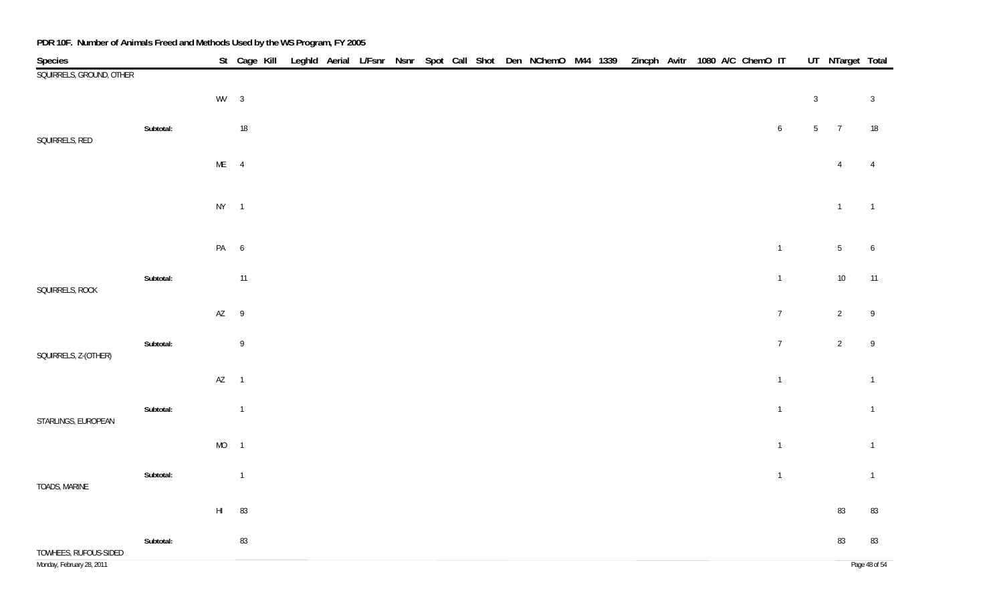| Species                   |           |               | St Cage Kill Leghld Aerial L/Fsnr Nsnr Spot Call Shot Den NChemO M44 1339 Zincph Avitr 1080 A/C ChemO IT |  |  |  |  |  |  |  |  |                 |                 | UT_NTarget Total |                  |
|---------------------------|-----------|---------------|----------------------------------------------------------------------------------------------------------|--|--|--|--|--|--|--|--|-----------------|-----------------|------------------|------------------|
| SQUIRRELS, GROUND, OTHER  |           |               |                                                                                                          |  |  |  |  |  |  |  |  |                 |                 |                  |                  |
|                           |           | $WV$ 3        |                                                                                                          |  |  |  |  |  |  |  |  |                 | $\mathbf{3}$    |                  | $\overline{3}$   |
| SQUIRRELS, RED            | Subtotal: |               | $18\,$                                                                                                   |  |  |  |  |  |  |  |  | $6\phantom{.}6$ | $5\phantom{.0}$ | $\overline{7}$   | 18               |
|                           |           | $ME$ 4        |                                                                                                          |  |  |  |  |  |  |  |  |                 |                 | $\overline{4}$   | $\overline{4}$   |
|                           |           | $NY$ 1        |                                                                                                          |  |  |  |  |  |  |  |  |                 |                 | $\overline{1}$   | $\overline{1}$   |
|                           |           |               |                                                                                                          |  |  |  |  |  |  |  |  |                 |                 |                  |                  |
|                           |           | PA 6          |                                                                                                          |  |  |  |  |  |  |  |  | $\overline{1}$  |                 | 5 <sub>5</sub>   | $\boldsymbol{6}$ |
| SQUIRRELS, ROCK           | Subtotal: |               | 11                                                                                                       |  |  |  |  |  |  |  |  | $\overline{1}$  |                 | $10\,$           | 11               |
|                           |           | AZ 9          |                                                                                                          |  |  |  |  |  |  |  |  | $\overline{7}$  |                 | $\overline{2}$   | $\overline{9}$   |
| SQUIRRELS, Z-(OTHER)      | Subtotal: |               | $\,9$                                                                                                    |  |  |  |  |  |  |  |  | $\overline{7}$  |                 | $\overline{2}$   | $\,9$            |
|                           |           | $AZ$ 1        |                                                                                                          |  |  |  |  |  |  |  |  | $\overline{1}$  |                 |                  | $\overline{1}$   |
| STARLINGS, EUROPEAN       | Subtotal: |               | $\overline{1}$                                                                                           |  |  |  |  |  |  |  |  | $\overline{1}$  |                 |                  | $\overline{1}$   |
|                           |           | $MO$ 1        |                                                                                                          |  |  |  |  |  |  |  |  | $\overline{1}$  |                 |                  | $\overline{1}$   |
| TOADS, MARINE             | Subtotal: |               | $\overline{1}$                                                                                           |  |  |  |  |  |  |  |  | $\overline{1}$  |                 |                  | $\overline{1}$   |
|                           |           | $\mathsf{HI}$ | 83                                                                                                       |  |  |  |  |  |  |  |  |                 |                 | 83               | 83               |
| TOWHEES, RUFOUS-SIDED     | Subtotal: |               | 83                                                                                                       |  |  |  |  |  |  |  |  |                 |                 | 83               | 83               |
| Monday, February 28, 2011 |           |               |                                                                                                          |  |  |  |  |  |  |  |  |                 |                 |                  | Page 48 of 54    |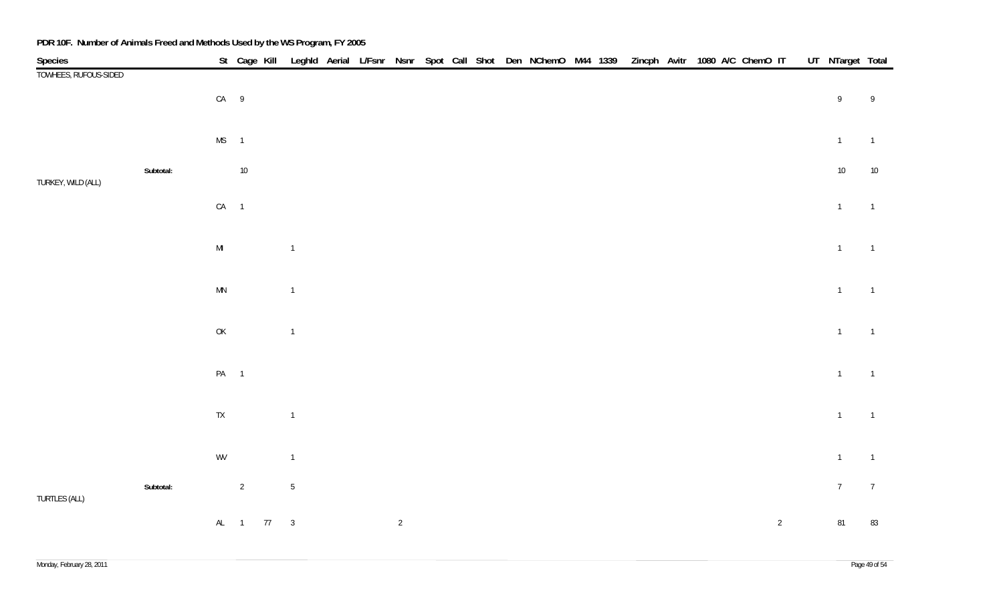| Species               |           |                            |                | St Cage Kill |                |  |                |  |  | Leghld Aerial L/Fsnr Nsnr Spot Call Shot Den NChemO M44 1339 Zincph Avitr 1080 A/C ChemO IT |  |  |  |                | UT NTarget Total |                 |
|-----------------------|-----------|----------------------------|----------------|--------------|----------------|--|----------------|--|--|---------------------------------------------------------------------------------------------|--|--|--|----------------|------------------|-----------------|
| TOWHEES, RUFOUS-SIDED |           |                            |                |              |                |  |                |  |  |                                                                                             |  |  |  |                |                  |                 |
|                       |           | CA 9                       |                |              |                |  |                |  |  |                                                                                             |  |  |  |                | $\,9$            | $\mathsf{9}$    |
|                       |           | $MS$ 1                     |                |              |                |  |                |  |  |                                                                                             |  |  |  |                | $\mathbf 1$      | $\overline{1}$  |
| TURKEY, WILD (ALL)    | Subtotal: |                            | $10\,$         |              |                |  |                |  |  |                                                                                             |  |  |  |                | $10$             | $10$            |
|                       |           | $CA$ 1                     |                |              |                |  |                |  |  |                                                                                             |  |  |  |                | $\overline{1}$   | $\overline{1}$  |
|                       |           | $\mathsf{MI}$              |                |              | $\overline{1}$ |  |                |  |  |                                                                                             |  |  |  |                | $\overline{1}$   | $\overline{1}$  |
|                       |           | $\ensuremath{\mathsf{MN}}$ |                |              | $\mathbf{1}$   |  |                |  |  |                                                                                             |  |  |  |                | $\overline{1}$   | $\overline{1}$  |
|                       |           | $\mathsf{OK}$              |                |              | $\mathbf{1}$   |  |                |  |  |                                                                                             |  |  |  |                | $\overline{1}$   | $\overline{1}$  |
|                       |           | PA 1                       |                |              |                |  |                |  |  |                                                                                             |  |  |  |                | $\mathbf 1$      | $\overline{1}$  |
|                       |           | ${\sf TX}$                 |                |              | $\overline{1}$ |  |                |  |  |                                                                                             |  |  |  |                | $\overline{1}$   | $\overline{1}$  |
|                       |           | WV                         |                |              | $\mathbf{1}$   |  |                |  |  |                                                                                             |  |  |  |                | $\overline{1}$   | $\overline{1}$  |
| TURTLES (ALL)         | Subtotal: |                            | $\overline{2}$ |              | $\sqrt{5}$     |  |                |  |  |                                                                                             |  |  |  |                | $7\overline{ }$  | $7\overline{ }$ |
|                       |           |                            |                | AL 1 77 3    |                |  | $\overline{2}$ |  |  |                                                                                             |  |  |  | $\overline{2}$ | 81               | 83              |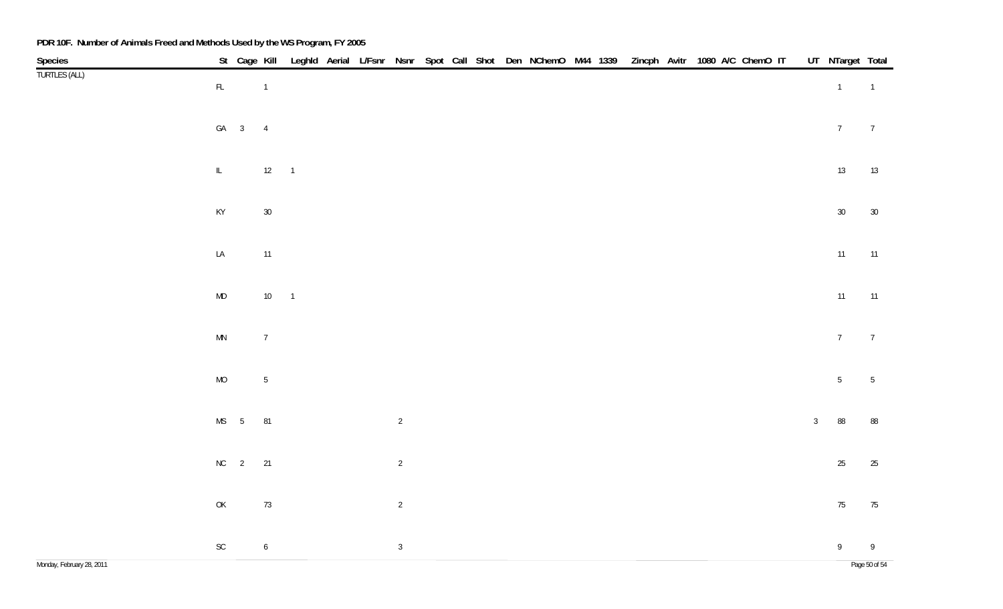| Species                   |                                                                                         |        |                  |  |                |  |  | St Cage Kill Leghld Aerial L/Fsnr Nsnr Spot Call Shot Den NChemO M44 1339 Zincph Avitr 1080 A/C ChemO IT |  |  |  |  |              | UT NTarget Total |                 |
|---------------------------|-----------------------------------------------------------------------------------------|--------|------------------|--|----------------|--|--|----------------------------------------------------------------------------------------------------------|--|--|--|--|--------------|------------------|-----------------|
| <b>TURTLES (ALL)</b>      | $\mathsf{FL}^-$                                                                         |        | $\overline{1}$   |  |                |  |  |                                                                                                          |  |  |  |  |              | $\overline{1}$   | $\overline{1}$  |
|                           |                                                                                         | $GA$ 3 | $\overline{4}$   |  |                |  |  |                                                                                                          |  |  |  |  |              | $7\overline{ }$  | $\overline{7}$  |
|                           | $\mathbb{L}^-$                                                                          |        | $12 \qquad 1$    |  |                |  |  |                                                                                                          |  |  |  |  |              | 13               | 13              |
|                           | $\mathsf{KY}$                                                                           |        | $30\,$           |  |                |  |  |                                                                                                          |  |  |  |  |              | $30\,$           | 30              |
|                           | $\mathsf{LA}\xspace$                                                                    |        | $11\,$           |  |                |  |  |                                                                                                          |  |  |  |  |              | 11               | 11              |
|                           | $\sf MD$                                                                                |        | $10 \qquad 1$    |  |                |  |  |                                                                                                          |  |  |  |  |              | 11               | 11              |
|                           | $\mathsf{MN}$                                                                           |        | $7\phantom{.0}$  |  |                |  |  |                                                                                                          |  |  |  |  |              | $7\overline{ }$  | $\overline{7}$  |
|                           | $\rm MO$                                                                                |        | $\sqrt{5}$       |  |                |  |  |                                                                                                          |  |  |  |  |              | 5 <sub>5</sub>   | $5\phantom{.0}$ |
|                           |                                                                                         | $MS$ 5 | 81               |  | $\overline{2}$ |  |  |                                                                                                          |  |  |  |  | $\mathbf{3}$ | 88               | 88              |
|                           |                                                                                         | $NC$ 2 | 21               |  | $\overline{2}$ |  |  |                                                                                                          |  |  |  |  |              | $25\,$           | 25              |
|                           | $\mathsf{OK}% \left( \mathcal{M}\right) \equiv\mathsf{OK}^{3}\left( \mathcal{M}\right)$ |        | $73\,$           |  | $\overline{2}$ |  |  |                                                                                                          |  |  |  |  |              | $75\,$           | 75              |
|                           | $\operatorname{\mathsf{SC}}$                                                            |        | $\boldsymbol{6}$ |  | $\overline{3}$ |  |  |                                                                                                          |  |  |  |  |              | 9                | 9               |
| Monday, February 28, 2011 |                                                                                         |        |                  |  |                |  |  |                                                                                                          |  |  |  |  |              |                  | Page 50 of 54   |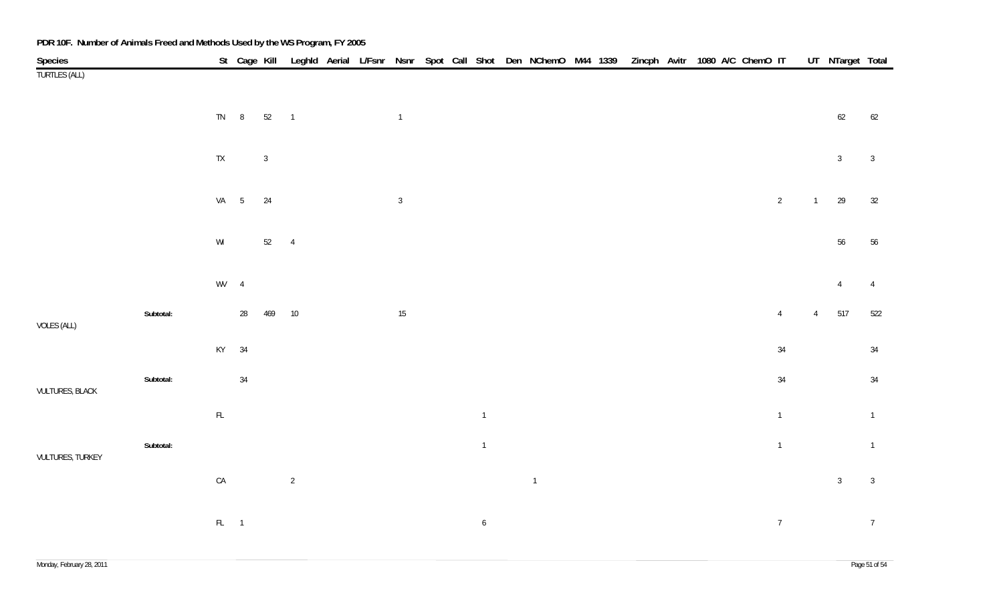| Species                |           |                                                         |    |               |                |  |                |  |                  |                |  |  | St Cage Kill Leghld Aerial L/Fsnr Nsnr Spot Call Shot Den NChemO M44 1339 Zincph Avitr 1080 A/C ChemO IT |                |                | UT NTarget Total |                 |
|------------------------|-----------|---------------------------------------------------------|----|---------------|----------------|--|----------------|--|------------------|----------------|--|--|----------------------------------------------------------------------------------------------------------|----------------|----------------|------------------|-----------------|
| <b>TURTLES (ALL)</b>   |           |                                                         |    |               |                |  |                |  |                  |                |  |  |                                                                                                          |                |                |                  |                 |
|                        |           |                                                         |    |               |                |  |                |  |                  |                |  |  |                                                                                                          |                |                |                  |                 |
|                        |           | $TN \qquad 8$                                           |    | $52 \qquad 1$ |                |  | $\overline{1}$ |  |                  |                |  |  |                                                                                                          |                |                | $62\,$           | 62              |
|                        |           |                                                         |    |               |                |  |                |  |                  |                |  |  |                                                                                                          |                |                |                  |                 |
|                        |           | $\mathsf{TX}$                                           |    | $\mathbf{3}$  |                |  |                |  |                  |                |  |  |                                                                                                          |                |                | 3 <sup>1</sup>   | $\overline{3}$  |
|                        |           |                                                         |    |               |                |  |                |  |                  |                |  |  |                                                                                                          |                |                |                  |                 |
|                        |           | VA 5                                                    |    | 24            |                |  | $\mathbf{3}$   |  |                  |                |  |  |                                                                                                          | $\overline{2}$ | $\overline{1}$ | 29               | 32              |
|                        |           |                                                         |    |               |                |  |                |  |                  |                |  |  |                                                                                                          |                |                |                  |                 |
|                        |           | $\ensuremath{\mathsf{W}}\xspace\ensuremath{\mathsf{I}}$ |    | 52 4          |                |  |                |  |                  |                |  |  |                                                                                                          |                |                | $56\,$           | 56              |
|                        |           |                                                         |    |               |                |  |                |  |                  |                |  |  |                                                                                                          |                |                |                  |                 |
|                        |           | $WV$ 4                                                  |    |               |                |  |                |  |                  |                |  |  |                                                                                                          |                |                | $\overline{4}$   | $\overline{4}$  |
|                        | Subtotal: |                                                         | 28 | 469           | 10             |  | $15\,$         |  |                  |                |  |  |                                                                                                          | $\overline{4}$ | $\overline{4}$ | 517              | 522             |
| VOLES (ALL)            |           |                                                         |    |               |                |  |                |  |                  |                |  |  |                                                                                                          |                |                |                  |                 |
|                        |           | KY                                                      | 34 |               |                |  |                |  |                  |                |  |  |                                                                                                          | 34             |                |                  | 34              |
|                        |           |                                                         |    |               |                |  |                |  |                  |                |  |  |                                                                                                          |                |                |                  |                 |
| <b>VULTURES, BLACK</b> | Subtotal: |                                                         | 34 |               |                |  |                |  |                  |                |  |  |                                                                                                          | $34\,$         |                |                  | $34\,$          |
|                        |           | $\mathsf{FL}$                                           |    |               |                |  |                |  | $\mathbf{1}$     |                |  |  |                                                                                                          | $\overline{1}$ |                |                  | $\overline{1}$  |
|                        |           |                                                         |    |               |                |  |                |  |                  |                |  |  |                                                                                                          |                |                |                  |                 |
| VULTURES, TURKEY       | Subtotal: |                                                         |    |               |                |  |                |  | $\mathbf 1$      |                |  |  |                                                                                                          | $\overline{1}$ |                |                  | $\overline{1}$  |
|                        |           | ${\sf CA}$                                              |    |               | $\overline{2}$ |  |                |  |                  | $\overline{1}$ |  |  |                                                                                                          |                |                | 3 <sup>1</sup>   | $\overline{3}$  |
|                        |           |                                                         |    |               |                |  |                |  |                  |                |  |  |                                                                                                          |                |                |                  |                 |
|                        |           |                                                         |    |               |                |  |                |  |                  |                |  |  |                                                                                                          |                |                |                  |                 |
|                        |           | $FL = 1$                                                |    |               |                |  |                |  | $\boldsymbol{6}$ |                |  |  |                                                                                                          | $\overline{7}$ |                |                  | $7\overline{ }$ |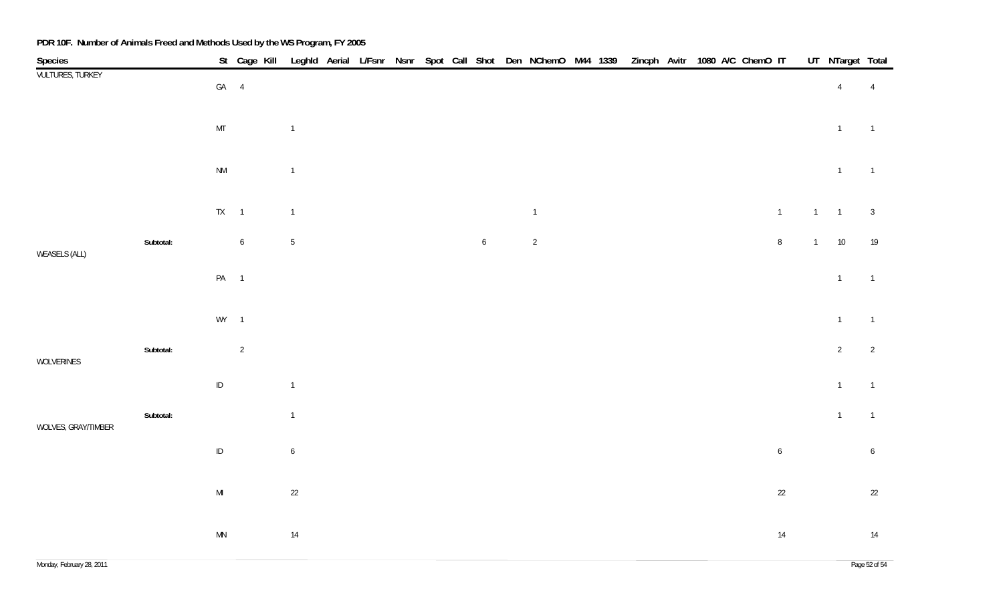| Species                 |           |                        | St Cage Kill    |                  |  |  |                  | Leghld Aerial L/Fsnr Nsnr Spot Call Shot Den NChemO M44 1339 |  | Zincph Avitr 1080 A/C ChemO IT |  |  |                  |                | UT_NTarget Total |                 |
|-------------------------|-----------|------------------------|-----------------|------------------|--|--|------------------|--------------------------------------------------------------|--|--------------------------------|--|--|------------------|----------------|------------------|-----------------|
| <b>VULTURES, TURKEY</b> |           | $GA$ 4                 |                 |                  |  |  |                  |                                                              |  |                                |  |  |                  |                | $\overline{4}$   | $\overline{4}$  |
|                         |           | MT                     |                 | $\mathbf{1}$     |  |  |                  |                                                              |  |                                |  |  |                  |                | $\mathbf{1}$     | $\overline{1}$  |
|                         |           | $\mathsf{N}\mathsf{M}$ |                 | $\mathbf{1}$     |  |  |                  |                                                              |  |                                |  |  |                  |                | $\overline{1}$   | $\overline{1}$  |
|                         |           | $TX = 1$               |                 | $\overline{1}$   |  |  |                  | $\overline{1}$                                               |  |                                |  |  | $\overline{1}$   | $\overline{1}$ | $\overline{1}$   | $\overline{3}$  |
| <b>WEASELS (ALL)</b>    | Subtotal: |                        | $6\phantom{.0}$ | $\sqrt{5}$       |  |  | $\boldsymbol{6}$ | $\overline{2}$                                               |  |                                |  |  | $\, 8$           | $\overline{1}$ | 10               | 19              |
|                         |           | PA 1                   |                 |                  |  |  |                  |                                                              |  |                                |  |  |                  |                | $\mathbf{1}$     | $\overline{1}$  |
|                         |           | $WY$ 1                 |                 |                  |  |  |                  |                                                              |  |                                |  |  |                  |                | $\overline{1}$   | $\overline{1}$  |
| WOLVERINES              | Subtotal: |                        | $\overline{2}$  |                  |  |  |                  |                                                              |  |                                |  |  |                  |                | $2\overline{ }$  | $\overline{2}$  |
|                         |           | $\sf ID$               |                 | $\mathbf 1$      |  |  |                  |                                                              |  |                                |  |  |                  |                | $\mathbf{1}$     | $\overline{1}$  |
| WOLVES, GRAY/TIMBER     | Subtotal: |                        |                 | $\mathbf{1}$     |  |  |                  |                                                              |  |                                |  |  |                  |                | $\mathbf{1}$     | $\overline{1}$  |
|                         |           | $\sf ID$               |                 | $\boldsymbol{6}$ |  |  |                  |                                                              |  |                                |  |  | $\boldsymbol{6}$ |                |                  | $6\phantom{.0}$ |
|                         |           | $\mathsf{MI}$          |                 | $22\,$           |  |  |                  |                                                              |  |                                |  |  | $22\,$           |                |                  | 22              |
|                         |           | $\mathsf{M}\mathsf{N}$ |                 | $14$             |  |  |                  |                                                              |  |                                |  |  | 14               |                |                  | 14              |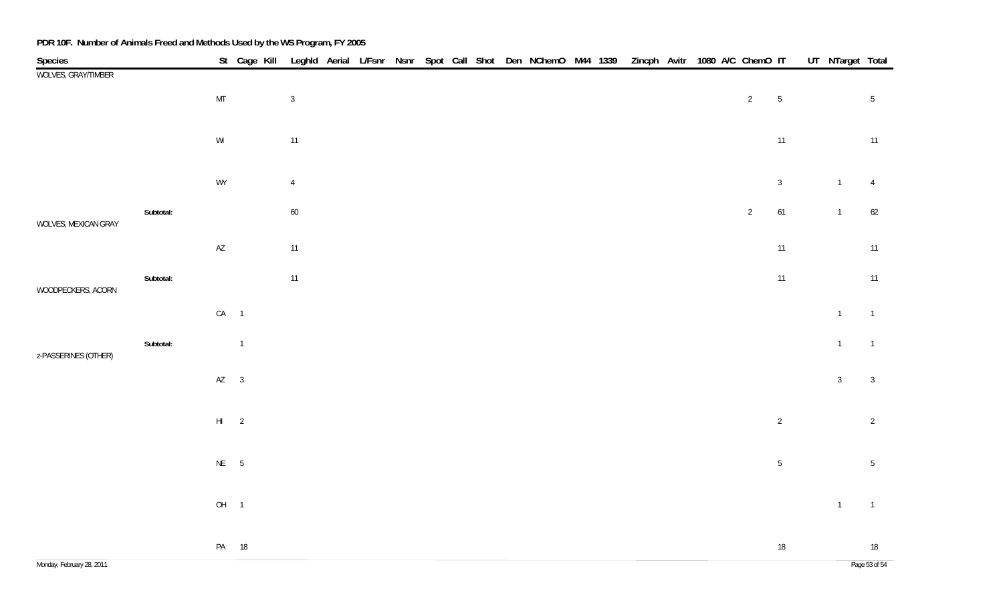| Species                   |           |                        | St Cage Kill   |                |  |  |  |  |  |  | Leghld Aerial L/Fsnr Nsnr Spot Call Shot Den NChemO M44 1339 Zincph Avitr 1080 A/C ChemO IT |                |                | UT_NTarget Total |                 |
|---------------------------|-----------|------------------------|----------------|----------------|--|--|--|--|--|--|---------------------------------------------------------------------------------------------|----------------|----------------|------------------|-----------------|
| WOLVES, GRAY/TIMBER       |           |                        |                |                |  |  |  |  |  |  |                                                                                             |                |                |                  |                 |
|                           |           | $\mathsf{MT}$          |                | $\mathbf{3}$   |  |  |  |  |  |  |                                                                                             | $\overline{2}$ | $\sqrt{5}$     |                  | $5\phantom{.0}$ |
|                           |           |                        |                |                |  |  |  |  |  |  |                                                                                             |                |                |                  |                 |
|                           |           | $\mathsf{W}\mathsf{I}$ |                | 11             |  |  |  |  |  |  |                                                                                             |                | 11             |                  | 11              |
|                           |           |                        |                |                |  |  |  |  |  |  |                                                                                             |                |                |                  |                 |
|                           |           | WY                     |                | $\overline{4}$ |  |  |  |  |  |  |                                                                                             |                | $\mathbf{3}$   | $\overline{1}$   | $\overline{4}$  |
|                           | Subtotal: |                        |                | $60\,$         |  |  |  |  |  |  |                                                                                             | $\sqrt{2}$     | 61             | $\mathbf{1}$     | 62              |
| WOLVES, MEXICAN GRAY      |           |                        |                |                |  |  |  |  |  |  |                                                                                             |                |                |                  |                 |
|                           |           | $\mathsf{A}\mathsf{Z}$ |                | $11$           |  |  |  |  |  |  |                                                                                             |                | 11             |                  | 11              |
|                           | Subtotal: |                        |                | $11$           |  |  |  |  |  |  |                                                                                             |                | 11             |                  | 11              |
| WOODPECKERS, ACORN        |           |                        |                |                |  |  |  |  |  |  |                                                                                             |                |                |                  |                 |
|                           |           | $CA$ 1                 |                |                |  |  |  |  |  |  |                                                                                             |                |                | $\mathbf{1}$     | $\overline{1}$  |
|                           |           |                        |                |                |  |  |  |  |  |  |                                                                                             |                |                |                  |                 |
| z-PASSERINES (OTHER)      | Subtotal: |                        | $\overline{1}$ |                |  |  |  |  |  |  |                                                                                             |                |                | $\overline{1}$   | $\overline{1}$  |
|                           |           | $AZ$ 3                 |                |                |  |  |  |  |  |  |                                                                                             |                |                | $\mathbf{3}$     | $\overline{3}$  |
|                           |           |                        |                |                |  |  |  |  |  |  |                                                                                             |                |                |                  |                 |
|                           |           | $HI$ 2                 |                |                |  |  |  |  |  |  |                                                                                             |                | $\overline{2}$ |                  | $\overline{2}$  |
|                           |           |                        |                |                |  |  |  |  |  |  |                                                                                             |                |                |                  |                 |
|                           |           | $NE$ 5                 |                |                |  |  |  |  |  |  |                                                                                             |                | $\sqrt{5}$     |                  | $5\,$           |
|                           |           |                        |                |                |  |  |  |  |  |  |                                                                                             |                |                |                  |                 |
|                           |           | OH <sub>1</sub>        |                |                |  |  |  |  |  |  |                                                                                             |                |                | $\overline{1}$   | $\overline{1}$  |
|                           |           |                        |                |                |  |  |  |  |  |  |                                                                                             |                |                |                  |                 |
|                           |           |                        | PA 18          |                |  |  |  |  |  |  |                                                                                             |                | $18\,$         |                  | 18              |
| Monday, February 28, 2011 |           |                        |                |                |  |  |  |  |  |  |                                                                                             |                |                |                  | Page 53 of 54   |